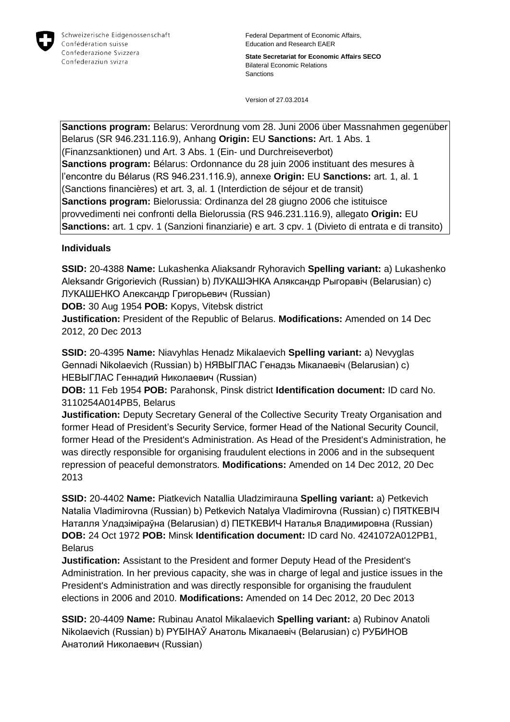

**State Secretariat for Economic Affairs SECO** Bilateral Economic Relations Sanctions

Version of 27.03.2014

**Sanctions program:** Belarus: Verordnung vom 28. Juni 2006 über Massnahmen gegenüber Belarus (SR 946.231.116.9), Anhang **Origin:** EU **Sanctions:** Art. 1 Abs. 1 (Finanzsanktionen) und Art. 3 Abs. 1 (Ein- und Durchreiseverbot) **Sanctions program:** Bélarus: Ordonnance du 28 juin 2006 instituant des mesures à l'encontre du Bélarus (RS 946.231.116.9), annexe **Origin:** EU **Sanctions:** art. 1, al. 1 (Sanctions financières) et art. 3, al. 1 (Interdiction de séjour et de transit) **Sanctions program:** Bielorussia: Ordinanza del 28 giugno 2006 che istituisce provvedimenti nei confronti della Bielorussia (RS 946.231.116.9), allegato **Origin:** EU **Sanctions:** art. 1 cpv. 1 (Sanzioni finanziarie) e art. 3 cpv. 1 (Divieto di entrata e di transito)

#### **Individuals**

**SSID:** 20-4388 **Name:** Lukashenka Aliaksandr Ryhoravich **Spelling variant:** a) Lukashenko Aleksandr Grigorievich (Russian) b) ЛУКАШЭНКА Аляксандр Рыгоравіч (Belarusian) c) ЛУКАШЕНКО Александр Григорьевич (Russian)

**DOB:** 30 Aug 1954 **POB:** Kopys, Vitebsk district

**Justification:** President of the Republic of Belarus. **Modifications:** Amended on 14 Dec 2012, 20 Dec 2013

**SSID:** 20-4395 **Name:** Niavyhlas Henadz Mikalaevich **Spelling variant:** a) Nevyglas Gennadi Nikolaevich (Russian) b) НЯВЫГЛАС Генадзь Мiкалаевіч (Belarusian) c) НЕВЫГЛАС Геннадий Николаевич (Russian)

**DOB:** 11 Feb 1954 **POB:** Parahonsk, Pinsk district **Identification document:** ID card No. 3110254A014PB5, Belarus

**Justification:** Deputy Secretary General of the Collective Security Treaty Organisation and former Head of President's Security Service, former Head of the National Security Council, former Head of the President's Administration. As Head of the President's Administration, he was directly responsible for organising fraudulent elections in 2006 and in the subsequent repression of peaceful demonstrators. **Modifications:** Amended on 14 Dec 2012, 20 Dec 2013

**SSID:** 20-4402 **Name:** Piatkevich Natallia Uladzimirauna **Spelling variant:** a) Petkevich Natalia Vladimirovna (Russian) b) Petkevich Natalya Vladimirovna (Russian) c) ПЯТКЕВIЧ Наталля Уладзіміраўна (Belarusian) d) ПЕТКЕВИЧ Наталья Владимировна (Russian) **DOB:** 24 Oct 1972 **POB:** Minsk **Identification document:** ID card No. 4241072A012PB1, Belarus

**Justification:** Assistant to the President and former Deputy Head of the President's Administration. In her previous capacity, she was in charge of legal and justice issues in the President's Administration and was directly responsible for organising the fraudulent elections in 2006 and 2010. **Modifications:** Amended on 14 Dec 2012, 20 Dec 2013

**SSID:** 20-4409 **Name:** Rubinau Anatol Mikalaevich **Spelling variant:** a) Rubinov Anatoli Nikolaevich (Russian) b) PYБIНAЎ Анатоль Мікалаевіч (Belarusian) c) РУБИНОВ Анатолий Николаевич (Russian)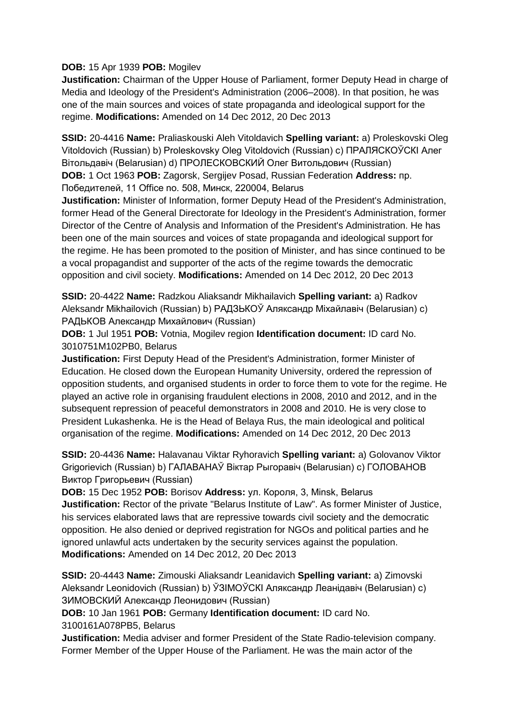#### **DOB:** 15 Apr 1939 **POB:** Mogilev

**Justification:** Chairman of the Upper House of Parliament, former Deputy Head in charge of Media and Ideology of the President's Administration (2006–2008). In that position, he was one of the main sources and voices of state propaganda and ideological support for the regime. **Modifications:** Amended on 14 Dec 2012, 20 Dec 2013

**SSID:** 20-4416 **Name:** Praliaskouski Aleh Vitoldavich **Spelling variant:** a) Proleskovski Oleg Vitoldovich (Russian) b) Proleskovsky Oleg Vitoldovich (Russian) c) ПРАЛЯСКОЎСКI Алег Вітольдавіч (Belarusian) d) ПРОЛЕСКОВСКИЙ Олег Витольдович (Russian) **DOB:** 1 Oct 1963 **POB:** Zagorsk, Sergijev Posad, Russian Federation **Address:** пр. Победителей, 11 Office no. 508, Минск, 220004, Belarus

**Justification:** Minister of Information, former Deputy Head of the President's Administration, former Head of the General Directorate for Ideology in the President's Administration, former Director of the Centre of Analysis and Information of the President's Administration. He has been one of the main sources and voices of state propaganda and ideological support for the regime. He has been promoted to the position of Minister, and has since continued to be a vocal propagandist and supporter of the acts of the regime towards the democratic opposition and civil society. **Modifications:** Amended on 14 Dec 2012, 20 Dec 2013

**SSID:** 20-4422 **Name:** Radzkou Aliaksandr Mikhailavich **Spelling variant:** a) Radkov Aleksandr Mikhailovich (Russian) b) РАДЗЬКОЎ Аляксандр Міхайлавіч (Belarusian) c) РАДЬКОВ Александр Михайлович (Russian)

**DOB:** 1 Jul 1951 **POB:** Votnia, Mogilev region **Identification document:** ID card No. 3010751M102PB0, Belarus

**Justification:** First Deputy Head of the President's Administration, former Minister of Education. He closed down the European Humanity University, ordered the repression of opposition students, and organised students in order to force them to vote for the regime. He played an active role in organising fraudulent elections in 2008, 2010 and 2012, and in the subsequent repression of peaceful demonstrators in 2008 and 2010. He is very close to President Lukashenka. He is the Head of Belaya Rus, the main ideological and political organisation of the regime. **Modifications:** Amended on 14 Dec 2012, 20 Dec 2013

**SSID:** 20-4436 **Name:** Halavanau Viktar Ryhoravich **Spelling variant:** a) Golovanov Viktor Grigorievich (Russian) b) ГАЛАВАНАЎ Віктар Рыгоравіч (Belarusian) c) ГОЛОВАНОВ Виктор Григорьевич (Russian)

**DOB:** 15 Dec 1952 **POB:** Borisov **Address:** ул. Короля, 3, Minsk, Belarus **Justification:** Rector of the private "Belarus Institute of Law". As former Minister of Justice, his services elaborated laws that are repressive towards civil society and the democratic opposition. He also denied or deprived registration for NGOs and political parties and he ignored unlawful acts undertaken by the security services against the population. **Modifications:** Amended on 14 Dec 2012, 20 Dec 2013

**SSID:** 20-4443 **Name:** Zimouski Aliaksandr Leanidavich **Spelling variant:** a) Zimovski Aleksandr Leonidovich (Russian) b) ЎЗIМOЎCКI Аляксандр Леанідавіч (Belarusian) c) ЗИМОВСКИЙ Александр Леонидович (Russian)

**DOB:** 10 Jan 1961 **POB:** Germany **Identification document:** ID card No.

3100161A078PB5, Belarus

**Justification:** Media adviser and former President of the State Radio-television company. Former Member of the Upper House of the Parliament. He was the main actor of the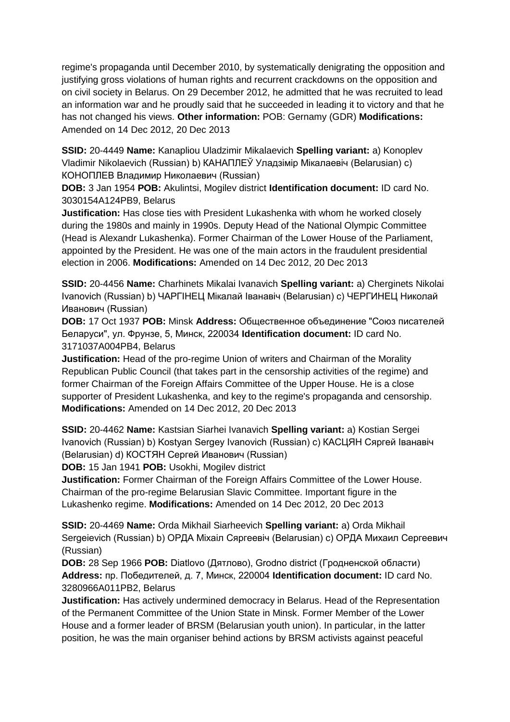regime's propaganda until December 2010, by systematically denigrating the opposition and justifying gross violations of human rights and recurrent crackdowns on the opposition and on civil society in Belarus. On 29 December 2012, he admitted that he was recruited to lead an information war and he proudly said that he succeeded in leading it to victory and that he has not changed his views. **Other information:** POB: Gernamy (GDR) **Modifications:**  Amended on 14 Dec 2012, 20 Dec 2013

**SSID:** 20-4449 **Name:** Kanapliou Uladzimir Mikalaevich **Spelling variant:** a) Konoplev Vladimir Nikolaevich (Russian) b) КАНАПЛЕЎ Уладзімір Мікалаевіч (Belarusian) c) КОНОПЛЕВ Владимир Николаевич (Russian)

**DOB:** 3 Jan 1954 **POB:** Akulintsi, Mogilev district **Identification document:** ID card No. 3030154A124PB9, Belarus

**Justification:** Has close ties with President Lukashenka with whom he worked closely during the 1980s and mainly in 1990s. Deputy Head of the National Olympic Committee (Head is Alexandr Lukashenka). Former Chairman of the Lower House of the Parliament, appointed by the President. He was one of the main actors in the fraudulent presidential election in 2006. **Modifications:** Amended on 14 Dec 2012, 20 Dec 2013

**SSID:** 20-4456 **Name:** Charhinets Mikalai Ivanavich **Spelling variant:** a) Cherginets Nikolai Ivanovich (Russian) b) ЧАРГIНЕЦ Мікалай Іванавіч (Belarusian) c) ЧЕРГИНЕЦ Николай Иванович (Russian)

**DOB:** 17 Oct 1937 **POB:** Minsk **Address:** Общественное объединение "Союз писателей Беларуси", ул. Фрунзе, 5, Минск, 220034 **Identification document:** ID card No. 3171037A004PB4, Belarus

**Justification:** Head of the pro-regime Union of writers and Chairman of the Morality Republican Public Council (that takes part in the censorship activities of the regime) and former Chairman of the Foreign Affairs Committee of the Upper House. He is a close supporter of President Lukashenka, and key to the regime's propaganda and censorship. **Modifications:** Amended on 14 Dec 2012, 20 Dec 2013

**SSID:** 20-4462 **Name:** Kastsian Siarhei Ivanavich **Spelling variant:** a) Kostian Sergei Ivanovich (Russian) b) Kostyan Sergey Ivanovich (Russian) c) КАСЦЯН Сяргей Іванавіч (Belarusian) d) КОСТЯН Сергей Иванович (Russian)

**DOB:** 15 Jan 1941 **POB:** Usokhi, Mogilev district

**Justification:** Former Chairman of the Foreign Affairs Committee of the Lower House. Chairman of the pro-regime Belarusian Slavic Committee. Important figure in the Lukashenko regime. **Modifications:** Amended on 14 Dec 2012, 20 Dec 2013

**SSID:** 20-4469 **Name:** Orda Mikhail Siarheevich **Spelling variant:** a) Orda Mikhail Sergeievich (Russian) b) ОРДА Міхаіл Сяргеевіч (Belarusian) c) ОРДА Михаил Сергеевич (Russian)

**DOB:** 28 Sep 1966 **POB:** Diatlovo (Дятлово), Grodno district (Гродненской области) **Address:** пр. Победителей, д. 7, Минск, 220004 **Identification document:** ID card No. 3280966A011PB2, Belarus

**Justification:** Has actively undermined democracy in Belarus. Head of the Representation of the Permanent Committee of the Union State in Minsk. Former Member of the Lower House and a former leader of BRSM (Belarusian youth union). In particular, in the latter position, he was the main organiser behind actions by BRSM activists against peaceful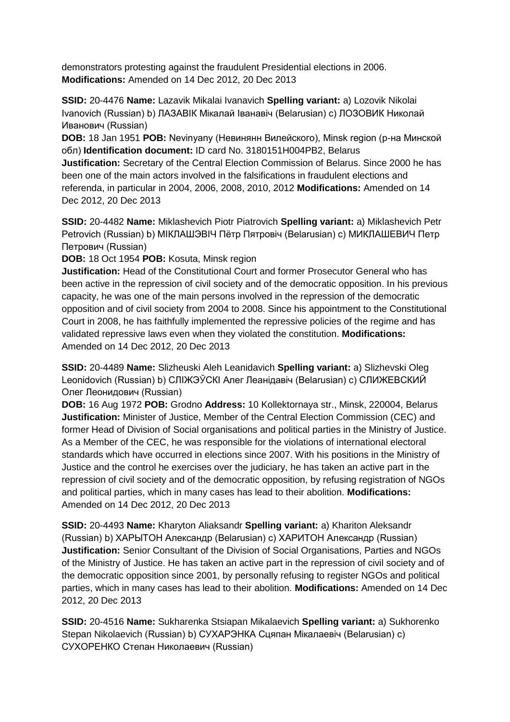demonstrators protesting against the fraudulent Presidential elections in 2006. **Modifications:** Amended on 14 Dec 2012, 20 Dec 2013

**SSID:** 20-4476 **Name:** Lazavik Mikalai Ivanavich **Spelling variant:** a) Lozovik Nikolai Ivanovich (Russian) b) ЛАЗАВIК Мікалай Іванавіч (Belarusian) c) ЛОЗОВИК Николай Иванович (Russian)

**DOB:** 18 Jan 1951 **POB:** Nevinyany (Невинянн Вилейского), Minsk region (р-на Минской обл) **Identification document:** ID card No. 3180151H004PB2, Belarus

**Justification:** Secretary of the Central Election Commission of Belarus. Since 2000 he has been one of the main actors involved in the falsifications in fraudulent elections and referenda, in particular in 2004, 2006, 2008, 2010, 2012 **Modifications:** Amended on 14 Dec 2012, 20 Dec 2013

**SSID:** 20-4482 **Name:** Miklashevich Piotr Piatrovich **Spelling variant:** a) Miklashevich Petr Petrovich (Russian) b) МIКЛАШЭВIЧ Пётр Пятровіч (Belarusian) c) МИКЛАШЕВИЧ Петр Петрович (Russian)

**DOB:** 18 Oct 1954 **POB:** Kosuta, Minsk region

**Justification:** Head of the Constitutional Court and former Prosecutor General who has been active in the repression of civil society and of the democratic opposition. In his previous capacity, he was one of the main persons involved in the repression of the democratic opposition and of civil society from 2004 to 2008. Since his appointment to the Constitutional Court in 2008, he has faithfully implemented the repressive policies of the regime and has validated repressive laws even when they violated the constitution. **Modifications:**  Amended on 14 Dec 2012, 20 Dec 2013

**SSID:** 20-4489 **Name:** Slizheuski Aleh Leanidavich **Spelling variant:** a) Slizhevski Oleg Leonidovich (Russian) b) СЛIЖЭЎСКI Алег Леанідавіч (Belarusian) c) СЛИЖЕВСКИЙ Олег Леонидович (Russian)

**DOB:** 16 Aug 1972 **POB:** Grodno **Address:** 10 Kollektornaya str., Minsk, 220004, Belarus **Justification:** Minister of Justice, Member of the Central Election Commission (CEC) and former Head of Division of Social organisations and political parties in the Ministry of Justice. As a Member of the CEC, he was responsible for the violations of international electoral standards which have occurred in elections since 2007. With his positions in the Ministry of Justice and the control he exercises over the judiciary, he has taken an active part in the repression of civil society and of the democratic opposition, by refusing registration of NGOs and political parties, which in many cases has lead to their abolition. **Modifications:**  Amended on 14 Dec 2012, 20 Dec 2013

**SSID:** 20-4493 **Name:** Kharyton Aliaksandr **Spelling variant:** a) Khariton Aleksandr (Russian) b) ХАРЫТОН Александр (Belarusian) c) ХАРИТОН Александр (Russian) **Justification:** Senior Consultant of the Division of Social Organisations, Parties and NGOs of the Ministry of Justice. He has taken an active part in the repression of civil society and of the democratic opposition since 2001, by personally refusing to register NGOs and political parties, which in many cases has lead to their abolition. **Modifications:** Amended on 14 Dec 2012, 20 Dec 2013

**SSID:** 20-4516 **Name:** Sukharenka Stsiapan Mikalaevich **Spelling variant:** a) Sukhorenko Stepan Nikolaevich (Russian) b) СУХАРЭНКА Сцяпан Мікалаевіч (Belarusian) c) СУХОРЕНКО Степан Николаевич (Russian)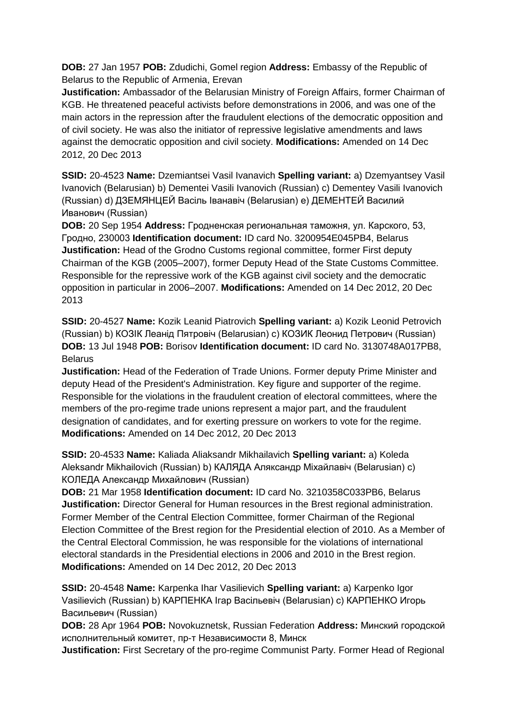**DOB:** 27 Jan 1957 **POB:** Zdudichi, Gomel region **Address:** Embassy of the Republic of Belarus to the Republic of Armenia, Erevan

**Justification:** Ambassador of the Belarusian Ministry of Foreign Affairs, former Chairman of KGB. He threatened peaceful activists before demonstrations in 2006, and was one of the main actors in the repression after the fraudulent elections of the democratic opposition and of civil society. He was also the initiator of repressive legislative amendments and laws against the democratic opposition and civil society. **Modifications:** Amended on 14 Dec 2012, 20 Dec 2013

**SSID:** 20-4523 **Name:** Dzemiantsei Vasil Ivanavich **Spelling variant:** a) Dzemyantsey Vasil Ivanovich (Belarusian) b) Dementei Vasili Ivanovich (Russian) c) Dementey Vasili Ivanovich (Russian) d) ДЗЕМЯНЦЕЙ Васіль Iванавіч (Belarusian) e) ДЕМЕНТЕЙ Василий Иванович (Russian)

**DOB:** 20 Sep 1954 **Address:** Гродненская региональная таможня, ул. Карского, 53, Гродно, 230003 **Identification document:** ID card No. 3200954E045PB4, Belarus **Justification:** Head of the Grodno Customs regional committee, former First deputy Chairman of the KGB (2005–2007), former Deputy Head of the State Customs Committee. Responsible for the repressive work of the KGB against civil society and the democratic opposition in particular in 2006–2007. **Modifications:** Amended on 14 Dec 2012, 20 Dec 2013

**SSID:** 20-4527 **Name:** Kozik Leanid Piatrovich **Spelling variant:** a) Kozik Leonid Petrovich (Russian) b) КОЗIК Леанід Пятровіч (Belarusian) c) КОЗИК Леонид Петрович (Russian) **DOB:** 13 Jul 1948 **POB:** Borisov **Identification document:** ID card No. 3130748A017PB8, Belarus

**Justification:** Head of the Federation of Trade Unions. Former deputy Prime Minister and deputy Head of the President's Administration. Key figure and supporter of the regime. Responsible for the violations in the fraudulent creation of electoral committees, where the members of the pro-regime trade unions represent a major part, and the fraudulent designation of candidates, and for exerting pressure on workers to vote for the regime. **Modifications:** Amended on 14 Dec 2012, 20 Dec 2013

**SSID:** 20-4533 **Name:** Kaliada Aliaksandr Mikhailavich **Spelling variant:** a) Koleda Aleksandr Mikhailovich (Russian) b) КАЛЯДА Аляксандр Міхайлавіч (Belarusian) c) КОЛЕДА Александр Михайлович (Russian)

**DOB:** 21 Mar 1958 **Identification document:** ID card No. 3210358C033PB6, Belarus **Justification:** Director General for Human resources in the Brest regional administration. Former Member of the Central Election Committee, former Chairman of the Regional Election Committee of the Brest region for the Presidential election of 2010. As a Member of the Central Electoral Commission, he was responsible for the violations of international electoral standards in the Presidential elections in 2006 and 2010 in the Brest region. **Modifications:** Amended on 14 Dec 2012, 20 Dec 2013

**SSID:** 20-4548 **Name:** Karpenka Ihar Vasilievich **Spelling variant:** a) Karpenko Igor Vasilievich (Russian) b) КАРПЕНКА Ігар Васільевіч (Belarusian) c) КАРПЕНКО Игорь Васильевич (Russian)

**DOB:** 28 Apr 1964 **POB:** Novokuznetsk, Russian Federation **Address:** Минский городской исполнительный комитет, пр-т Независимости 8, Минск

**Justification:** First Secretary of the pro-regime Communist Party. Former Head of Regional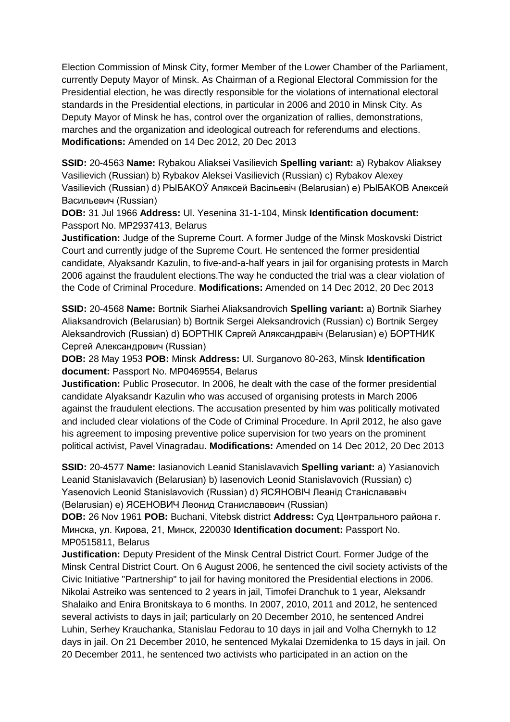Election Commission of Minsk City, former Member of the Lower Chamber of the Parliament, currently Deputy Mayor of Minsk. As Chairman of a Regional Electoral Commission for the Presidential election, he was directly responsible for the violations of international electoral standards in the Presidential elections, in particular in 2006 and 2010 in Minsk City. As Deputy Mayor of Minsk he has, control over the organization of rallies, demonstrations, marches and the organization and ideological outreach for referendums and elections. **Modifications:** Amended on 14 Dec 2012, 20 Dec 2013

**SSID:** 20-4563 **Name:** Rybakou Aliaksei Vasilievich **Spelling variant:** a) Rybakov Aliaksey Vasilievich (Russian) b) Rybakov Aleksei Vasilievich (Russian) c) Rybakov Alexey Vasilievich (Russian) d) РЫБАКОЎ Аляксей Васiльевiч (Belarusian) e) РЫБАКОВ Алексей Васильевич (Russian)

**DOB:** 31 Jul 1966 **Address:** Ul. Yesenina 31-1-104, Minsk **Identification document:** Passport No. MP2937413, Belarus

**Justification:** Judge of the Supreme Court. A former Judge of the Minsk Moskovski District Court and currently judge of the Supreme Court. He sentenced the former presidential candidate, Alyaksandr Kazulin, to five-and-a-half years in jail for organising protests in March 2006 against the fraudulent elections.The way he conducted the trial was a clear violation of the Code of Criminal Procedure. **Modifications:** Amended on 14 Dec 2012, 20 Dec 2013

**SSID:** 20-4568 **Name:** Bortnik Siarhei Aliaksandrovich **Spelling variant:** a) Bortnik Siarhey Aliaksandrovich (Belarusian) b) Bortnik Sergei Aleksandrovich (Russian) c) Bortnik Sergey Aleksandrovich (Russian) d) БОРТНIК Сяргей Аляксандравіч (Belarusian) e) БОРТНИК Сергей Александрович (Russian)

**DOB:** 28 May 1953 **POB:** Minsk **Address:** Ul. Surganovo 80-263, Minsk **Identification document:** Passport No. MP0469554, Belarus

**Justification:** Public Prosecutor. In 2006, he dealt with the case of the former presidential candidate Alyaksandr Kazulin who was accused of organising protests in March 2006 against the fraudulent elections. The accusation presented by him was politically motivated and included clear violations of the Code of Criminal Procedure. In April 2012, he also gave his agreement to imposing preventive police supervision for two years on the prominent political activist, Pavel Vinagradau. **Modifications:** Amended on 14 Dec 2012, 20 Dec 2013

**SSID:** 20-4577 **Name:** Iasianovich Leanid Stanislavavich **Spelling variant:** a) Yasianovich Leanid Stanislavavich (Belarusian) b) Iasenovich Leonid Stanislavovich (Russian) c) Yasenovich Leonid Stanislavovich (Russian) d) ЯСЯНОВІЧ Леанід Станіслававіч (Belarusian) e) ЯСЕНОВИЧ Леонид Станиславович (Russian)

**DOB:** 26 Nov 1961 **POB:** Buchani, Vitebsk district **Address:** Суд Центрального района г. Минска, ул. Кирова, 21, Минск, 220030 **Identification document:** Passport No. MP0515811, Belarus

**Justification:** Deputy President of the Minsk Central District Court. Former Judge of the Minsk Central District Court. On 6 August 2006, he sentenced the civil society activists of the Civic Initiative "Partnership" to jail for having monitored the Presidential elections in 2006. Nikolai Astreiko was sentenced to 2 years in jail, Timofei Dranchuk to 1 year, Aleksandr Shalaiko and Enira Bronitskaya to 6 months. In 2007, 2010, 2011 and 2012, he sentenced several activists to days in jail; particularly on 20 December 2010, he sentenced Andrei Luhin, Serhey Krauchanka, Stanislau Fedorau to 10 days in jail and Volha Chernykh to 12 days in jail. On 21 December 2010, he sentenced Mykalai Dzemidenka to 15 days in jail. On 20 December 2011, he sentenced two activists who participated in an action on the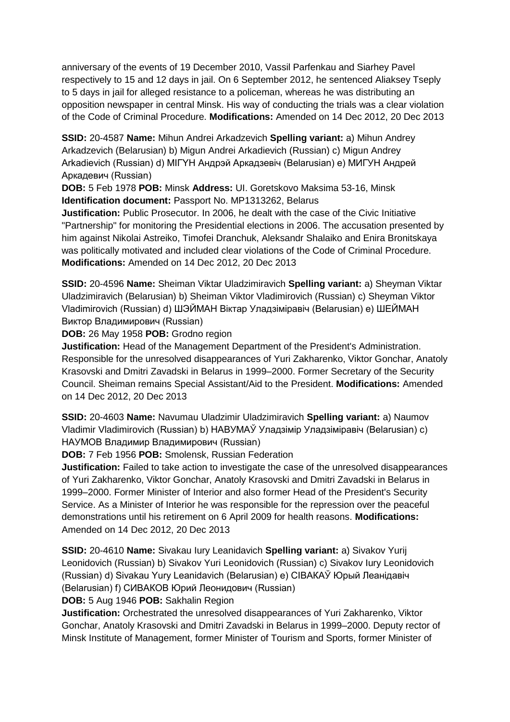anniversary of the events of 19 December 2010, Vassil Parfenkau and Siarhey Pavel respectively to 15 and 12 days in jail. On 6 September 2012, he sentenced Aliaksey Tseply to 5 days in jail for alleged resistance to a policeman, whereas he was distributing an opposition newspaper in central Minsk. His way of conducting the trials was a clear violation of the Code of Criminal Procedure. **Modifications:** Amended on 14 Dec 2012, 20 Dec 2013

**SSID:** 20-4587 **Name:** Mihun Andrei Arkadzevich **Spelling variant:** a) Mihun Andrey Arkadzevich (Belarusian) b) Migun Andrei Arkadievich (Russian) c) Migun Andrey Arkadievich (Russian) d) MIГYH Андрэй Аркадзевіч (Belarusian) e) МИГУН Андрей Аркадевич (Russian)

**DOB:** 5 Feb 1978 **POB:** Minsk **Address:** UI. Goretskovo Maksima 53-16, Minsk **Identification document:** Passport No. MP1313262, Belarus

**Justification:** Public Prosecutor. In 2006, he dealt with the case of the Civic Initiative "Partnership" for monitoring the Presidential elections in 2006. The accusation presented by him against Nikolai Astreiko, Timofei Dranchuk, Aleksandr Shalaiko and Enira Bronitskaya was politically motivated and included clear violations of the Code of Criminal Procedure. **Modifications:** Amended on 14 Dec 2012, 20 Dec 2013

**SSID:** 20-4596 **Name:** Sheiman Viktar Uladzimiravich **Spelling variant:** a) Sheyman Viktar Uladzimiravich (Belarusian) b) Sheiman Viktor Vladimirovich (Russian) c) Sheyman Viktor Vladimirovich (Russian) d) ШЭЙМАН Віктар Уладзіміравіч (Belarusian) e) ШЕЙМАН Виктор Владимирович (Russian)

**DOB:** 26 May 1958 **POB:** Grodno region

**Justification:** Head of the Management Department of the President's Administration. Responsible for the unresolved disappearances of Yuri Zakharenko, Viktor Gonchar, Anatoly Krasovski and Dmitri Zavadski in Belarus in 1999–2000. Former Secretary of the Security Council. Sheiman remains Special Assistant/Aid to the President. **Modifications:** Amended on 14 Dec 2012, 20 Dec 2013

**SSID:** 20-4603 **Name:** Navumau Uladzimir Uladzimiravich **Spelling variant:** a) Naumov Vladimir Vladimirovich (Russian) b) НАВУМАЎ Уладзімір Уладзіміравіч (Belarusian) c) НАУМОВ Владимир Владимирович (Russian)

**DOB:** 7 Feb 1956 **POB:** Smolensk, Russian Federation

**Justification:** Failed to take action to investigate the case of the unresolved disappearances of Yuri Zakharenko, Viktor Gonchar, Anatoly Krasovski and Dmitri Zavadski in Belarus in 1999–2000. Former Minister of Interior and also former Head of the President's Security Service. As a Minister of Interior he was responsible for the repression over the peaceful demonstrations until his retirement on 6 April 2009 for health reasons. **Modifications:**  Amended on 14 Dec 2012, 20 Dec 2013

**SSID:** 20-4610 **Name:** Sivakau Iury Leanidavich **Spelling variant:** a) Sivakov Yurij Leonidovich (Russian) b) Sivakov Yuri Leonidovich (Russian) c) Sivakov Iury Leonidovich (Russian) d) Sivakau Yury Leanidavich (Belarusian) e) СIВАКАЎ Юрый Леанiдавiч (Belarusian) f) СИВАКОВ Юрий Леонидович (Russian)

**DOB:** 5 Aug 1946 **POB:** Sakhalin Region

**Justification:** Orchestrated the unresolved disappearances of Yuri Zakharenko, Viktor Gonchar, Anatoly Krasovski and Dmitri Zavadski in Belarus in 1999–2000. Deputy rector of Minsk Institute of Management, former Minister of Tourism and Sports, former Minister of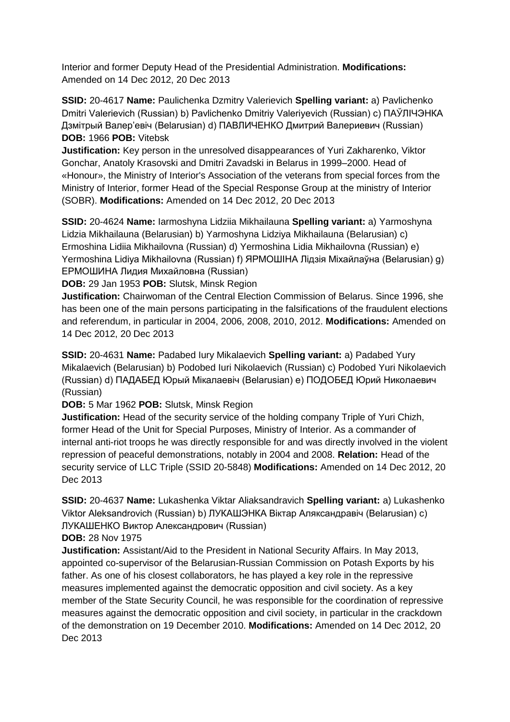Interior and former Deputy Head of the Presidential Administration. **Modifications:**  Amended on 14 Dec 2012, 20 Dec 2013

**SSID:** 20-4617 **Name:** Paulichenka Dzmitry Valerievich **Spelling variant:** a) Pavlichenko Dmitri Valerievich (Russian) b) Pavlichenko Dmitriy Valeriyevich (Russian) c) ПАЎЛIЧЭНКА Дзмiтрый Валер'евіч (Belarusian) d) ПАВЛИЧЕНКО Дмитрий Валериевич (Russian) **DOB:** 1966 **POB:** Vitebsk

**Justification:** Key person in the unresolved disappearances of Yuri Zakharenko, Viktor Gonchar, Anatoly Krasovski and Dmitri Zavadski in Belarus in 1999–2000. Head of «Honour», the Ministry of Interior's Association of the veterans from special forces from the Ministry of Interior, former Head of the Special Response Group at the ministry of Interior (SOBR). **Modifications:** Amended on 14 Dec 2012, 20 Dec 2013

**SSID:** 20-4624 **Name:** Iarmoshyna Lidziia Mikhailauna **Spelling variant:** a) Yarmoshyna Lidzia Mikhailauna (Belarusian) b) Yarmoshyna Lidziya Mikhailauna (Belarusian) c) Ermoshina Lidiia Mikhailovna (Russian) d) Yermoshina Lidia Mikhailovna (Russian) e) Yermoshina Lidiya Mikhailovna (Russian) f) ЯРМОШIНА Лідзія Міхайлаўна (Belarusian) g) ЕРМОШИНА Лидия Михайловна (Russian)

**DOB:** 29 Jan 1953 **POB:** Slutsk, Minsk Region

**Justification:** Chairwoman of the Central Election Commission of Belarus. Since 1996, she has been one of the main persons participating in the falsifications of the fraudulent elections and referendum, in particular in 2004, 2006, 2008, 2010, 2012. **Modifications:** Amended on 14 Dec 2012, 20 Dec 2013

**SSID:** 20-4631 **Name:** Padabed Iury Mikalaevich **Spelling variant:** a) Padabed Yury Mikalaevich (Belarusian) b) Podobed Iuri Nikolaevich (Russian) c) Podobed Yuri Nikolaevich (Russian) d) ПАДАБЕД Юрый Мікалаевіч (Belarusian) e) ПОДОБЕД Юрий Николаевич (Russian)

**DOB:** 5 Mar 1962 **POB:** Slutsk, Minsk Region

**Justification:** Head of the security service of the holding company Triple of Yuri Chizh, former Head of the Unit for Special Purposes, Ministry of Interior. As a commander of internal anti-riot troops he was directly responsible for and was directly involved in the violent repression of peaceful demonstrations, notably in 2004 and 2008. **Relation:** Head of the security service of LLC Triple (SSID 20-5848) **Modifications:** Amended on 14 Dec 2012, 20 Dec 2013

**SSID:** 20-4637 **Name:** Lukashenka Viktar Aliaksandravich **Spelling variant:** a) Lukashenko Viktor Aleksandrovich (Russian) b) ЛУКАШЭНКА Віктар Аляксандравіч (Belarusian) c) ЛУКАШЕНКО Виктор Александрович (Russian)

**DOB:** 28 Nov 1975

**Justification:** Assistant/Aid to the President in National Security Affairs. In May 2013, appointed co-supervisor of the Belarusian-Russian Commission on Potash Exports by his father. As one of his closest collaborators, he has played a key role in the repressive measures implemented against the democratic opposition and civil society. As a key member of the State Security Council, he was responsible for the coordination of repressive measures against the democratic opposition and civil society, in particular in the crackdown of the demonstration on 19 December 2010. **Modifications:** Amended on 14 Dec 2012, 20 Dec 2013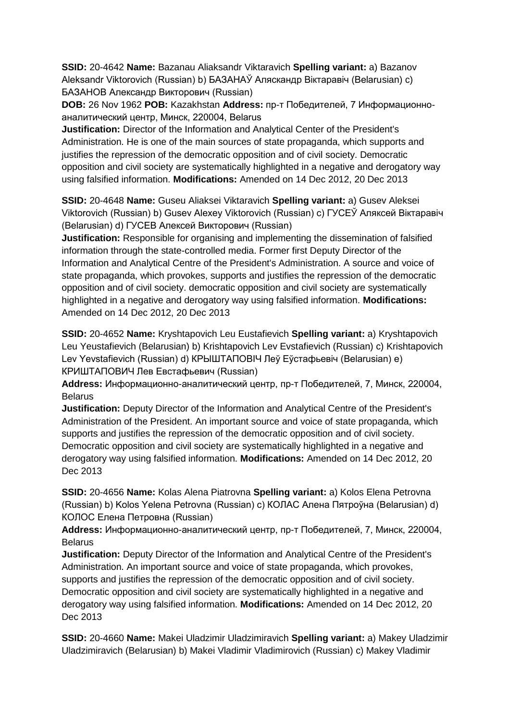**SSID:** 20-4642 **Name:** Bazanau Aliaksandr Viktaravich **Spelling variant:** a) Bazanov Aleksandr Viktorovich (Russian) b) БАЗАНАЎ Аляскандр Віктаравіч (Belarusian) c) БАЗАНОВ Александр Викторович (Russian)

**DOB:** 26 Nov 1962 **POB:** Kazakhstan **Address:** пр-т Победителей, 7 Информационноаналитический центр, Минск, 220004, Belarus

**Justification:** Director of the Information and Analytical Center of the President's Administration. He is one of the main sources of state propaganda, which supports and justifies the repression of the democratic opposition and of civil society. Democratic opposition and civil society are systematically highlighted in a negative and derogatory way using falsified information. **Modifications:** Amended on 14 Dec 2012, 20 Dec 2013

**SSID:** 20-4648 **Name:** Guseu Aliaksei Viktaravich **Spelling variant:** a) Gusev Aleksei Viktorovich (Russian) b) Gusev Alexey Viktorovich (Russian) c) ГУСЕЎ Аляксей Вiктаравіч (Belarusian) d) ГУСЕВ Алексей Викторович (Russian)

**Justification:** Responsible for organising and implementing the dissemination of falsified information through the state-controlled media. Former first Deputy Director of the Information and Analytical Centre of the President's Administration. A source and voice of state propaganda, which provokes, supports and justifies the repression of the democratic opposition and of civil society. democratic opposition and civil society are systematically highlighted in a negative and derogatory way using falsified information. **Modifications:**  Amended on 14 Dec 2012, 20 Dec 2013

**SSID:** 20-4652 **Name:** Kryshtapovich Leu Eustafievich **Spelling variant:** a) Kryshtapovich Leu Yeustafievich (Belarusian) b) Krishtapovich Lev Evstafievich (Russian) c) Krishtapovich Lev Yevstafievich (Russian) d) КРЫШТАПОВIЧ Леў Еўстафьевіч (Belarusian) e) КРИШТАПОВИЧ Лев Евстафьевич (Russian)

**Address:** Информационно-аналитический центр, пр-т Победителей, 7, Минск, 220004, **Belarus** 

**Justification:** Deputy Director of the Information and Analytical Centre of the President's Administration of the President. An important source and voice of state propaganda, which supports and justifies the repression of the democratic opposition and of civil society. Democratic opposition and civil society are systematically highlighted in a negative and derogatory way using falsified information. **Modifications:** Amended on 14 Dec 2012, 20 Dec 2013

**SSID:** 20-4656 **Name:** Kolas Alena Piatrovna **Spelling variant:** a) Kolos Elena Petrovna (Russian) b) Kolos Yelena Petrovna (Russian) c) КОЛАС Алена Пятроўна (Belarusian) d) КОЛОС Елена Петровна (Russian)

**Address:** Информационно-аналитический центр, пр-т Победителей, 7, Минск, 220004, Belarus

**Justification:** Deputy Director of the Information and Analytical Centre of the President's Administration. An important source and voice of state propaganda, which provokes, supports and justifies the repression of the democratic opposition and of civil society. Democratic opposition and civil society are systematically highlighted in a negative and derogatory way using falsified information. **Modifications:** Amended on 14 Dec 2012, 20 Dec 2013

**SSID:** 20-4660 **Name:** Makei Uladzimir Uladzimiravich **Spelling variant:** a) Makey Uladzimir Uladzimiravich (Belarusian) b) Makei Vladimir Vladimirovich (Russian) c) Makey Vladimir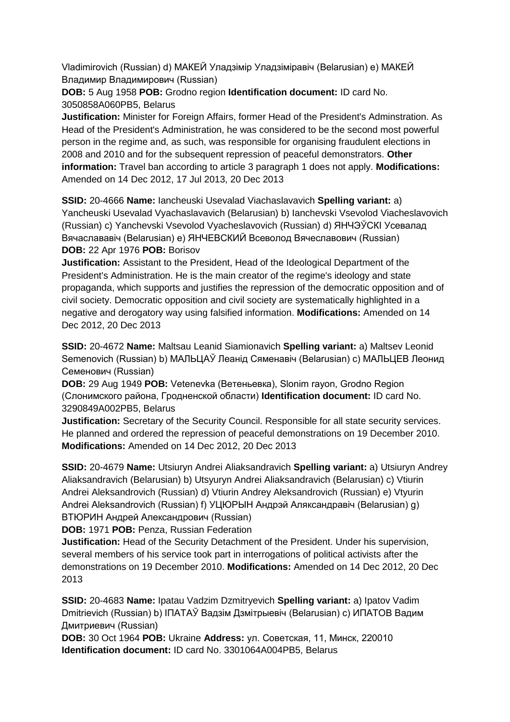Vladimirovich (Russian) d) МАКЕЙ Уладзімір Уладзіміравіч (Belarusian) e) МАКЕЙ Владимир Владимирович (Russian)

**DOB:** 5 Aug 1958 **POB:** Grodno region **Identification document:** ID card No. 3050858A060PB5, Belarus

**Justification:** Minister for Foreign Affairs, former Head of the President's Adminstration. As Head of the President's Administration, he was considered to be the second most powerful person in the regime and, as such, was responsible for organising fraudulent elections in 2008 and 2010 and for the subsequent repression of peaceful demonstrators. **Other information:** Travel ban according to article 3 paragraph 1 does not apply. **Modifications:**  Amended on 14 Dec 2012, 17 Jul 2013, 20 Dec 2013

**SSID:** 20-4666 **Name:** Iancheuski Usevalad Viachaslavavich **Spelling variant:** a) Yancheuski Usevalad Vyachaslavavich (Belarusian) b) Ianchevski Vsevolod Viacheslavovich (Russian) c) Yanchevski Vsevolod Vyacheslavovich (Russian) d) ЯНЧЭЎСКI Усевалад Вячаслававіч (Belarusian) e) ЯНЧЕВСКИЙ Всеволод Вячеславович (Russian) **DOB:** 22 Apr 1976 **POB:** Borisov

**Justification:** Assistant to the President, Head of the Ideological Department of the President's Administration. He is the main creator of the regime's ideology and state propaganda, which supports and justifies the repression of the democratic opposition and of civil society. Democratic opposition and civil society are systematically highlighted in a negative and derogatory way using falsified information. **Modifications:** Amended on 14 Dec 2012, 20 Dec 2013

**SSID:** 20-4672 **Name:** Maltsau Leanid Siamionavich **Spelling variant:** a) Maltsev Leonid Semenovich (Russian) b) МАЛЬЦАЎ Леанід Сяменавіч (Belarusian) с) МАЛЬЦЕВ Леонид Семенович (Russian)

**DOB:** 29 Aug 1949 **POB:** Vetenevka (Ветеньевка), Slonim rayon, Grodno Region (Слонимского района, Гродненской области) **Identification document:** ID card No. 3290849A002PB5, Belarus

**Justification:** Secretary of the Security Council. Responsible for all state security services. He planned and ordered the repression of peaceful demonstrations on 19 December 2010. **Modifications:** Amended on 14 Dec 2012, 20 Dec 2013

**SSID:** 20-4679 **Name:** Utsiuryn Andrei Aliaksandravich **Spelling variant:** a) Utsiuryn Andrey Aliaksandravich (Belarusian) b) Utsyuryn Andrei Aliaksandravich (Belarusian) c) Vtiurin Andrei Aleksandrovich (Russian) d) Vtiurin Andrey Aleksandrovich (Russian) e) Vtyurin Andrei Aleksandrovich (Russian) f) УЦЮРЫН Андрэй Аляксандравіч (Belarusian) g) ВТЮРИН Андрей Александрович (Russian)

**DOB:** 1971 **POB:** Penza, Russian Federation

**Justification:** Head of the Security Detachment of the President. Under his supervision, several members of his service took part in interrogations of political activists after the demonstrations on 19 December 2010. **Modifications:** Amended on 14 Dec 2012, 20 Dec 2013

**SSID:** 20-4683 **Name:** Ipatau Vadzim Dzmitryevich **Spelling variant:** a) Ipatov Vadim Dmitrievich (Russian) b) IПAТAЎ Вадзім Дзмітрыевіч (Belarusian) c) ИПАТОВ Вадим Дмитриевич (Russian)

**DOB:** 30 Oct 1964 **POB:** Ukraine **Address:** ул. Советская, 11, Минск, 220010 **Identification document:** ID card No. 3301064A004PB5, Belarus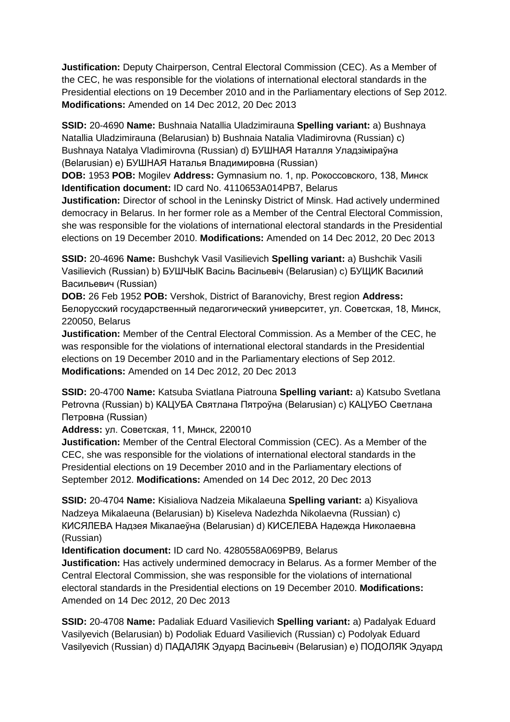**Justification:** Deputy Chairperson, Central Electoral Commission (CEC). As a Member of the CEC, he was responsible for the violations of international electoral standards in the Presidential elections on 19 December 2010 and in the Parliamentary elections of Sep 2012. **Modifications:** Amended on 14 Dec 2012, 20 Dec 2013

**SSID:** 20-4690 **Name:** Bushnaia Natallia Uladzimirauna **Spelling variant:** a) Bushnaya Natallia Uladzimirauna (Belarusian) b) Bushnaia Natalia Vladimirovna (Russian) c) Bushnaya Natalya Vladimirovna (Russian) d) БУШНАЯ Наталля Уладзіміраўна (Belarusian) e) БУШНАЯ Наталья Владимировна (Russian)

**DOB:** 1953 **POB:** Mogilev **Address:** Gymnasium no. 1, пр. Рокоссовского, 138, Минск **Identification document:** ID card No. 4110653A014PB7, Belarus

**Justification:** Director of school in the Leninsky District of Minsk. Had actively undermined democracy in Belarus. In her former role as a Member of the Central Electoral Commission, she was responsible for the violations of international electoral standards in the Presidential elections on 19 December 2010. **Modifications:** Amended on 14 Dec 2012, 20 Dec 2013

**SSID:** 20-4696 **Name:** Bushchyk Vasil Vasilievich **Spelling variant:** a) Bushchik Vasili Vasilievich (Russian) b) БУШЧЫК Васіль Васільевіч (Belarusian) c) БУЩИК Василий Васильевич (Russian)

**DOB:** 26 Feb 1952 **POB:** Vershok, District of Baranovichy, Brest region **Address:** Белорусский государственный педагогический университет, ул. Советская, 18, Минск, 220050, Belarus

**Justification:** Member of the Central Electoral Commission. As a Member of the CEC, he was responsible for the violations of international electoral standards in the Presidential elections on 19 December 2010 and in the Parliamentary elections of Sep 2012. **Modifications:** Amended on 14 Dec 2012, 20 Dec 2013

**SSID:** 20-4700 **Name:** Katsuba Sviatlana Piatrouna **Spelling variant:** a) Katsubo Svetlana Petrovna (Russian) b) КАЦУБА Святлана Пятроўна (Belarusian) c) КАЦУБО Светлана Петровна (Russian)

**Address:** ул. Советская, 11, Минск, 220010

**Justification:** Member of the Central Electoral Commission (CEC). As a Member of the CEC, she was responsible for the violations of international electoral standards in the Presidential elections on 19 December 2010 and in the Parliamentary elections of September 2012. **Modifications:** Amended on 14 Dec 2012, 20 Dec 2013

**SSID:** 20-4704 **Name:** Kisialiova Nadzeia Mikalaeuna **Spelling variant:** a) Kisyaliova Nadzeya Mikalaeuna (Belarusian) b) Kiseleva Nadezhda Nikolaevna (Russian) c) КИСЯЛЕВА Надзея Мiкалаеўна (Belarusian) d) КИСЕЛЕВА Надежда Николаевна (Russian)

**Identification document:** ID card No. 4280558A069PB9, Belarus

**Justification:** Has actively undermined democracy in Belarus. As a former Member of the Central Electoral Commission, she was responsible for the violations of international electoral standards in the Presidential elections on 19 December 2010. **Modifications:**  Amended on 14 Dec 2012, 20 Dec 2013

**SSID:** 20-4708 **Name:** Padaliak Eduard Vasilievich **Spelling variant:** a) Padalyak Eduard Vasilyevich (Belarusian) b) Podoliak Eduard Vasilievich (Russian) c) Podolyak Eduard Vasilyevich (Russian) d) ПАДАЛЯК Эдуард Васільевіч (Belarusian) e) ПОДОЛЯК Эдуард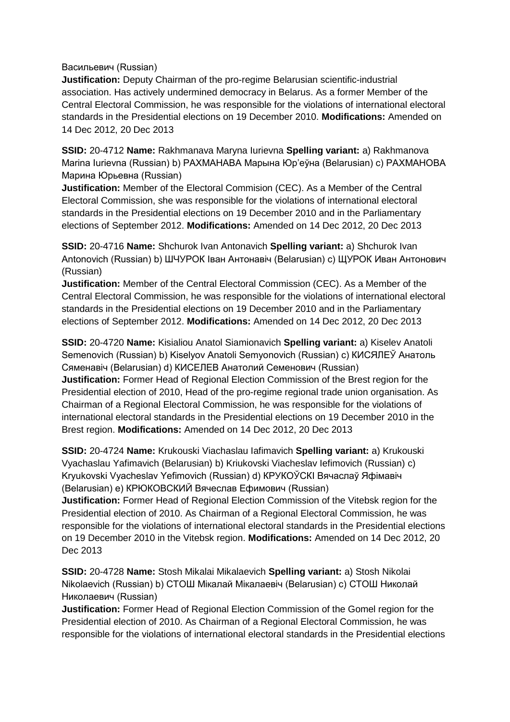Васильевич (Russian)

**Justification:** Deputy Chairman of the pro-regime Belarusian scientific-industrial association. Has actively undermined democracy in Belarus. As a former Member of the Central Electoral Commission, he was responsible for the violations of international electoral standards in the Presidential elections on 19 December 2010. **Modifications:** Amended on 14 Dec 2012, 20 Dec 2013

**SSID:** 20-4712 **Name:** Rakhmanava Maryna Iurievna **Spelling variant:** a) Rakhmanova Marina Iurievna (Russian) b) РАХМАНАВА Марына Юр'еўна (Belarusian) c) РАХМАНОВА Марина Юрьевна (Russian)

**Justification:** Member of the Electoral Commision (CEC). As a Member of the Central Electoral Commission, she was responsible for the violations of international electoral standards in the Presidential elections on 19 December 2010 and in the Parliamentary elections of September 2012. **Modifications:** Amended on 14 Dec 2012, 20 Dec 2013

**SSID:** 20-4716 **Name:** Shchurok Ivan Antonavich **Spelling variant:** a) Shchurok Ivan Antonovich (Russian) b) ШЧУРОК Іван Антонавіч (Belarusian) c) ЩУРОК Иван Антонович (Russian)

**Justification:** Member of the Central Electoral Commission (CEC). As a Member of the Central Electoral Commission, he was responsible for the violations of international electoral standards in the Presidential elections on 19 December 2010 and in the Parliamentary elections of September 2012. **Modifications:** Amended on 14 Dec 2012, 20 Dec 2013

**SSID:** 20-4720 **Name:** Kisialiou Anatol Siamionavich **Spelling variant:** a) Kiselev Anatoli Semenovich (Russian) b) Kiselyov Anatoli Semyonovich (Russian) c) КИСЯЛЕЎ Анатоль Сяменавiч (Belarusian) d) КИСЕЛЕВ Анатолий Семенович (Russian) **Justification:** Former Head of Regional Election Commission of the Brest region for the Presidential election of 2010, Head of the pro-regime regional trade union organisation. As Chairman of a Regional Electoral Commission, he was responsible for the violations of international electoral standards in the Presidential elections on 19 December 2010 in the Brest region. **Modifications:** Amended on 14 Dec 2012, 20 Dec 2013

**SSID:** 20-4724 **Name:** Krukouski Viachaslau Iafimavich **Spelling variant:** a) Krukouski Vyachaslau Yafimavich (Belarusian) b) Kriukovski Viacheslav Iefimovich (Russian) c) Kryukovski Vyacheslav Yefimovich (Russian) d) КРУКОЎСКI Вячаслаў Яфімавіч (Belarusian) e) КРЮКОВСКИЙ Вячеслав Ефимович (Russian)

**Justification:** Former Head of Regional Election Commission of the Vitebsk region for the Presidential election of 2010. As Chairman of a Regional Electoral Commission, he was responsible for the violations of international electoral standards in the Presidential elections on 19 December 2010 in the Vitebsk region. **Modifications:** Amended on 14 Dec 2012, 20 Dec 2013

**SSID:** 20-4728 **Name:** Stosh Mikalai Mikalaevich **Spelling variant:** a) Stosh Nikolai Nikolaevich (Russian) b) СТОШ Мікалай Мікалаевіч (Belarusian) c) СТОШ Николай Николаевич (Russian)

**Justification:** Former Head of Regional Election Commission of the Gomel region for the Presidential election of 2010. As Chairman of a Regional Electoral Commission, he was responsible for the violations of international electoral standards in the Presidential elections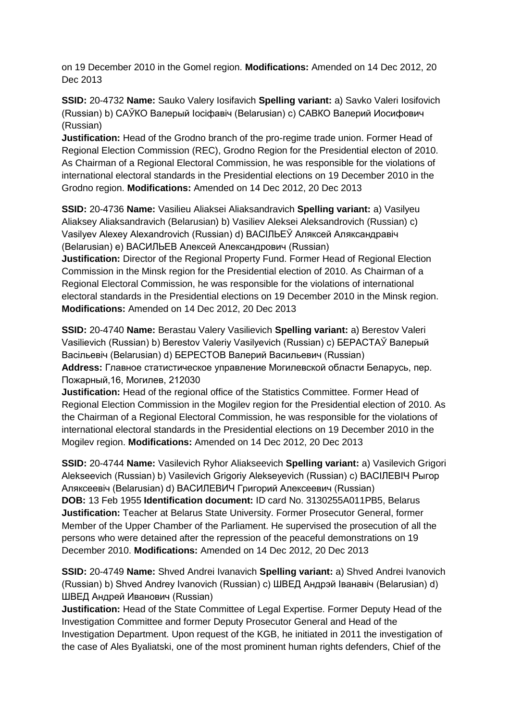on 19 December 2010 in the Gomel region. **Modifications:** Amended on 14 Dec 2012, 20 Dec 2013

**SSID:** 20-4732 **Name:** Sauko Valery Iosifavich **Spelling variant:** a) Savko Valeri Iosifovich (Russian) b) САЎКО Валерый Іосіфавіч (Belarusian) c) САВКО Валерий Иосифович (Russian)

**Justification:** Head of the Grodno branch of the pro-regime trade union. Former Head of Regional Election Commission (REC), Grodno Region for the Presidential electon of 2010. As Chairman of a Regional Electoral Commission, he was responsible for the violations of international electoral standards in the Presidential elections on 19 December 2010 in the Grodno region. **Modifications:** Amended on 14 Dec 2012, 20 Dec 2013

**SSID:** 20-4736 **Name:** Vasilieu Aliaksei Aliaksandravich **Spelling variant:** a) Vasilyeu Aliaksey Aliaksandravich (Belarusian) b) Vasiliev Aleksei Aleksandrovich (Russian) c) Vasilyev Alexey Alexandrovich (Russian) d) ВАСIЛЬЕЎ Аляксей Аляксандравіч (Belarusian) e) ВАСИЛЬЕВ Алексей Александрович (Russian)

**Justification:** Director of the Regional Property Fund. Former Head of Regional Election Commission in the Minsk region for the Presidential election of 2010. As Chairman of a Regional Electoral Commission, he was responsible for the violations of international electoral standards in the Presidential elections on 19 December 2010 in the Minsk region. **Modifications:** Amended on 14 Dec 2012, 20 Dec 2013

**SSID:** 20-4740 **Name:** Berastau Valery Vasilievich **Spelling variant:** a) Berestov Valeri Vasilievich (Russian) b) Berestov Valeriy Vasilyevich (Russian) c) БЕРАСТАЎ Валерый Васільевіч (Belarusian) d) БЕРЕСТОВ Валерий Васильевич (Russian) **Address:** Главное статистическое управление Могилевской области Беларусь, пер. Пожарный,16, Могилев, 212030

**Justification:** Head of the regional office of the Statistics Committee. Former Head of Regional Election Commission in the Mogilev region for the Presidential election of 2010. As the Chairman of a Regional Electoral Commission, he was responsible for the violations of international electoral standards in the Presidential elections on 19 December 2010 in the Mogilev region. **Modifications:** Amended on 14 Dec 2012, 20 Dec 2013

**SSID:** 20-4744 **Name:** Vasilevich Ryhor Aliakseevich **Spelling variant:** a) Vasilevich Grigori Alekseevich (Russian) b) Vasilevich Grigoriy Alekseyevich (Russian) c) ВАСIЛЕВIЧ Рыгор Аляксеевіч (Belarusian) d) ВАСИЛЕВИЧ Григорий Алексеевич (Russian) **DOB:** 13 Feb 1955 **Identification document:** ID card No. 3130255A011PB5, Belarus **Justification:** Teacher at Belarus State University. Former Prosecutor General, former Member of the Upper Chamber of the Parliament. He supervised the prosecution of all the persons who were detained after the repression of the peaceful demonstrations on 19 December 2010. **Modifications:** Amended on 14 Dec 2012, 20 Dec 2013

**SSID:** 20-4749 **Name:** Shved Andrei Ivanavich **Spelling variant:** a) Shved Andrei Ivanovich (Russian) b) Shved Andrey Ivanovich (Russian) c) ШВЕД Андрэй Іванавіч (Belarusian) d) ШВЕД Андрей Иванович (Russian)

**Justification:** Head of the State Committee of Legal Expertise. Former Deputy Head of the Investigation Committee and former Deputy Prosecutor General and Head of the Investigation Department. Upon request of the KGB, he initiated in 2011 the investigation of the case of Ales Byaliatski, one of the most prominent human rights defenders, Chief of the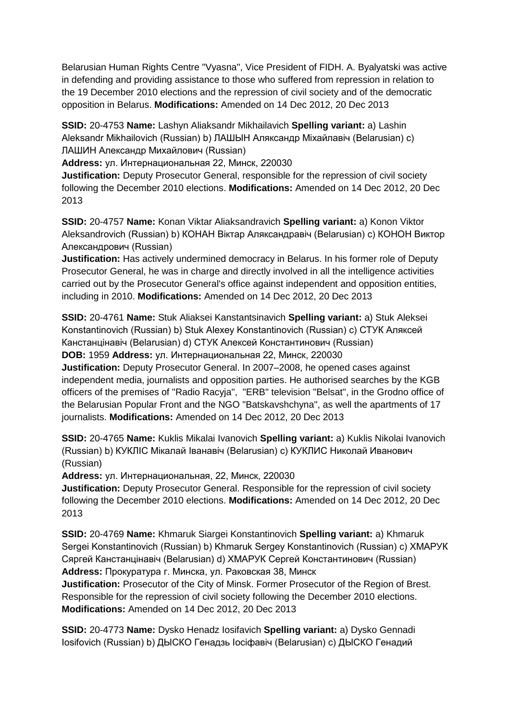Belarusian Human Rights Centre "Vyasna", Vice President of FIDH. A. Byalyatski was active in defending and providing assistance to those who suffered from repression in relation to the 19 December 2010 elections and the repression of civil society and of the democratic opposition in Belarus. **Modifications:** Amended on 14 Dec 2012, 20 Dec 2013

**SSID:** 20-4753 **Name:** Lashyn Aliaksandr Mikhailavich **Spelling variant:** a) Lashin Aleksandr Mikhailovich (Russian) b) ЛАШЫН Аляксандр Міхайлавіч (Belarusian) c) ЛАШИН Александр Михайлович (Russian)

**Address:** ул. Интернациональная 22, Минск, 220030

**Justification:** Deputy Prosecutor General, responsible for the repression of civil society following the December 2010 elections. **Modifications:** Amended on 14 Dec 2012, 20 Dec 2013

**SSID:** 20-4757 **Name:** Konan Viktar Aliaksandravich **Spelling variant:** a) Konon Viktor Aleksandrovich (Russian) b) КОНАН Віктар Аляксандравіч (Belarusian) c) КОНОН Виктор Александрович (Russian)

**Justification:** Has actively undermined democracy in Belarus. In his former role of Deputy Prosecutor General, he was in charge and directly involved in all the intelligence activities carried out by the Prosecutor General's office against independent and opposition entities, including in 2010. **Modifications:** Amended on 14 Dec 2012, 20 Dec 2013

**SSID:** 20-4761 **Name:** Stuk Aliaksei Kanstantsinavich **Spelling variant:** a) Stuk Aleksei Konstantinovich (Russian) b) Stuk Alexey Konstantinovich (Russian) c) СТУК Аляксей Канстанцінавіч (Belarusian) d) СТУК Алексей Константинович (Russian) **DOB:** 1959 **Address:** ул. Интернациональная 22, Минск, 220030

**Justification:** Deputy Prosecutor General. In 2007–2008, he opened cases against independent media, journalists and opposition parties. He authorised searches by the KGB officers of the premises of "Radio Racyja", "ERB" television "Belsat", in the Grodno office of the Belarusian Popular Front and the NGO "Batskavshchyna", as well the apartments of 17 journalists. **Modifications:** Amended on 14 Dec 2012, 20 Dec 2013

**SSID:** 20-4765 **Name:** Kuklis Mikalai Ivanovich **Spelling variant:** a) Kuklis Nikolai Ivanovich (Russian) b) КУКЛIС Мікалай Іванавіч (Belarusian) c) КУКЛИС Николай Иванович (Russian)

**Address:** ул. Интернациональная, 22, Минск, 220030

**Justification:** Deputy Prosecutor General. Responsible for the repression of civil society following the December 2010 elections. **Modifications:** Amended on 14 Dec 2012, 20 Dec 2013

**SSID:** 20-4769 **Name:** Khmaruk Siargei Konstantinovich **Spelling variant:** a) Khmaruk Sergei Konstantinovich (Russian) b) Khmaruk Sergey Konstantinovich (Russian) c) ХМАРУК Сяргей Канстанцінавіч (Belarusian) d) ХМАРУК Сергей Константинович (Russian) **Address:** Прокуратура г. Минска, ул. Раковская 38, Минск

**Justification:** Prosecutor of the City of Minsk. Former Prosecutor of the Region of Brest. Responsible for the repression of civil society following the December 2010 elections. **Modifications:** Amended on 14 Dec 2012, 20 Dec 2013

**SSID:** 20-4773 **Name:** Dysko Henadz Iosifavich **Spelling variant:** a) Dysko Gennadi Iosifovich (Russian) b) ДЫСКО Генадзь Іосіфавіч (Belarusian) c) ДЫСКО Генадий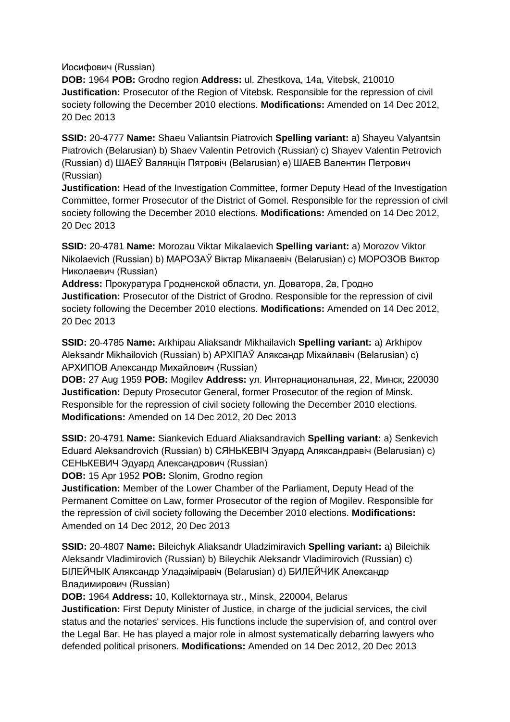Иосифович (Russian)

**DOB:** 1964 **POB:** Grodno region **Address:** ul. Zhestkova, 14a, Vitebsk, 210010 **Justification:** Prosecutor of the Region of Vitebsk. Responsible for the repression of civil society following the December 2010 elections. **Modifications:** Amended on 14 Dec 2012, 20 Dec 2013

**SSID:** 20-4777 **Name:** Shaeu Valiantsin Piatrovich **Spelling variant:** a) Shayeu Valyantsin Piatrovich (Belarusian) b) Shaev Valentin Petrovich (Russian) c) Shayev Valentin Petrovich (Russian) d) ШАЕЎ Валянцін Пятровіч (Belarusian) e) ШАЕВ Валентин Петрович (Russian)

**Justification:** Head of the Investigation Committee, former Deputy Head of the Investigation Committee, former Prosecutor of the District of Gomel. Responsible for the repression of civil society following the December 2010 elections. **Modifications:** Amended on 14 Dec 2012, 20 Dec 2013

**SSID:** 20-4781 **Name:** Morozau Viktar Mikalaevich **Spelling variant:** a) Morozov Viktor Nikolaevich (Russian) b) МАРОЗАЎ Віктар Мікалаевіч (Belarusian) c) МОРОЗОВ Виктор Николаевич (Russian)

**Address:** Прокуратурa Гродненской области, ул. Доватора, 2а, Гродно **Justification:** Prosecutor of the District of Grodno. Responsible for the repression of civil society following the December 2010 elections. **Modifications:** Amended on 14 Dec 2012, 20 Dec 2013

**SSID:** 20-4785 **Name:** Arkhipau Aliaksandr Mikhailavich **Spelling variant:** a) Arkhipov Aleksandr Mikhailovich (Russian) b) APXIПAЎ Аляксандр Міхайлавіч (Belarusian) c) АРХИПОВ Александр Михайлович (Russian)

**DOB:** 27 Aug 1959 **POB:** Mogilev **Address:** ул. Интернациональная, 22, Минск, 220030 **Justification:** Deputy Prosecutor General, former Prosecutor of the region of Minsk. Responsible for the repression of civil society following the December 2010 elections. **Modifications:** Amended on 14 Dec 2012, 20 Dec 2013

**SSID:** 20-4791 **Name:** Siankevich Eduard Aliaksandravich **Spelling variant:** a) Senkevich Eduard Aleksandrovich (Russian) b) СЯНЬКЕВIЧ Эдуард Аляксандравіч (Belarusian) c) СЕНЬКЕВИЧ Эдуард Александрович (Russian)

**DOB:** 15 Apr 1952 **POB:** Slonim, Grodno region

**Justification:** Member of the Lower Chamber of the Parliament, Deputy Head of the Permanent Comittee on Law, former Prosecutor of the region of Mogilev. Responsible for the repression of civil society following the December 2010 elections. **Modifications:**  Amended on 14 Dec 2012, 20 Dec 2013

**SSID:** 20-4807 **Name:** Bileichyk Aliaksandr Uladzimiravich **Spelling variant:** a) Bileichik Aleksandr Vladimirovich (Russian) b) Bileychik Aleksandr Vladimirovich (Russian) c) БIЛЕЙЧЫК Аляксандр Уладзіміравіч (Belarusian) d) БИЛЕЙЧИК Александр Владимирович (Russian)

**DOB:** 1964 **Address:** 10, Kollektornaya str., Minsk, 220004, Belarus

**Justification:** First Deputy Minister of Justice, in charge of the judicial services, the civil status and the notaries' services. His functions include the supervision of, and control over the Legal Bar. He has played a major role in almost systematically debarring lawyers who defended political prisoners. **Modifications:** Amended on 14 Dec 2012, 20 Dec 2013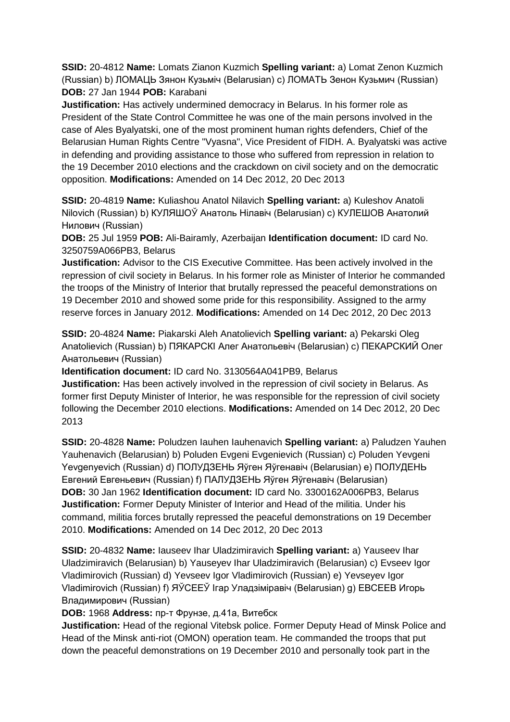**SSID:** 20-4812 **Name:** Lomats Zianon Kuzmich **Spelling variant:** a) Lomat Zenon Kuzmich (Russian) b) ЛОМАЦЬ Зянон Кузьміч (Belarusian) c) ЛОМАТЬ Зенон Кузьмич (Russian) **DOB:** 27 Jan 1944 **POB:** Karabani

**Justification:** Has actively undermined democracy in Belarus. In his former role as President of the State Control Committee he was one of the main persons involved in the case of Ales Byalyatski, one of the most prominent human rights defenders, Chief of the Belarusian Human Rights Centre "Vyasna", Vice President of FIDH. A. Byalyatski was active in defending and providing assistance to those who suffered from repression in relation to the 19 December 2010 elections and the crackdown on civil society and on the democratic opposition. **Modifications:** Amended on 14 Dec 2012, 20 Dec 2013

**SSID:** 20-4819 **Name:** Kuliashou Anatol Nilavich **Spelling variant:** a) Kuleshov Anatoli Nilovich (Russian) b) КУЛЯШОЎ Анатоль Нілавіч (Belarusian) c) КУЛЕШОВ Анатолий Нилович (Russian)

**DOB:** 25 Jul 1959 **POB:** Ali-Bairamly, Azerbaijan **Identification document:** ID card No. 3250759A066PB3, Belarus

**Justification:** Advisor to the CIS Executive Committee. Has been actively involved in the repression of civil society in Belarus. In his former role as Minister of Interior he commanded the troops of the Ministry of Interior that brutally repressed the peaceful demonstrations on 19 December 2010 and showed some pride for this responsibility. Assigned to the army reserve forces in January 2012. **Modifications:** Amended on 14 Dec 2012, 20 Dec 2013

**SSID:** 20-4824 **Name:** Piakarski Aleh Anatolievich **Spelling variant:** a) Pekarski Oleg Anatolievich (Russian) b) ПЯКАРСКI Алег Анатольевіч (Belarusian) c) ПЕКАРСКИЙ Олег Анатольевич (Russian)

**Identification document:** ID card No. 3130564A041PB9, Belarus

**Justification:** Has been actively involved in the repression of civil society in Belarus. As former first Deputy Minister of Interior, he was responsible for the repression of civil society following the December 2010 elections. **Modifications:** Amended on 14 Dec 2012, 20 Dec 2013

**SSID:** 20-4828 **Name:** Poludzen Iauhen Iauhenavich **Spelling variant:** a) Paludzen Yauhen Yauhenavich (Belarusian) b) Poluden Evgeni Evgenievich (Russian) c) Poluden Yevgeni Yevgenyevich (Russian) d) ПОЛУДЗЕНЬ Яўген Яўгенавіч (Belarusian) e) ПОЛУДЕНЬ Евгений Евгеньевич (Russian) f) ПАЛУДЗЕНЬ Яўген Яўгенавiч (Belarusian) **DOB:** 30 Jan 1962 **Identification document:** ID card No. 3300162A006PB3, Belarus **Justification:** Former Deputy Minister of Interior and Head of the militia. Under his command, militia forces brutally repressed the peaceful demonstrations on 19 December 2010. **Modifications:** Amended on 14 Dec 2012, 20 Dec 2013

**SSID:** 20-4832 **Name:** Iauseev Ihar Uladzimiravich **Spelling variant:** a) Yauseev Ihar Uladzimiravich (Belarusian) b) Yauseyev Ihar Uladzimiravich (Belarusian) c) Evseev Igor Vladimirovich (Russian) d) Yevseev Igor Vladimirovich (Russian) e) Yevseyev Igor Vladimirovich (Russian) f) ЯЎСЕЕЎ Ігар Уладзіміравіч (Belarusian) g) ЕВСЕЕВ Игорь Владимирович (Russian)

**DOB:** 1968 **Address:** пр-т Фрунзе, д.41а, Витебск

**Justification:** Head of the regional Vitebsk police. Former Deputy Head of Minsk Police and Head of the Minsk anti-riot (OMON) operation team. He commanded the troops that put down the peaceful demonstrations on 19 December 2010 and personally took part in the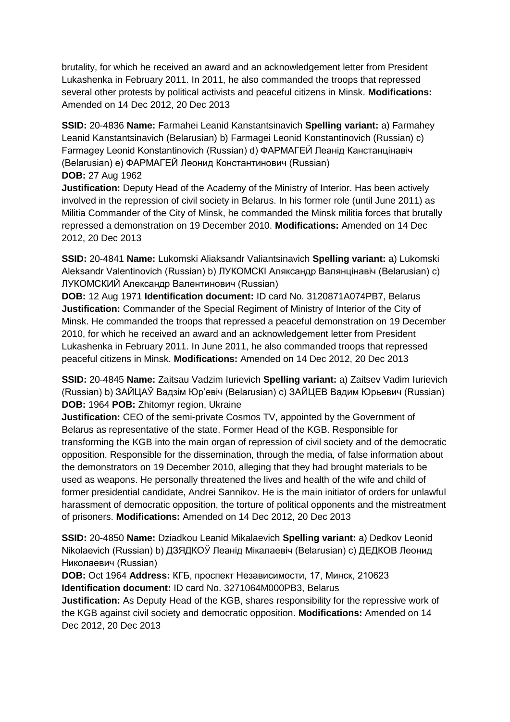brutality, for which he received an award and an acknowledgement letter from President Lukashenka in February 2011. In 2011, he also commanded the troops that repressed several other protests by political activists and peaceful citizens in Minsk. **Modifications:**  Amended on 14 Dec 2012, 20 Dec 2013

**SSID:** 20-4836 **Name:** Farmahei Leanid Kanstantsinavich **Spelling variant:** a) Farmahey Leanid Kanstantsinavich (Belarusian) b) Farmagei Leonid Konstantinovich (Russian) c) Farmagey Leonid Konstantinovich (Russian) d) ФАРМАГЕЙ Леанід Канстанцінавіч (Belarusian) e) ФАРМАГЕЙ Леонид Константинович (Russian) **DOB:** 27 Aug 1962

**Justification:** Deputy Head of the Academy of the Ministry of Interior. Has been actively involved in the repression of civil society in Belarus. In his former role (until June 2011) as Militia Commander of the City of Minsk, he commanded the Minsk militia forces that brutally repressed a demonstration on 19 December 2010. **Modifications:** Amended on 14 Dec 2012, 20 Dec 2013

**SSID:** 20-4841 **Name:** Lukomski Aliaksandr Valiantsinavich **Spelling variant:** a) Lukomski Aleksandr Valentinovich (Russian) b) ЛУКОМСКI Аляксандр Валянцінавіч (Belarusian) c) ЛУКОМСКИЙ Александр Валентинович (Russian)

**DOB:** 12 Aug 1971 **Identification document:** ID card No. 3120871A074PB7, Belarus **Justification:** Commander of the Special Regiment of Ministry of Interior of the City of Minsk. He commanded the troops that repressed a peaceful demonstration on 19 December 2010, for which he received an award and an acknowledgement letter from President Lukashenka in February 2011. In June 2011, he also commanded troops that repressed peaceful citizens in Minsk. **Modifications:** Amended on 14 Dec 2012, 20 Dec 2013

**SSID:** 20-4845 **Name:** Zaitsau Vadzim Iurievich **Spelling variant:** a) Zaitsev Vadim Iurievich (Russian) b) ЗАЙЦАЎ Вадзім Юр'евіч (Belarusian) c) ЗАЙЦЕВ Вадим Юрьевич (Russian) **DOB:** 1964 **POB:** Zhitomyr region, Ukraine

**Justification:** CEO of the semi-private Cosmos TV, appointed by the Government of Belarus as representative of the state. Former Head of the KGB. Responsible for transforming the KGB into the main organ of repression of civil society and of the democratic opposition. Responsible for the dissemination, through the media, of false information about the demonstrators on 19 December 2010, alleging that they had brought materials to be used as weapons. He personally threatened the lives and health of the wife and child of former presidential candidate, Andrei Sannikov. He is the main initiator of orders for unlawful harassment of democratic opposition, the torture of political opponents and the mistreatment of prisoners. **Modifications:** Amended on 14 Dec 2012, 20 Dec 2013

**SSID:** 20-4850 **Name:** Dziadkou Leanid Mikalaevich **Spelling variant:** a) Dedkov Leonid Nikolaevich (Russian) b) ДЗЯДКОЎ Леанід Мікалаевіч (Belarusian) c) ДЕДКОВ Леонид Николаевич (Russian)

**DOB:** Oct 1964 **Address:** КГБ, проспект Независимости, 17, Минск, 210623 **Identification document:** ID card No. 3271064M000PB3, Belarus

**Justification:** As Deputy Head of the KGB, shares responsibility for the repressive work of the KGB against civil society and democratic opposition. **Modifications:** Amended on 14 Dec 2012, 20 Dec 2013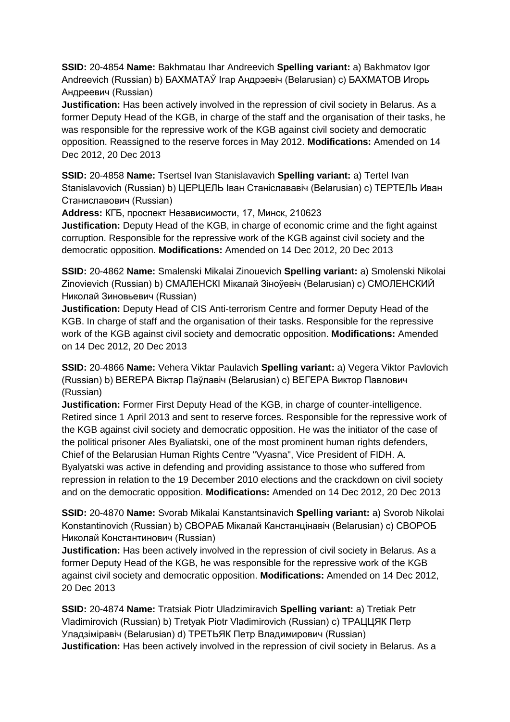**SSID:** 20-4854 **Name:** Bakhmatau Ihar Andreevich **Spelling variant:** a) Bakhmatov Igor Andreevich (Russian) b) БАХМАТАЎ Ігар Андрэевіч (Belarusian) c) БАХМАТОВ Игорь Андреевич (Russian)

**Justification:** Has been actively involved in the repression of civil society in Belarus. As a former Deputy Head of the KGB, in charge of the staff and the organisation of their tasks, he was responsible for the repressive work of the KGB against civil society and democratic opposition. Reassigned to the reserve forces in May 2012. **Modifications:** Amended on 14 Dec 2012, 20 Dec 2013

**SSID:** 20-4858 **Name:** Tsertsel Ivan Stanislavavich **Spelling variant:** a) Tertel Ivan Stanislavovich (Russian) b) ЦЕРЦЕЛЬ Іван Станіслававіч (Belarusian) c) ТЕРТЕЛЬ Иван Станиславович (Russian)

**Address:** КГБ, проспект Независимости, 17, Минск, 210623

**Justification:** Deputy Head of the KGB, in charge of economic crime and the fight against corruption. Responsible for the repressive work of the KGB against civil society and the democratic opposition. **Modifications:** Amended on 14 Dec 2012, 20 Dec 2013

**SSID:** 20-4862 **Name:** Smalenski Mikalai Zinouevich **Spelling variant:** a) Smolenski Nikolai Zinovievich (Russian) b) СМАЛЕНСКI Мікалай Зіноўевіч (Belarusian) c) СМОЛЕНСКИЙ Николай Зиновьевич (Russian)

**Justification:** Deputy Head of CIS Anti-terrorism Centre and former Deputy Head of the KGB. In charge of staff and the organisation of their tasks. Responsible for the repressive work of the KGB against civil society and democratic opposition. **Modifications:** Amended on 14 Dec 2012, 20 Dec 2013

**SSID:** 20-4866 **Name:** Vehera Viktar Paulavich **Spelling variant:** a) Vegera Viktor Pavlovich (Russian) b) BEREPA Віктар Паўлавіч (Belarusian) c) ВЕГЕРА Виктор Павлович (Russian)

**Justification:** Former First Deputy Head of the KGB, in charge of counter-intelligence. Retired since 1 April 2013 and sent to reserve forces. Responsible for the repressive work of the KGB against civil society and democratic opposition. He was the initiator of the case of the political prisoner Ales Byaliatski, one of the most prominent human rights defenders, Chief of the Belarusian Human Rights Centre "Vyasna", Vice President of FIDH. A. Byalyatski was active in defending and providing assistance to those who suffered from repression in relation to the 19 December 2010 elections and the crackdown on civil society and on the democratic opposition. **Modifications:** Amended on 14 Dec 2012, 20 Dec 2013

**SSID:** 20-4870 **Name:** Svorab Mikalai Kanstantsinavich **Spelling variant:** a) Svorob Nikolai Konstantinovich (Russian) b) СВОРАБ Мікалай Канстанцінавіч (Belarusian) c) СВОРОБ Николай Константинович (Russian)

**Justification:** Has been actively involved in the repression of civil society in Belarus. As a former Deputy Head of the KGB, he was responsible for the repressive work of the KGB against civil society and democratic opposition. **Modifications:** Amended on 14 Dec 2012, 20 Dec 2013

**SSID:** 20-4874 **Name:** Tratsiak Piotr Uladzimiravich **Spelling variant:** a) Tretiak Petr Vladimirovich (Russian) b) Tretyak Piotr Vladimirovich (Russian) c) ТРАЦЦЯК Петр Уладзiмiравiч (Belarusian) d) ТРЕТЬЯК Петр Владимирович (Russian) **Justification:** Has been actively involved in the repression of civil society in Belarus. As a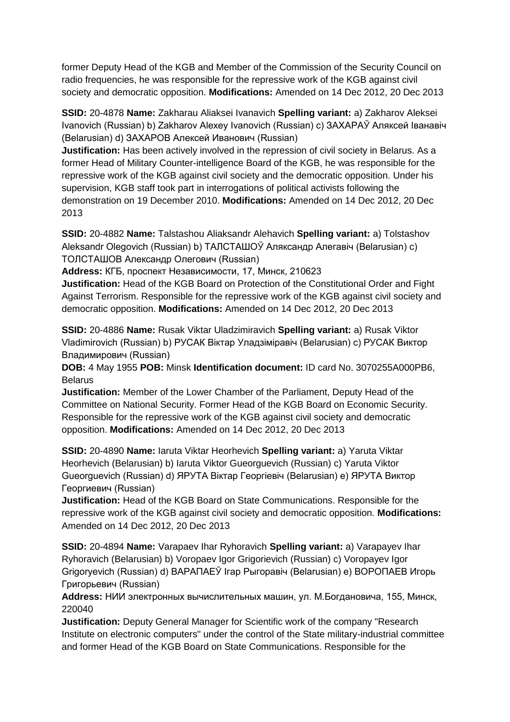former Deputy Head of the KGB and Member of the Commission of the Security Council on radio frequencies, he was responsible for the repressive work of the KGB against civil society and democratic opposition. **Modifications:** Amended on 14 Dec 2012, 20 Dec 2013

**SSID:** 20-4878 **Name:** Zakharau Aliaksei Ivanavich **Spelling variant:** a) Zakharov Aleksei Ivanovich (Russian) b) Zakharov Alexey Ivanovich (Russian) c) ЗАХАРАЎ Аляксей Іванавіч (Belarusian) d) ЗАХАРОВ Алексей Иванович (Russian)

**Justification:** Has been actively involved in the repression of civil society in Belarus. As a former Head of Military Counter-intelligence Board of the KGB, he was responsible for the repressive work of the KGB against civil society and the democratic opposition. Under his supervision, KGB staff took part in interrogations of political activists following the demonstration on 19 December 2010. **Modifications:** Amended on 14 Dec 2012, 20 Dec 2013

**SSID:** 20-4882 **Name:** Talstashou Aliaksandr Alehavich **Spelling variant:** a) Tolstashov Aleksandr Olegovich (Russian) b) ТАЛСТАШОЎ Аляксандр Алегавіч (Belarusian) c) ТОЛСТАШОВ Александр Олегович (Russian)

**Address:** КГБ, проспект Независимости, 17, Минск, 210623

**Justification:** Head of the KGB Board on Protection of the Constitutional Order and Fight Against Terrorism. Responsible for the repressive work of the KGB against civil society and democratic opposition. **Modifications:** Amended on 14 Dec 2012, 20 Dec 2013

**SSID:** 20-4886 **Name:** Rusak Viktar Uladzimiravich **Spelling variant:** a) Rusak Viktor Vladimirovich (Russian) b) РУСАК Віктар Уладзіміравіч (Belarusian) c) РУСАК Виктор Владимирович (Russian)

**DOB:** 4 May 1955 **POB:** Minsk **Identification document:** ID card No. 3070255A000PB6, Belarus

**Justification:** Member of the Lower Chamber of the Parliament, Deputy Head of the Committee on National Security. Former Head of the KGB Board on Economic Security. Responsible for the repressive work of the KGB against civil society and democratic opposition. **Modifications:** Amended on 14 Dec 2012, 20 Dec 2013

**SSID:** 20-4890 **Name:** Iaruta Viktar Heorhevich **Spelling variant:** a) Yaruta Viktar Heorhevich (Belarusian) b) Iaruta Viktor Gueorguevich (Russian) c) Yaruta Viktor Gueorguevich (Russian) d) ЯРУТА Віктар Георгiевiч (Belarusian) e) ЯРУТА Виктор Георгиевич (Russian)

**Justification:** Head of the KGB Board on State Communications. Responsible for the repressive work of the KGB against civil society and democratic opposition. **Modifications:**  Amended on 14 Dec 2012, 20 Dec 2013

**SSID:** 20-4894 **Name:** Varapaev Ihar Ryhoravich **Spelling variant:** a) Varapayev Ihar Ryhoravich (Belarusian) b) Voropaev Igor Grigorievich (Russian) c) Voropayev Igor Grigoryevich (Russian) d) ВАРАПАЕЎ Ігар Рыгоравiч (Belarusian) e) ВОРОПАЕВ Игорь Григорьевич (Russian)

**Address:** НИИ электронных вычислительных машин, ул. М.Богдановича, 155, Минск, 220040

**Justification:** Deputy General Manager for Scientific work of the company "Research Institute on electronic computers" under the control of the State military-industrial committee and former Head of the KGB Board on State Communications. Responsible for the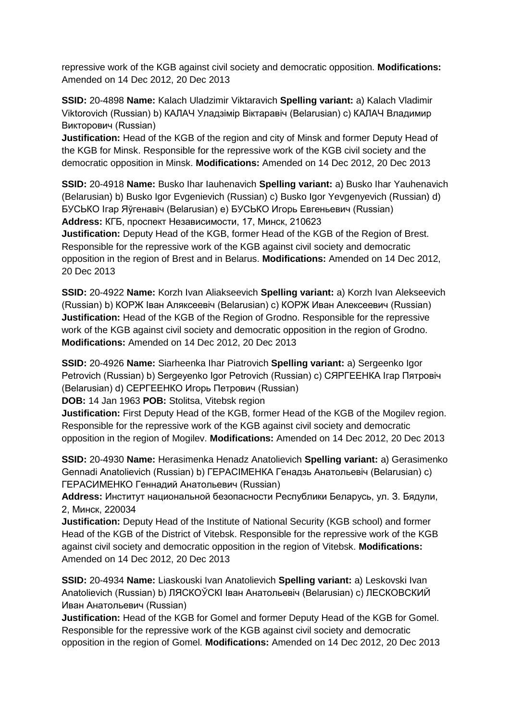repressive work of the KGB against civil society and democratic opposition. **Modifications:**  Amended on 14 Dec 2012, 20 Dec 2013

**SSID:** 20-4898 **Name:** Kalach Uladzimir Viktaravich **Spelling variant:** a) Kalach Vladimir Viktorovich (Russian) b) КАЛАЧ Уладзімір Віктаравіч (Belarusian) c) КАЛАЧ Владимир Викторович (Russian)

**Justification:** Head of the KGB of the region and city of Minsk and former Deputy Head of the KGB for Minsk. Responsible for the repressive work of the KGB civil society and the democratic opposition in Minsk. **Modifications:** Amended on 14 Dec 2012, 20 Dec 2013

**SSID:** 20-4918 **Name:** Busko Ihar Iauhenavich **Spelling variant:** a) Busko Ihar Yauhenavich (Belarusian) b) Busko Igor Evgenievich (Russian) c) Busko Igor Yevgenyevich (Russian) d) БУСЬКО Ігар Яўгенавіч (Belarusian) e) БУСЬКО Игорь Евгеньевич (Russian) **Address:** КГБ, проспект Независимости, 17, Минск, 210623

**Justification:** Deputy Head of the KGB, former Head of the KGB of the Region of Brest. Responsible for the repressive work of the KGB against civil society and democratic opposition in the region of Brest and in Belarus. **Modifications:** Amended on 14 Dec 2012, 20 Dec 2013

**SSID:** 20-4922 **Name:** Korzh Ivan Aliakseevich **Spelling variant:** a) Korzh Ivan Alekseevich (Russian) b) КОРЖ Іван Аляксеевіч (Belarusian) c) КОРЖ Иван Алексеевич (Russian) **Justification:** Head of the KGB of the Region of Grodno. Responsible for the repressive work of the KGB against civil society and democratic opposition in the region of Grodno. **Modifications:** Amended on 14 Dec 2012, 20 Dec 2013

**SSID:** 20-4926 **Name:** Siarheenka Ihar Piatrovich **Spelling variant:** a) Sergeenko Igor Petrovich (Russian) b) Sergeyenko Igor Petrovich (Russian) c) СЯРГЕЕНКА Ігар Пятровіч (Belarusian) d) СЕРГЕЕНКО Игорь Петрович (Russian)

**DOB:** 14 Jan 1963 **POB:** Stolitsa, Vitebsk region

**Justification:** First Deputy Head of the KGB, former Head of the KGB of the Mogilev region. Responsible for the repressive work of the KGB against civil society and democratic opposition in the region of Mogilev. **Modifications:** Amended on 14 Dec 2012, 20 Dec 2013

**SSID:** 20-4930 **Name:** Herasimenka Henadz Anatolievich **Spelling variant:** a) Gerasimenko Gennadi Anatolievich (Russian) b) ГЕРАСIМЕНКА Генадзь Анатольевіч (Belarusian) c) ГЕРАСИМЕНКО Геннадий Анатольевич (Russian)

**Address:** Институт национальной безопасности Республики Беларусь, ул. З. Бядули, 2, Минск, 220034

**Justification:** Deputy Head of the Institute of National Security (KGB school) and former Head of the KGB of the District of Vitebsk. Responsible for the repressive work of the KGB against civil society and democratic opposition in the region of Vitebsk. **Modifications:**  Amended on 14 Dec 2012, 20 Dec 2013

**SSID:** 20-4934 **Name:** Liaskouski Ivan Anatolievich **Spelling variant:** a) Leskovski Ivan Anatolievich (Russian) b) ЛЯСКОЎСКI Іван Анатольевіч (Belarusian) c) ЛЕСКОВСКИЙ Иван Анатольевич (Russian)

**Justification:** Head of the KGB for Gomel and former Deputy Head of the KGB for Gomel. Responsible for the repressive work of the KGB against civil society and democratic opposition in the region of Gomel. **Modifications:** Amended on 14 Dec 2012, 20 Dec 2013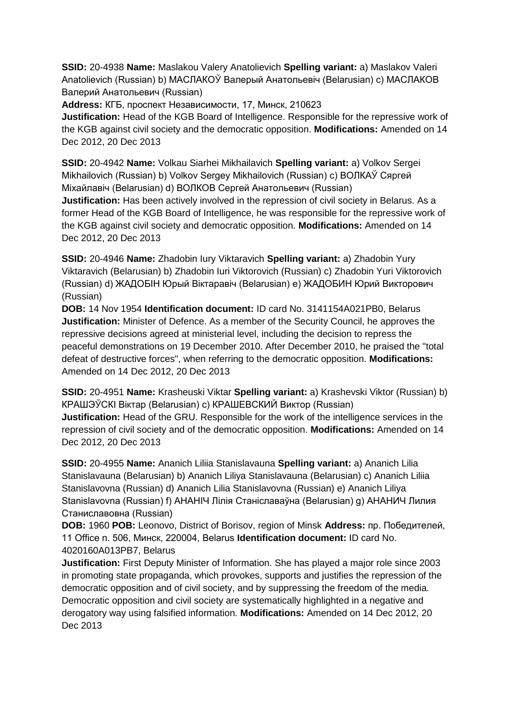**SSID:** 20-4938 **Name:** Maslakou Valery Anatolievich **Spelling variant:** a) Maslakov Valeri Anatolievich (Russian) b) МАСЛАКОЎ Валерый Анатольевiч (Belarusian) c) МАСЛАКОВ Валерий Анатольевич (Russian)

**Address:** КГБ, проспект Независимости, 17, Минск, 210623

**Justification:** Head of the KGB Board of Intelligence. Responsible for the repressive work of the KGB against civil society and the democratic opposition. **Modifications:** Amended on 14 Dec 2012, 20 Dec 2013

**SSID:** 20-4942 **Name:** Volkau Siarhei Mikhailavich **Spelling variant:** a) Volkov Sergei Mikhailovich (Russian) b) Volkov Sergey Mikhailovich (Russian) c) ВОЛКАЎ Сяргей Мiхайлавiч (Belarusian) d) ВОЛКОВ Сергей Анатольевич (Russian)

**Justification:** Has been actively involved in the repression of civil society in Belarus. As a former Head of the KGB Board of Intelligence, he was responsible for the repressive work of the KGB against civil society and democratic opposition. **Modifications:** Amended on 14 Dec 2012, 20 Dec 2013

**SSID:** 20-4946 **Name:** Zhadobin Iury Viktaravich **Spelling variant:** a) Zhadobin Yury Viktaravich (Belarusian) b) Zhadobin Iuri Viktorovich (Russian) c) Zhadobin Yuri Viktorovich (Russian) d) ЖАДОБIН Юрый Віктаравіч (Belarusian) e) ЖАДОБИН Юрий Викторович (Russian)

**DOB:** 14 Nov 1954 **Identification document:** ID card No. 3141154A021PB0, Belarus **Justification:** Minister of Defence. As a member of the Security Council, he approves the repressive decisions agreed at ministerial level, including the decision to repress the peaceful demonstrations on 19 December 2010. After December 2010, he praised the "total defeat of destructive forces", when referring to the democratic opposition. **Modifications:**  Amended on 14 Dec 2012, 20 Dec 2013

**SSID:** 20-4951 **Name:** Krasheuski Viktar **Spelling variant:** a) Krashevski Viktor (Russian) b) КРАШЭЎСКI Віктар (Belarusian) c) КРАШЕВСКИЙ Виктор (Russian) **Justification:** Head of the GRU. Responsible for the work of the intelligence services in the repression of civil society and of the democratic opposition. **Modifications:** Amended on 14 Dec 2012, 20 Dec 2013

**SSID:** 20-4955 **Name:** Ananich Liliia Stanislavauna **Spelling variant:** a) Ananich Lilia Stanislavauna (Belarusian) b) Ananich Liliya Stanislavauna (Belarusian) c) Ananich Liliia Stanislavovna (Russian) d) Ananich Lilia Stanislavovna (Russian) e) Ananich Liliya Stanislavovna (Russian) f) АНАНIЧ Лілія Станіславаўна (Belarusian) g) АНАНИЧ Лилия Станиславовна (Russian)

**DOB:** 1960 **POB:** Leonovo, District of Borisov, region of Minsk **Address:** пр. Победителей, 11 Office n. 506, Минск, 220004, Belarus **Identification document:** ID card No. 4020160A013PB7, Belarus

**Justification:** First Deputy Minister of Information. She has played a major role since 2003 in promoting state propaganda, which provokes, supports and justifies the repression of the democratic opposition and of civil society, and by suppressing the freedom of the media. Democratic opposition and civil society are systematically highlighted in a negative and derogatory way using falsified information. **Modifications:** Amended on 14 Dec 2012, 20 Dec 2013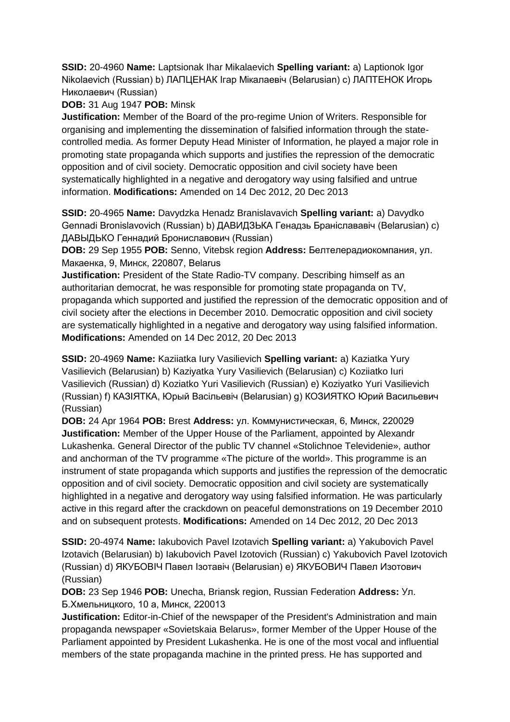**SSID:** 20-4960 **Name:** Laptsionak Ihar Mikalaevich **Spelling variant:** a) Laptionok Igor Nikolaevich (Russian) b) ЛАПЦЕНАК Ігар Мікалаевіч (Belarusian) c) ЛАПТЕНОК Игорь Николаевич (Russian)

# **DOB:** 31 Aug 1947 **POB:** Minsk

**Justification:** Member of the Board of the pro-regime Union of Writers. Responsible for organising and implementing the dissemination of falsified information through the statecontrolled media. As former Deputy Head Minister of Information, he played a major role in promoting state propaganda which supports and justifies the repression of the democratic opposition and of civil society. Democratic opposition and civil society have been systematically highlighted in a negative and derogatory way using falsified and untrue information. **Modifications:** Amended on 14 Dec 2012, 20 Dec 2013

**SSID:** 20-4965 **Name:** Davydzka Henadz Branislavavich **Spelling variant:** a) Davydko Gennadi Bronislavovich (Russian) b) ДАВИДЗЬКА Генадзь Браніслававіч (Belarusian) c) ДАВЫДЬКО Геннадий Брониславович (Russian)

**DOB:** 29 Sep 1955 **POB:** Senno, Vitebsk region **Address:** Белтелерадиокомпания, ул. Макаенка, 9, Минск, 220807, Belarus

**Justification:** President of the State Radio-TV company. Describing himself as an authoritarian democrat, he was responsible for promoting state propaganda on TV, propaganda which supported and justified the repression of the democratic opposition and of civil society after the elections in December 2010. Democratic opposition and civil society are systematically highlighted in a negative and derogatory way using falsified information. **Modifications:** Amended on 14 Dec 2012, 20 Dec 2013

**SSID:** 20-4969 **Name:** Kaziiatka Iury Vasilievich **Spelling variant:** a) Kaziatka Yury Vasilievich (Belarusian) b) Kaziyatka Yury Vasilievich (Belarusian) c) Koziiatko Iuri Vasilievich (Russian) d) Koziatko Yuri Vasilievich (Russian) e) Koziyatko Yuri Vasilievich (Russian) f) КАЗIЯТКА, Юрый Васільевіч (Belarusian) g) КОЗИЯТКО Юрий Васильевич (Russian)

**DOB:** 24 Apr 1964 **POB:** Brest **Address:** ул. Коммунистическая, 6, Минск, 220029 **Justification:** Member of the Upper House of the Parliament, appointed by Alexandr Lukashenka. General Director of the public TV channel «Stolichnoe Televidenie», author and anchorman of the TV programme «The picture of the world». This programme is an instrument of state propaganda which supports and justifies the repression of the democratic opposition and of civil society. Democratic opposition and civil society are systematically highlighted in a negative and derogatory way using falsified information. He was particularly active in this regard after the crackdown on peaceful demonstrations on 19 December 2010 and on subsequent protests. **Modifications:** Amended on 14 Dec 2012, 20 Dec 2013

**SSID:** 20-4974 **Name:** Iakubovich Pavel Izotavich **Spelling variant:** a) Yakubovich Pavel Izotavich (Belarusian) b) Iakubovich Pavel Izotovich (Russian) c) Yakubovich Pavel Izotovich (Russian) d) ЯКУБОВIЧ Павел Ізотавіч (Belarusian) e) ЯКУБОВИЧ Павел Изотович (Russian)

**DOB:** 23 Sep 1946 **POB:** Unecha, Briansk region, Russian Federation **Address:** Ул. Б.Хмельницкого, 10 а, Минск, 220013

**Justification:** Editor-in-Chief of the newspaper of the President's Administration and main propaganda newspaper «Sovietskaia Belarus», former Member of the Upper House of the Parliament appointed by President Lukashenka. He is one of the most vocal and influential members of the state propaganda machine in the printed press. He has supported and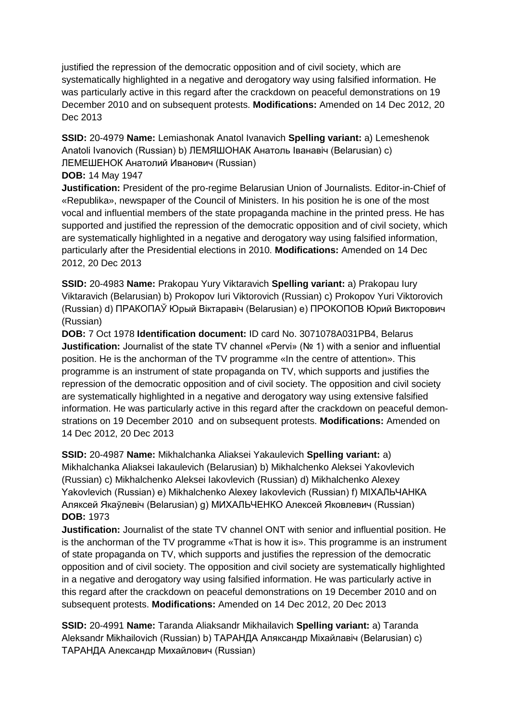justified the repression of the democratic opposition and of civil society, which are systematically highlighted in a negative and derogatory way using falsified information. He was particularly active in this regard after the crackdown on peaceful demonstrations on 19 December 2010 and on subsequent protests. **Modifications:** Amended on 14 Dec 2012, 20 Dec 2013

**SSID:** 20-4979 **Name:** Lemiashonak Anatol Ivanavich **Spelling variant:** a) Lemeshenok Anatoli Ivanovich (Russian) b) ЛЕМЯШОНАК Анатоль Іванавіч (Belarusian) c) ЛЕМЕШЕНОК Анатолий Иванович (Russian)

**DOB:** 14 May 1947

**Justification:** President of the pro-regime Belarusian Union of Journalists. Editor-in-Chief of «Republika», newspaper of the Council of Ministers. In his position he is one of the most vocal and influential members of the state propaganda machine in the printed press. He has supported and justified the repression of the democratic opposition and of civil society, which are systematically highlighted in a negative and derogatory way using falsified information, particularly after the Presidential elections in 2010. **Modifications:** Amended on 14 Dec 2012, 20 Dec 2013

**SSID:** 20-4983 **Name:** Prakopau Yury Viktaravich **Spelling variant:** a) Prakopau Iury Viktaravich (Belarusian) b) Prokopov Iuri Viktorovich (Russian) c) Prokopov Yuri Viktorovich (Russian) d) ПРАКОПАЎ Юрый Вiктаравiч (Belarusian) e) ПРОКОПОВ Юрий Викторович (Russian)

**DOB:** 7 Oct 1978 **Identification document:** ID card No. 3071078A031PB4, Belarus **Justification:** Journalist of the state TV channel «Pervi» (№ 1) with a senior and influential position. He is the anchorman of the TV programme «In the centre of attention». This programme is an instrument of state propaganda on TV, which supports and justifies the repression of the democratic opposition and of civil society. The opposition and civil society are systematically highlighted in a negative and derogatory way using extensive falsified information. He was particularly active in this regard after the crackdown on peaceful demonstrations on 19 December 2010 and on subsequent protests. **Modifications:** Amended on 14 Dec 2012, 20 Dec 2013

**SSID:** 20-4987 **Name:** Mikhalchanka Aliaksei Yakaulevich **Spelling variant:** a) Mikhalchanka Aliaksei Iakaulevich (Belarusian) b) Mikhalchenko Aleksei Yakovlevich (Russian) c) Mikhalchenko Aleksei Iakovlevich (Russian) d) Mikhalchenko Alexey Yakovlevich (Russian) e) Mikhalchenko Alexey Iakovlevich (Russian) f) МIХАЛЬЧАНКА Аляксей Якаўлевiч (Belarusian) g) МИХАЛЬЧЕНКО Алексей Яковлевич (Russian) **DOB:** 1973

**Justification:** Journalist of the state TV channel ONT with senior and influential position. He is the anchorman of the TV programme «That is how it is». This programme is an instrument of state propaganda on TV, which supports and justifies the repression of the democratic opposition and of civil society. The opposition and civil society are systematically highlighted in a negative and derogatory way using falsified information. He was particularly active in this regard after the crackdown on peaceful demonstrations on 19 December 2010 and on subsequent protests. **Modifications:** Amended on 14 Dec 2012, 20 Dec 2013

**SSID:** 20-4991 **Name:** Taranda Aliaksandr Mikhailavich **Spelling variant:** a) Taranda Aleksandr Mikhailovich (Russian) b) ТАРАНДА Аляксандр Міхайлавіч (Belarusian) c) ТАРАНДА Александр Михайлович (Russian)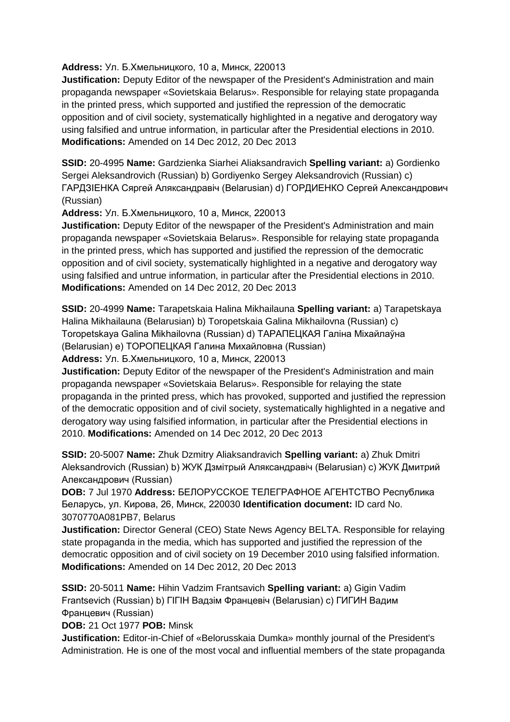#### **Address:** Ул. Б.Хмельницкого, 10 а, Минск, 220013

**Justification:** Deputy Editor of the newspaper of the President's Administration and main propaganda newspaper «Sovietskaia Belarus». Responsible for relaying state propaganda in the printed press, which supported and justified the repression of the democratic opposition and of civil society, systematically highlighted in a negative and derogatory way using falsified and untrue information, in particular after the Presidential elections in 2010. **Modifications:** Amended on 14 Dec 2012, 20 Dec 2013

**SSID:** 20-4995 **Name:** Gardzienka Siarhei Aliaksandravich **Spelling variant:** a) Gordienko Sergei Aleksandrovich (Russian) b) Gordiyenko Sergey Aleksandrovich (Russian) c) ГАРДЗIЕНКА Сяргей Аляксандравіч (Belarusian) d) ГОРДИЕНКО Сергей Александрович (Russian)

**Address:** Ул. Б.Хмельницкого, 10 а, Минск, 220013

**Justification:** Deputy Editor of the newspaper of the President's Administration and main propaganda newspaper «Sovietskaia Belarus». Responsible for relaying state propaganda in the printed press, which has supported and justified the repression of the democratic opposition and of civil society, systematically highlighted in a negative and derogatory way using falsified and untrue information, in particular after the Presidential elections in 2010. **Modifications:** Amended on 14 Dec 2012, 20 Dec 2013

**SSID:** 20-4999 **Name:** Tarapetskaia Halina Mikhailauna **Spelling variant:** a) Tarapetskaya Halina Mikhailauna (Belarusian) b) Toropetskaia Galina Mikhailovna (Russian) c) Toropetskaya Galina Mikhailovna (Russian) d) ТАРАПЕЦКАЯ Галіна Міхайлаўна (Belarusian) e) ТОРОПЕЦКАЯ Галина Михайловна (Russian)

**Address:** Ул. Б.Хмельницкого, 10 а, Минск, 220013

**Justification:** Deputy Editor of the newspaper of the President's Administration and main propaganda newspaper «Sovietskaia Belarus». Responsible for relaying the state propaganda in the printed press, which has provoked, supported and justified the repression of the democratic opposition and of civil society, systematically highlighted in a negative and derogatory way using falsified information, in particular after the Presidential elections in 2010. **Modifications:** Amended on 14 Dec 2012, 20 Dec 2013

**SSID:** 20-5007 **Name:** Zhuk Dzmitry Aliaksandravich **Spelling variant:** a) Zhuk Dmitri Aleksandrovich (Russian) b) ЖУК Дзмітрый Аляксандравіч (Belarusian) c) ЖУК Дмитрий Александрович (Russian)

**DOB:** 7 Jul 1970 **Address:** БЕЛОРУССКОЕ ТЕЛЕГРАФНОЕ АГЕНТСТВО Республика Беларусь, ул. Кирова, 26, Минск, 220030 **Identification document:** ID card No. 3070770A081PB7, Belarus

**Justification:** Director General (CEO) State News Agency BELTA. Responsible for relaying state propaganda in the media, which has supported and justified the repression of the democratic opposition and of civil society on 19 December 2010 using falsified information. **Modifications:** Amended on 14 Dec 2012, 20 Dec 2013

**SSID:** 20-5011 **Name:** Hihin Vadzim Frantsavich **Spelling variant:** a) Gigin Vadim Frantsevich (Russian) b) ГIГIН Вадзім Францевiч (Belarusian) c) ГИГИН Вадим Францевич (Russian)

**DOB:** 21 Oct 1977 **POB:** Minsk

**Justification:** Editor-in-Chief of «Belorusskaia Dumka» monthly journal of the President's Administration. He is one of the most vocal and influential members of the state propaganda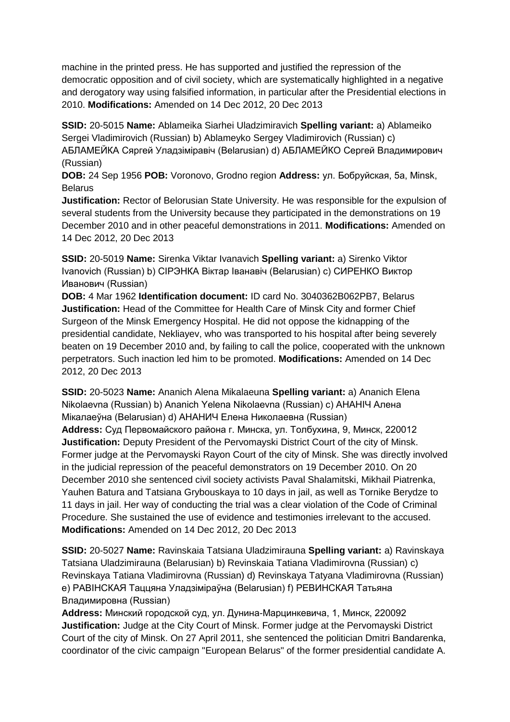machine in the printed press. He has supported and justified the repression of the democratic opposition and of civil society, which are systematically highlighted in a negative and derogatory way using falsified information, in particular after the Presidential elections in 2010. **Modifications:** Amended on 14 Dec 2012, 20 Dec 2013

**SSID:** 20-5015 **Name:** Ablameika Siarhei Uladzimiravich **Spelling variant:** a) Ablameiko Sergei Vladimirovich (Russian) b) Ablameyko Sergey Vladimirovich (Russian) c) АБЛАМЕЙКА Сяргей Уладзіміравіч (Belarusian) d) АБЛАМЕЙКО Сергей Владимирович (Russian)

**DOB:** 24 Sep 1956 **POB:** Voronovo, Grodno region **Address:** ул. Бобруйская, 5a, Minsk, **Belarus** 

**Justification:** Rector of Belorusian State University. He was responsible for the expulsion of several students from the University because they participated in the demonstrations on 19 December 2010 and in other peaceful demonstrations in 2011. **Modifications:** Amended on 14 Dec 2012, 20 Dec 2013

**SSID:** 20-5019 **Name:** Sirenka Viktar Ivanavich **Spelling variant:** a) Sirenko Viktor Ivanovich (Russian) b) CIРЭНКА Віктар Іванавіч (Belarusian) c) СИРЕНКО Виктор Иванович (Russian)

**DOB:** 4 Mar 1962 **Identification document:** ID card No. 3040362B062PB7, Belarus **Justification:** Head of the Committee for Health Care of Minsk City and former Chief Surgeon of the Minsk Emergency Hospital. He did not oppose the kidnapping of the presidential candidate, Nekliayev, who was transported to his hospital after being severely beaten on 19 December 2010 and, by failing to call the police, cooperated with the unknown perpetrators. Such inaction led him to be promoted. **Modifications:** Amended on 14 Dec 2012, 20 Dec 2013

**SSID:** 20-5023 **Name:** Ananich Alena Mikalaeuna **Spelling variant:** a) Ananich Elena Nikolaevna (Russian) b) Ananich Yelena Nikolaevna (Russian) c) АНАНIЧ Алена Мікалаеўна (Belarusian) d) АНАНИЧ Елена Николаевна (Russian) **Address:** Суд Первомайского района г. Минска, ул. Толбухина, 9, Минск, 220012 **Justification:** Deputy President of the Pervomayski District Court of the city of Minsk. Former judge at the Pervomayski Rayon Court of the city of Minsk. She was directly involved in the judicial repression of the peaceful demonstrators on 19 December 2010. On 20 December 2010 she sentenced civil society activists Paval Shalamitski, Mikhail Piatrenka, Yauhen Batura and Tatsiana Grybouskaya to 10 days in jail, as well as Tornike Berydze to 11 days in jail. Her way of conducting the trial was a clear violation of the Code of Criminal Procedure. She sustained the use of evidence and testimonies irrelevant to the accused. **Modifications:** Amended on 14 Dec 2012, 20 Dec 2013

**SSID:** 20-5027 **Name:** Ravinskaia Tatsiana Uladzimirauna **Spelling variant:** a) Ravinskaya Tatsiana Uladzimirauna (Belarusian) b) Revinskaia Tatiana Vladimirovna (Russian) c) Revinskaya Tatiana Vladimirovna (Russian) d) Revinskaya Tatyana Vladimirovna (Russian) e) РАВIНСКАЯ Таццяна Уладзіміраўна (Belarusian) f) РЕВИНСКАЯ Татьяна Владимировна (Russian)

**Address:** Минский городской суд, ул. Дунина-Марцинкевича, 1, Минск, 220092 **Justification:** Judge at the City Court of Minsk. Former judge at the Pervomayski District Court of the city of Minsk. On 27 April 2011, she sentenced the politician Dmitri Bandarenka, coordinator of the civic campaign "European Belarus" of the former presidential candidate A.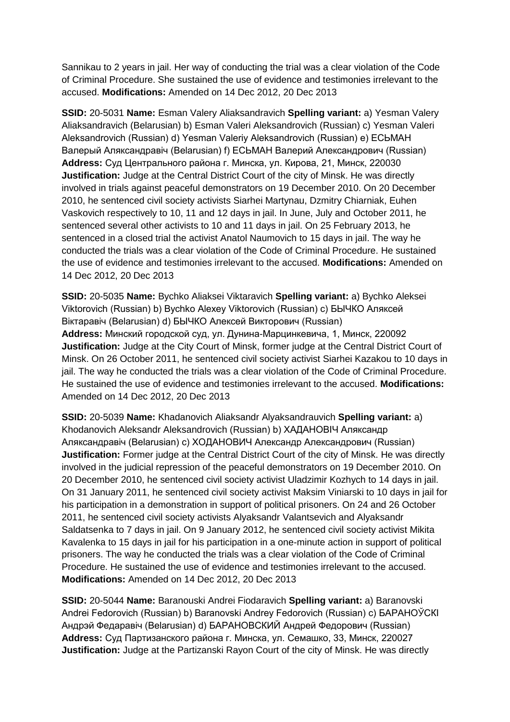Sannikau to 2 years in jail. Her way of conducting the trial was a clear violation of the Code of Criminal Procedure. She sustained the use of evidence and testimonies irrelevant to the accused. **Modifications:** Amended on 14 Dec 2012, 20 Dec 2013

**SSID:** 20-5031 **Name:** Esman Valery Aliaksandravich **Spelling variant:** a) Yesman Valery Aliaksandravich (Belarusian) b) Esman Valeri Aleksandrovich (Russian) c) Yesman Valeri Aleksandrovich (Russian) d) Yesman Valeriy Aleksandrovich (Russian) e) ЕСЬМАН Валерый Аляксандравіч (Belarusian) f) ЕСЬМАН Валерий Александрович (Russian) **Address:** Суд Центрального района г. Минска, ул. Кирова, 21, Минск, 220030 **Justification:** Judge at the Central District Court of the city of Minsk. He was directly involved in trials against peaceful demonstrators on 19 December 2010. On 20 December 2010, he sentenced civil society activists Siarhei Martynau, Dzmitry Chiarniak, Euhen Vaskovich respectively to 10, 11 and 12 days in jail. In June, July and October 2011, he sentenced several other activists to 10 and 11 days in jail. On 25 February 2013, he sentenced in a closed trial the activist Anatol Naumovich to 15 days in jail. The way he conducted the trials was a clear violation of the Code of Criminal Procedure. He sustained the use of evidence and testimonies irrelevant to the accused. **Modifications:** Amended on 14 Dec 2012, 20 Dec 2013

**SSID:** 20-5035 **Name:** Bychko Aliaksei Viktaravich **Spelling variant:** a) Bychko Aleksei Viktorovich (Russian) b) Bychko Alexey Viktorovich (Russian) c) БЫЧКО Аляксей Віктаравіч (Belarusian) d) БЫЧКО Алексей Викторович (Russian) **Address:** Минский городской суд, ул. Дунина-Марцинкевича, 1, Минск, 220092 **Justification:** Judge at the City Court of Minsk, former judge at the Central District Court of Minsk. On 26 October 2011, he sentenced civil society activist Siarhei Kazakou to 10 days in jail. The way he conducted the trials was a clear violation of the Code of Criminal Procedure. He sustained the use of evidence and testimonies irrelevant to the accused. **Modifications:**  Amended on 14 Dec 2012, 20 Dec 2013

**SSID:** 20-5039 **Name:** Khadanovich Aliaksandr Alyaksandrauvich **Spelling variant:** a) Khodanovich Aleksandr Aleksandrovich (Russian) b) ХАДАНОВIЧ Аляксандр Аляксандравіч (Belarusian) c) ХOДАНОВИЧ Александр Александрович (Russian) **Justification:** Former judge at the Central District Court of the city of Minsk. He was directly involved in the judicial repression of the peaceful demonstrators on 19 December 2010. On 20 December 2010, he sentenced civil society activist Uladzimir Kozhych to 14 days in jail. On 31 January 2011, he sentenced civil society activist Maksim Viniarski to 10 days in jail for his participation in a demonstration in support of political prisoners. On 24 and 26 October 2011, he sentenced civil society activists Alyaksandr Valantsevich and Alyaksandr Saldatsenka to 7 days in jail. On 9 January 2012, he sentenced civil society activist Mikita Kavalenka to 15 days in jail for his participation in a one-minute action in support of political prisoners. The way he conducted the trials was a clear violation of the Code of Criminal Procedure. He sustained the use of evidence and testimonies irrelevant to the accused. **Modifications:** Amended on 14 Dec 2012, 20 Dec 2013

**SSID:** 20-5044 **Name:** Baranouski Andrei Fiodaravich **Spelling variant:** a) Baranovski Andrei Fedorovich (Russian) b) Baranovski Andrey Fedorovich (Russian) c) БАРАНОЎСКI Андрэй Федаравіч (Belarusian) d) БАРАНОВСКИЙ Андрей Федорович (Russian) **Address:** Суд Партизанского района г. Минска, ул. Семашко, 33, Минск, 220027 **Justification:** Judge at the Partizanski Rayon Court of the city of Minsk. He was directly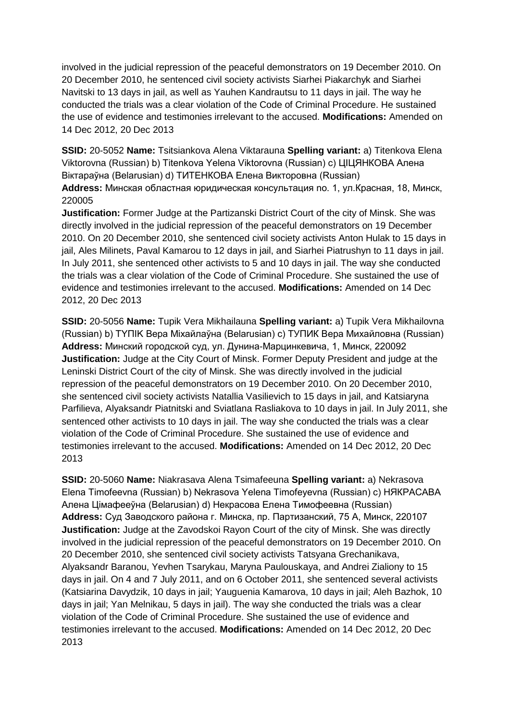involved in the judicial repression of the peaceful demonstrators on 19 December 2010. On 20 December 2010, he sentenced civil society activists Siarhei Piakarchyk and Siarhei Navitski to 13 days in jail, as well as Yauhen Kandrautsu to 11 days in jail. The way he conducted the trials was a clear violation of the Code of Criminal Procedure. He sustained the use of evidence and testimonies irrelevant to the accused. **Modifications:** Amended on 14 Dec 2012, 20 Dec 2013

**SSID:** 20-5052 **Name:** Tsitsiankova Alena Viktarauna **Spelling variant:** a) Titenkova Elena Viktorovna (Russian) b) Titenkova Yelena Viktorovna (Russian) c) ЦIЦЯНКОВА Алена Віктараўна (Belarusian) d) ТИТЕНКОВА Елена Викторовна (Russian)

**Address:** Минская областная юридическая консультация no. 1, ул.Красная, 18, Минск, 220005

**Justification:** Former Judge at the Partizanski District Court of the city of Minsk. She was directly involved in the judicial repression of the peaceful demonstrators on 19 December 2010. On 20 December 2010, she sentenced civil society activists Anton Hulak to 15 days in jail, Ales Milinets, Paval Kamarou to 12 days in jail, and Siarhei Piatrushyn to 11 days in jail. In July 2011, she sentenced other activists to 5 and 10 days in jail. The way she conducted the trials was a clear violation of the Code of Criminal Procedure. She sustained the use of evidence and testimonies irrelevant to the accused. **Modifications:** Amended on 14 Dec 2012, 20 Dec 2013

**SSID:** 20-5056 **Name:** Tupik Vera Mikhailauna **Spelling variant:** a) Tupik Vera Mikhailovna (Russian) b) TYПIK Вера Міхайлаўна (Belarusian) c) ТУПИК Вера Михайловна (Russian) **Address:** Минский городской суд, ул. Дунина-Марцинкевича, 1, Минск, 220092 **Justification:** Judge at the City Court of Minsk. Former Deputy President and judge at the Leninski District Court of the city of Minsk. She was directly involved in the judicial repression of the peaceful demonstrators on 19 December 2010. On 20 December 2010, she sentenced civil society activists Natallia Vasilievich to 15 days in jail, and Katsiaryna Parfilieva, Alyaksandr Piatnitski and Sviatlana Rasliakova to 10 days in jail. In July 2011, she sentenced other activists to 10 days in jail. The way she conducted the trials was a clear violation of the Code of Criminal Procedure. She sustained the use of evidence and testimonies irrelevant to the accused. **Modifications:** Amended on 14 Dec 2012, 20 Dec 2013

**SSID:** 20-5060 **Name:** Niakrasava Alena Tsimafeeuna **Spelling variant:** a) Nekrasova Elena Timofeevna (Russian) b) Nekrasova Yelena Timofeyevna (Russian) c) НЯКРАСАВА Алена Цімафееўна (Belarusian) d) Некрасова Елена Тимофеевна (Russian) **Address:** Суд Заводского района г. Минска, пр. Партизанский, 75 А, Минск, 220107 **Justification:** Judge at the Zavodskoi Rayon Court of the city of Minsk. She was directly involved in the judicial repression of the peaceful demonstrators on 19 December 2010. On 20 December 2010, she sentenced civil society activists Tatsyana Grechanikava, Alyaksandr Baranou, Yevhen Tsarykau, Maryna Paulouskaya, and Andrei Zialiony to 15 days in jail. On 4 and 7 July 2011, and on 6 October 2011, she sentenced several activists (Katsiarina Davydzik, 10 days in jail; Yauguenia Kamarova, 10 days in jail; Aleh Bazhok, 10 days in jail; Yan Melnikau, 5 days in jail). The way she conducted the trials was a clear violation of the Code of Criminal Procedure. She sustained the use of evidence and testimonies irrelevant to the accused. **Modifications:** Amended on 14 Dec 2012, 20 Dec 2013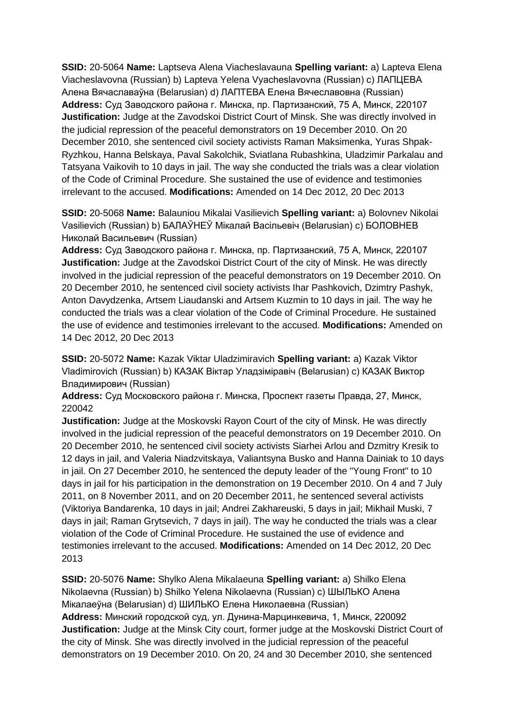**SSID:** 20-5064 **Name:** Laptseva Alena Viacheslavauna **Spelling variant:** a) Lapteva Elena Viacheslavovna (Russian) b) Lapteva Yelena Vyacheslavovna (Russian) c) ЛАПЦЕВА Алена Вячаславаўна (Belarusian) d) ЛАПТЕВА Елена Вячеславовна (Russian) **Address:** Суд Заводского района г. Минска, пр. Партизанский, 75 А, Минск, 220107 **Justification:** Judge at the Zavodskoi District Court of Minsk. She was directly involved in the judicial repression of the peaceful demonstrators on 19 December 2010. On 20 December 2010, she sentenced civil society activists Raman Maksimenka, Yuras Shpak-Ryzhkou, Hanna Belskaya, Paval Sakolchik, Sviatlana Rubashkina, Uladzimir Parkalau and Tatsyana Vaikovih to 10 days in jail. The way she conducted the trials was a clear violation of the Code of Criminal Procedure. She sustained the use of evidence and testimonies irrelevant to the accused. **Modifications:** Amended on 14 Dec 2012, 20 Dec 2013

**SSID:** 20-5068 **Name:** Balauniou Mikalai Vasilievich **Spelling variant:** a) Bolovnev Nikolai Vasilievich (Russian) b) БАЛАЎНЕЎ Мікалай Васільевіч (Belarusian) c) БОЛОВНЕВ Николай Васильевич (Russian)

**Address:** Суд Заводского района г. Минска, пр. Партизанский, 75 А, Минск, 220107 **Justification:** Judge at the Zavodskoi District Court of the city of Minsk. He was directly involved in the judicial repression of the peaceful demonstrators on 19 December 2010. On 20 December 2010, he sentenced civil society activists Ihar Pashkovich, Dzimtry Pashyk, Anton Davydzenka, Artsem Liaudanski and Artsem Kuzmin to 10 days in jail. The way he conducted the trials was a clear violation of the Code of Criminal Procedure. He sustained the use of evidence and testimonies irrelevant to the accused. **Modifications:** Amended on 14 Dec 2012, 20 Dec 2013

**SSID:** 20-5072 **Name:** Kazak Viktar Uladzimiravich **Spelling variant:** a) Kazak Viktor Vladimirovich (Russian) b) КАЗАК Віктар Уладзіміравіч (Belarusian) c) КАЗАК Виктор Владимирович (Russian)

**Address:** Суд Московского района г. Минска, Проспект газеты Правда, 27, Минск, 220042

**Justification:** Judge at the Moskovski Rayon Court of the city of Minsk. He was directly involved in the judicial repression of the peaceful demonstrators on 19 December 2010. On 20 December 2010, he sentenced civil society activists Siarhei Arlou and Dzmitry Kresik to 12 days in jail, and Valeria Niadzvitskaya, Valiantsyna Busko and Hanna Dainiak to 10 days in jail. On 27 December 2010, he sentenced the deputy leader of the "Young Front" to 10 days in jail for his participation in the demonstration on 19 December 2010. On 4 and 7 July 2011, on 8 November 2011, and on 20 December 2011, he sentenced several activists (Viktoriya Bandarenka, 10 days in jail; Andrei Zakhareuski, 5 days in jail; Mikhail Muski, 7 days in jail; Raman Grytsevich, 7 days in jail). The way he conducted the trials was a clear violation of the Code of Criminal Procedure. He sustained the use of evidence and testimonies irrelevant to the accused. **Modifications:** Amended on 14 Dec 2012, 20 Dec 2013

**SSID:** 20-5076 **Name:** Shylko Alena Mikalaeuna **Spelling variant:** a) Shilko Elena Nikolaevna (Russian) b) Shilko Yelena Nikolaevna (Russian) c) ШЫЛЬКО Алена Мікалаеўна (Belarusian) d) ШИЛЬКО Елена Николаевна (Russian) **Address:** Минский городской суд, ул. Дунина-Марцинкевича, 1, Минск, 220092 **Justification:** Judge at the Minsk City court, former judge at the Moskovski District Court of the city of Minsk. She was directly involved in the judicial repression of the peaceful demonstrators on 19 December 2010. On 20, 24 and 30 December 2010, she sentenced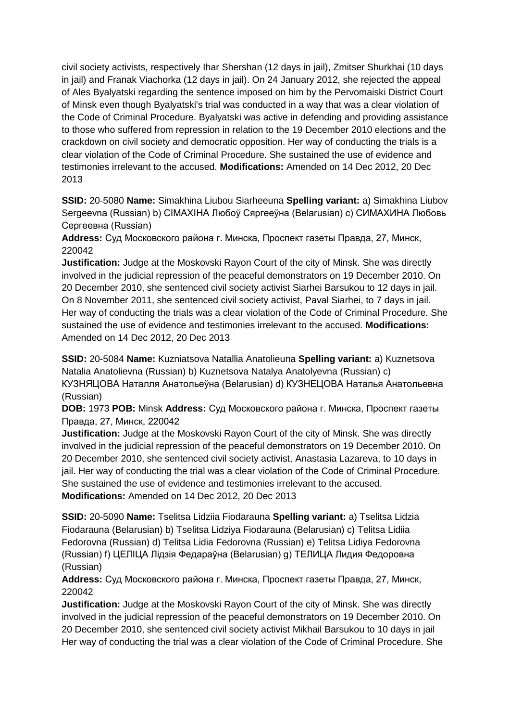civil society activists, respectively Ihar Shershan (12 days in jail), Zmitser Shurkhai (10 days in jail) and Franak Viachorka (12 days in jail). On 24 January 2012, she rejected the appeal of Ales Byalyatski regarding the sentence imposed on him by the Pervomaiski District Court of Minsk even though Byalyatski's trial was conducted in a way that was a clear violation of the Code of Criminal Procedure. Byalyatski was active in defending and providing assistance to those who suffered from repression in relation to the 19 December 2010 elections and the crackdown on civil society and democratic opposition. Her way of conducting the trials is a clear violation of the Code of Criminal Procedure. She sustained the use of evidence and testimonies irrelevant to the accused. **Modifications:** Amended on 14 Dec 2012, 20 Dec 2013

**SSID:** 20-5080 **Name:** Simakhina Liubou Siarheeuna **Spelling variant:** a) Simakhina Liubov Sergeevna (Russian) b) CIMAXIHA Любоў Сяргееўна (Belarusian) c) СИМАХИНА Любовь Сергеевна (Russian)

**Address:** Суд Московского района г. Минска, Проспект газеты Правда, 27, Минск, 220042

**Justification:** Judge at the Moskovski Rayon Court of the city of Minsk. She was directly involved in the judicial repression of the peaceful demonstrators on 19 December 2010. On 20 December 2010, she sentenced civil society activist Siarhei Barsukou to 12 days in jail. On 8 November 2011, she sentenced civil society activist, Paval Siarhei, to 7 days in jail. Her way of conducting the trials was a clear violation of the Code of Criminal Procedure. She sustained the use of evidence and testimonies irrelevant to the accused. **Modifications:**  Amended on 14 Dec 2012, 20 Dec 2013

**SSID:** 20-5084 **Name:** Kuzniatsova Natallia Anatolieuna **Spelling variant:** a) Kuznetsova Natalia Anatolievna (Russian) b) Kuznetsova Natalya Anatolyevna (Russian) c) КУЗНЯЦОВА Наталля Анатольеўна (Belarusian) d) КУЗНЕЦОВА Наталья Анатольевна (Russian)

**DOB:** 1973 **POB:** Minsk **Address:** Суд Московского района г. Минска, Проспект газеты Правда, 27, Минск, 220042

**Justification:** Judge at the Moskovski Rayon Court of the city of Minsk. She was directly involved in the judicial repression of the peaceful demonstrators on 19 December 2010. On 20 December 2010, she sentenced civil society activist, Anastasia Lazareva, to 10 days in jail. Her way of conducting the trial was a clear violation of the Code of Criminal Procedure. She sustained the use of evidence and testimonies irrelevant to the accused. **Modifications:** Amended on 14 Dec 2012, 20 Dec 2013

**SSID:** 20-5090 **Name:** Tselitsa Lidziia Fiodarauna **Spelling variant:** a) Tselitsa Lidzia Fiodarauna (Belarusian) b) Tselitsa Lidziya Fiodarauna (Belarusian) c) Telitsa Lidiia Fedorovna (Russian) d) Telitsa Lidia Fedorovna (Russian) e) Telitsa Lidiya Fedorovna (Russian) f) ЦЕЛIЦА Лідзія Федараўна (Belarusian) g) ТЕЛИЦА Лидия Федоровна (Russian)

**Address:** Суд Московского района г. Минска, Проспект газеты Правда, 27, Минск, 220042

**Justification:** Judge at the Moskovski Rayon Court of the city of Minsk. She was directly involved in the judicial repression of the peaceful demonstrators on 19 December 2010. On 20 December 2010, she sentenced civil society activist Mikhail Barsukou to 10 days in jail Her way of conducting the trial was a clear violation of the Code of Criminal Procedure. She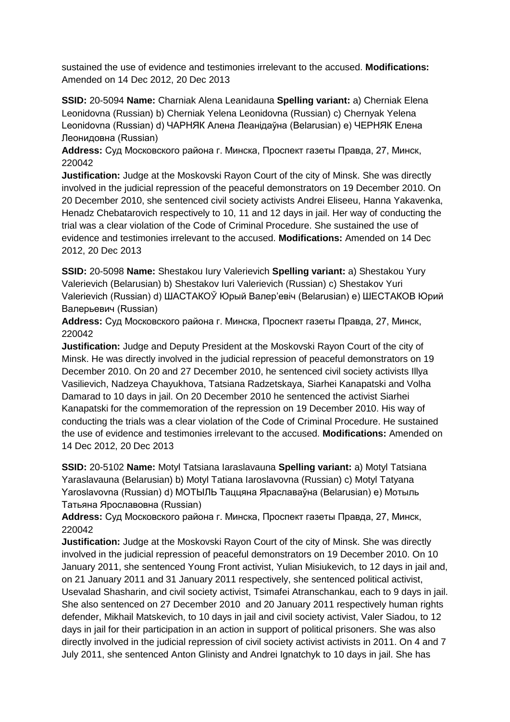sustained the use of evidence and testimonies irrelevant to the accused. **Modifications:**  Amended on 14 Dec 2012, 20 Dec 2013

**SSID:** 20-5094 **Name:** Charniak Alena Leanidauna **Spelling variant:** a) Cherniak Elena Leonidovna (Russian) b) Cherniak Yelena Leonidovna (Russian) c) Chernyak Yelena Leonidovna (Russian) d) ЧАРНЯК Алена Леанідаўна (Belarusian) e) ЧЕРНЯК Елена Леонидовна (Russian)

**Address:** Суд Московского района г. Минска, Проспект газеты Правда, 27, Минск, 220042

**Justification:** Judge at the Moskovski Rayon Court of the city of Minsk. She was directly involved in the judicial repression of the peaceful demonstrators on 19 December 2010. On 20 December 2010, she sentenced civil society activists Andrei Eliseeu, Hanna Yakavenka, Henadz Chebatarovich respectively to 10, 11 and 12 days in jail. Her way of conducting the trial was a clear violation of the Code of Criminal Procedure. She sustained the use of evidence and testimonies irrelevant to the accused. **Modifications:** Amended on 14 Dec 2012, 20 Dec 2013

**SSID:** 20-5098 **Name:** Shestakou Iury Valerievich **Spelling variant:** a) Shestakou Yury Valerievich (Belarusian) b) Shestakov Iuri Valerievich (Russian) c) Shestakov Yuri Valerievich (Russian) d) ШАСТАКОЎ Юрый Валер'евіч (Belarusian) e) ШЕСТАКОВ Юрий Валерьевич (Russian)

**Address:** Суд Московского района г. Минска, Проспект газеты Правда, 27, Минск, 220042

**Justification:** Judge and Deputy President at the Moskovski Rayon Court of the city of Minsk. He was directly involved in the judicial repression of peaceful demonstrators on 19 December 2010. On 20 and 27 December 2010, he sentenced civil society activists Illya Vasilievich, Nadzeya Chayukhova, Tatsiana Radzetskaya, Siarhei Kanapatski and Volha Damarad to 10 days in jail. On 20 December 2010 he sentenced the activist Siarhei Kanapatski for the commemoration of the repression on 19 December 2010. His way of conducting the trials was a clear violation of the Code of Criminal Procedure. He sustained the use of evidence and testimonies irrelevant to the accused. **Modifications:** Amended on 14 Dec 2012, 20 Dec 2013

**SSID:** 20-5102 **Name:** Motyl Tatsiana Iaraslavauna **Spelling variant:** a) Motyl Tatsiana Yaraslavauna (Belarusian) b) Motyl Tatiana Iaroslavovna (Russian) c) Motyl Tatyana Yaroslavovna (Russian) d) МОТЫЛЬ Таццяна Яраславаўна (Belarusian) e) Мотыль Татьяна Ярославовна (Russian)

**Address:** Суд Московского района г. Минска, Проспект газеты Правда, 27, Минск, 220042

**Justification:** Judge at the Moskovski Rayon Court of the city of Minsk. She was directly involved in the judicial repression of peaceful demonstrators on 19 December 2010. On 10 January 2011, she sentenced Young Front activist, Yulian Misiukevich, to 12 days in jail and, on 21 January 2011 and 31 January 2011 respectively, she sentenced political activist, Usevalad Shasharin, and civil society activist, Tsimafei Atranschankau, each to 9 days in jail. She also sentenced on 27 December 2010 and 20 January 2011 respectively human rights defender, Mikhail Matskevich, to 10 days in jail and civil society activist, Valer Siadou, to 12 days in jail for their participation in an action in support of political prisoners. She was also directly involved in the judicial repression of civil society activist activists in 2011. On 4 and 7 July 2011, she sentenced Anton Glinisty and Andrei Ignatchyk to 10 days in jail. She has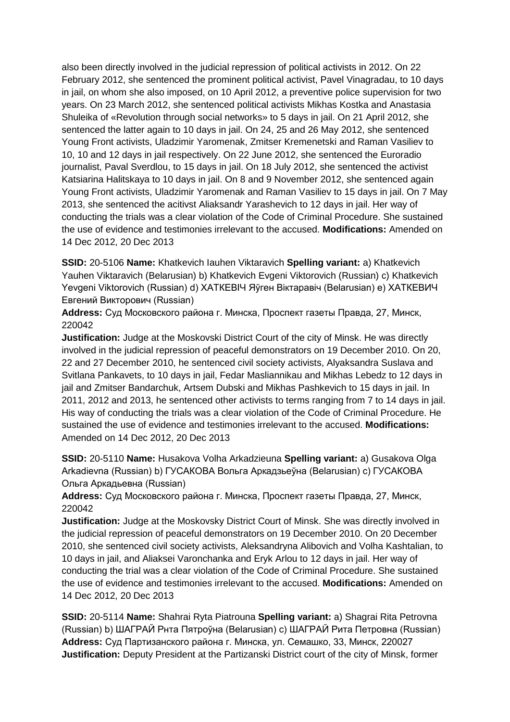also been directly involved in the judicial repression of political activists in 2012. On 22 February 2012, she sentenced the prominent political activist, Pavel Vinagradau, to 10 days in jail, on whom she also imposed, on 10 April 2012, a preventive police supervision for two years. On 23 March 2012, she sentenced political activists Mikhas Kostka and Anastasia Shuleika of «Revolution through social networks» to 5 days in jail. On 21 April 2012, she sentenced the latter again to 10 days in jail. On 24, 25 and 26 May 2012, she sentenced Young Front activists, Uladzimir Yaromenak, Zmitser Kremenetski and Raman Vasiliev to 10, 10 and 12 days in jail respectively. On 22 June 2012, she sentenced the Euroradio journalist, Paval Sverdlou, to 15 days in jail. On 18 July 2012, she sentenced the activist Katsiarina Halitskaya to 10 days in jail. On 8 and 9 November 2012, she sentenced again Young Front activists, Uladzimir Yaromenak and Raman Vasiliev to 15 days in jail. On 7 May 2013, she sentenced the acitivst Aliaksandr Yarashevich to 12 days in jail. Her way of conducting the trials was a clear violation of the Code of Criminal Procedure. She sustained the use of evidence and testimonies irrelevant to the accused. **Modifications:** Amended on 14 Dec 2012, 20 Dec 2013

**SSID:** 20-5106 **Name:** Khatkevich Iauhen Viktaravich **Spelling variant:** a) Khatkevich Yauhen Viktaravich (Belarusian) b) Khatkevich Evgeni Viktorovich (Russian) c) Khatkevich Yevgeni Viktorovich (Russian) d) ХАТКЕВIЧ Яўген Віктаравіч (Belarusian) e) ХАТКЕВИЧ Евгений Викторович (Russian)

**Address:** Суд Московского района г. Минска, Проспект газеты Правда, 27, Минск, 220042

**Justification:** Judge at the Moskovski District Court of the city of Minsk. He was directly involved in the judicial repression of peaceful demonstrators on 19 December 2010. On 20, 22 and 27 December 2010, he sentenced civil society activists, Alyaksandra Suslava and Svitlana Pankavets, to 10 days in jail, Fedar Masliannikau and Mikhas Lebedz to 12 days in jail and Zmitser Bandarchuk, Artsem Dubski and Mikhas Pashkevich to 15 days in jail. In 2011, 2012 and 2013, he sentenced other activists to terms ranging from 7 to 14 days in jail. His way of conducting the trials was a clear violation of the Code of Criminal Procedure. He sustained the use of evidence and testimonies irrelevant to the accused. **Modifications:**  Amended on 14 Dec 2012, 20 Dec 2013

**SSID:** 20-5110 **Name:** Husakova Volha Arkadzieuna **Spelling variant:** a) Gusakova Olga Arkadievna (Russian) b) ГУСАКОВА Вольга Аркадзьеўна (Belarusian) c) ГУСАКОВА Ольга Аркадьевна (Russian)

**Address:** Суд Московского района г. Минска, Проспект газеты Правда, 27, Минск, 220042

**Justification:** Judge at the Moskovsky District Court of Minsk. She was directly involved in the judicial repression of peaceful demonstrators on 19 December 2010. On 20 December 2010, she sentenced civil society activists, Aleksandryna Alibovich and Volha Kashtalian, to 10 days in jail, and Aliaksei Varonchanka and Eryk Arlou to 12 days in jail. Her way of conducting the trial was a clear violation of the Code of Criminal Procedure. She sustained the use of evidence and testimonies irrelevant to the accused. **Modifications:** Amended on 14 Dec 2012, 20 Dec 2013

**SSID:** 20-5114 **Name:** Shahrai Ryta Piatrouna **Spelling variant:** a) Shagrai Rita Petrovna (Russian) b) ШАГРАЙ Рнта Пятроўна (Belarusian) c) ШАГРАЙ Рита Петровна (Russian) **Address:** Суд Партизанского района г. Минска, ул. Семашко, 33, Минск, 220027 **Justification:** Deputy President at the Partizanski District court of the city of Minsk, former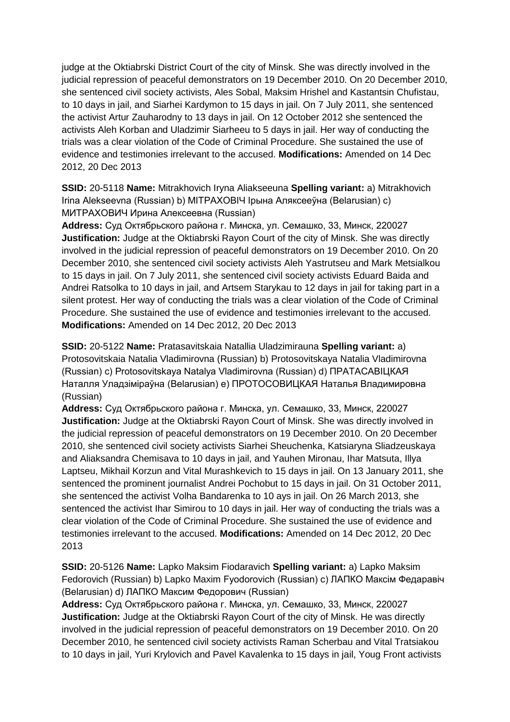judge at the Oktiabrski District Court of the city of Minsk. She was directly involved in the judicial repression of peaceful demonstrators on 19 December 2010. On 20 December 2010, she sentenced civil society activists, Ales Sobal, Maksim Hrishel and Kastantsin Chufistau, to 10 days in jail, and Siarhei Kardymon to 15 days in jail. On 7 July 2011, she sentenced the activist Artur Zauharodny to 13 days in jail. On 12 October 2012 she sentenced the activists Aleh Korban and Uladzimir Siarheeu to 5 days in jail. Her way of conducting the trials was a clear violation of the Code of Criminal Procedure. She sustained the use of evidence and testimonies irrelevant to the accused. **Modifications:** Amended on 14 Dec 2012, 20 Dec 2013

**SSID:** 20-5118 **Name:** Mitrakhovich Iryna Aliakseeuna **Spelling variant:** a) Mitrakhovich Irina Alekseevna (Russian) b) MITPAXOBIЧ Ірына Аляксееўна (Belarusian) c) МИТРАХОВИЧ Ирина Алексеевна (Russian)

**Address:** Суд Октябрьского района г. Минска, ул. Семашко, 33, Минск, 220027 **Justification:** Judge at the Oktiabrski Rayon Court of the city of Minsk. She was directly involved in the judicial repression of peaceful demonstrators on 19 December 2010. On 20 December 2010, she sentenced civil society activists Aleh Yastrutseu and Mark Metsialkou to 15 days in jail. On 7 July 2011, she sentenced civil society activists Eduard Baida and Andrei Ratsolka to 10 days in jail, and Artsem Starykau to 12 days in jail for taking part in a silent protest. Her way of conducting the trials was a clear violation of the Code of Criminal Procedure. She sustained the use of evidence and testimonies irrelevant to the accused. **Modifications:** Amended on 14 Dec 2012, 20 Dec 2013

**SSID:** 20-5122 **Name:** Pratasavitskaia Natallia Uladzimirauna **Spelling variant:** a) Protosovitskaia Natalia Vladimirovna (Russian) b) Protosovitskaya Natalia Vladimirovna (Russian) c) Protosovitskaya Natalya Vladimirovna (Russian) d) ПРАТАСАВIЦКАЯ Наталля Уладзіміраўна (Belarusian) e) ПРОТОСОВИЦКАЯ Наталья Владимировна (Russian)

**Address:** Суд Октябрьского района г. Минска, ул. Семашко, 33, Минск, 220027 **Justification:** Judge at the Oktiabrski Rayon Court of Minsk. She was directly involved in the judicial repression of peaceful demonstrators on 19 December 2010. On 20 December 2010, she sentenced civil society activists Siarhei Sheuchenka, Katsiaryna Sliadzeuskaya and Aliaksandra Chemisava to 10 days in jail, and Yauhen Mironau, Ihar Matsuta, Illya Laptseu, Mikhail Korzun and Vital Murashkevich to 15 days in jail. On 13 January 2011, she sentenced the prominent journalist Andrei Pochobut to 15 days in jail. On 31 October 2011, she sentenced the activist Volha Bandarenka to 10 ays in jail. On 26 March 2013, she sentenced the activist Ihar Simirou to 10 days in jail. Her way of conducting the trials was a clear violation of the Code of Criminal Procedure. She sustained the use of evidence and testimonies irrelevant to the accused. **Modifications:** Amended on 14 Dec 2012, 20 Dec 2013

**SSID:** 20-5126 **Name:** Lapko Maksim Fiodaravich **Spelling variant:** a) Lapko Maksim Fedorovich (Russian) b) Lapko Maxim Fyodorovich (Russian) c) ЛАПКО Максім Федаравiч (Belarusian) d) ЛАПКО Максим Федорович (Russian)

**Address:** Суд Октябрьского района г. Минска, ул. Семашко, 33, Минск, 220027 **Justification:** Judge at the Oktiabrski Rayon Court of the city of Minsk. He was directly involved in the judicial repression of peaceful demonstrators on 19 December 2010. On 20 December 2010, he sentenced civil society activists Raman Scherbau and Vital Tratsiakou to 10 days in jail, Yuri Krylovich and Pavel Kavalenka to 15 days in jail, Youg Front activists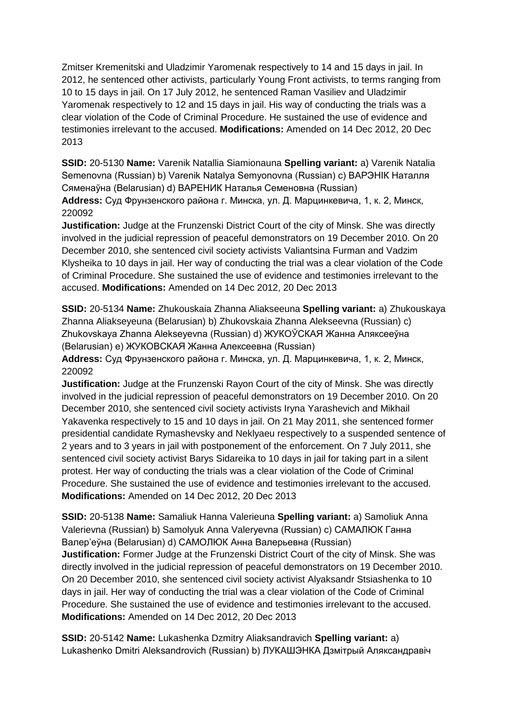Zmitser Kremenitski and Uladzimir Yaromenak respectively to 14 and 15 days in jail. In 2012, he sentenced other activists, particularly Young Front activists, to terms ranging from 10 to 15 days in jail. On 17 July 2012, he sentenced Raman Vasiliev and Uladzimir Yaromenak respectively to 12 and 15 days in jail. His way of conducting the trials was a clear violation of the Code of Criminal Procedure. He sustained the use of evidence and testimonies irrelevant to the accused. **Modifications:** Amended on 14 Dec 2012, 20 Dec 2013

**SSID:** 20-5130 **Name:** Varenik Natallia Siamionauna **Spelling variant:** a) Varenik Natalia Semenovna (Russian) b) Varenik Natalya Semyonovna (Russian) c) ВАРЭНIК Наталля Сяменаўна (Belarusian) d) ВАРЕНИК Наталья Семеновна (Russian)

**Address:** Суд Фрунзенского района г. Минска, ул. Д. Марцинкевича, 1, к. 2, Минск, 220092

**Justification:** Judge at the Frunzenski District Court of the city of Minsk. She was directly involved in the judicial repression of peaceful demonstrators on 19 December 2010. On 20 December 2010, she sentenced civil society activists Valiantsina Furman and Vadzim Klysheika to 10 days in jail. Her way of conducting the trial was a clear violation of the Code of Criminal Procedure. She sustained the use of evidence and testimonies irrelevant to the accused. **Modifications:** Amended on 14 Dec 2012, 20 Dec 2013

**SSID:** 20-5134 **Name:** Zhukouskaia Zhanna Aliakseeuna **Spelling variant:** a) Zhukouskaya Zhanna Aliakseyeuna (Belarusian) b) Zhukovskaia Zhanna Alekseevna (Russian) c) Zhukovskaya Zhanna Alekseyevna (Russian) d) ЖУКОЎСКАЯ Жанна Аляксееўна (Belarusian) e) ЖУКОВСКАЯ Жанна Алексеевна (Russian)

**Address:** Суд Фрунзенского района г. Минска, ул. Д. Марцинкевича, 1, к. 2, Минск, 220092

**Justification:** Judge at the Frunzenski Rayon Court of the city of Minsk. She was directly involved in the judicial repression of peaceful demonstrators on 19 December 2010. On 20 December 2010, she sentenced civil society activists Iryna Yarashevich and Mikhail Yakavenka respectively to 15 and 10 days in jail. On 21 May 2011, she sentenced former presidential candidate Rymashevsky and Neklyaeu respectively to a suspended sentence of 2 years and to 3 years in jail with postponement of the enforcement. On 7 July 2011, she sentenced civil society activist Barys Sidareika to 10 days in jail for taking part in a silent protest. Her way of conducting the trials was a clear violation of the Code of Criminal Procedure. She sustained the use of evidence and testimonies irrelevant to the accused. **Modifications:** Amended on 14 Dec 2012, 20 Dec 2013

**SSID:** 20-5138 **Name:** Samaliuk Hanna Valerieuna **Spelling variant:** a) Samoliuk Anna Valerievna (Russian) b) Samolyuk Anna Valeryevna (Russian) c) САМАЛЮК Ганна Валер'еўна (Belarusian) d) САМОЛЮК Анна Валерьевна (Russian) **Justification:** Former Judge at the Frunzenski District Court of the city of Minsk. She was directly involved in the judicial repression of peaceful demonstrators on 19 December 2010. On 20 December 2010, she sentenced civil society activist Alyaksandr Stsiashenka to 10 days in jail. Her way of conducting the trial was a clear violation of the Code of Criminal Procedure. She sustained the use of evidence and testimonies irrelevant to the accused. **Modifications:** Amended on 14 Dec 2012, 20 Dec 2013

**SSID:** 20-5142 **Name:** Lukashenka Dzmitry Aliaksandravich **Spelling variant:** a) Lukashenko Dmitri Aleksandrovich (Russian) b) ЛУКАШЭНКА Дзмітрый Аляксандравіч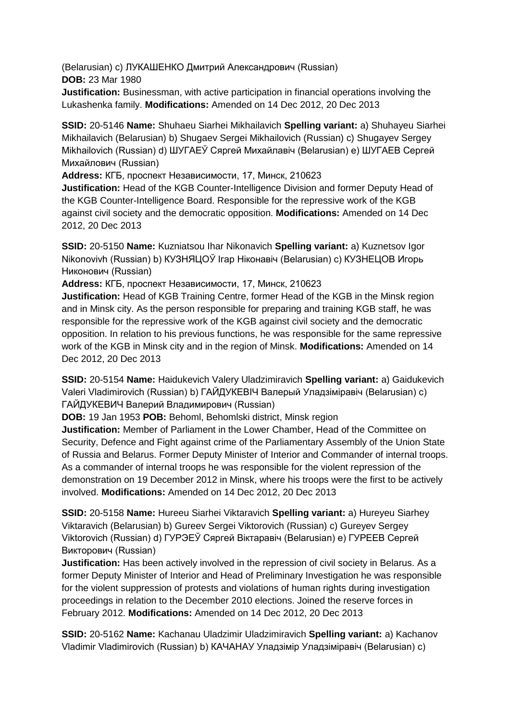(Belarusian) c) ЛУКАШЕНКО Дмитрий Александрович (Russian) **DOB:** 23 Mar 1980

**Justification:** Businessman, with active participation in financial operations involving the Lukashenka family. **Modifications:** Amended on 14 Dec 2012, 20 Dec 2013

**SSID:** 20-5146 **Name:** Shuhaeu Siarhei Mikhailavich **Spelling variant:** a) Shuhayeu Siarhei Mikhailavich (Belarusian) b) Shugaev Sergei Mikhailovich (Russian) c) Shugayev Sergey Mikhailovich (Russian) d) ШУГАЕЎ Сяргей Михайлaвiч (Belarusian) e) ШУГАЕВ Сергей Михайлович (Russian)

**Address:** КГБ, проспект Независимости, 17, Минск, 210623

**Justification:** Head of the KGB Counter-Intelligence Division and former Deputy Head of the KGB Counter-Intelligence Board. Responsible for the repressive work of the KGB against civil society and the democratic opposition. **Modifications:** Amended on 14 Dec 2012, 20 Dec 2013

**SSID:** 20-5150 **Name:** Kuzniatsou Ihar Nikonavich **Spelling variant:** a) Kuznetsov Igor Nikonovivh (Russian) b) КУЗНЯЦОЎ Ігар Нiконaвiч (Belarusian) c) КУЗНЕЦОВ Игорь Никонович (Russian)

**Address:** КГБ, проспект Независимости, 17, Минск, 210623

**Justification:** Head of KGB Training Centre, former Head of the KGB in the Minsk region and in Minsk city. As the person responsible for preparing and training KGB staff, he was responsible for the repressive work of the KGB against civil society and the democratic opposition. In relation to his previous functions, he was responsible for the same repressive work of the KGB in Minsk city and in the region of Minsk. **Modifications:** Amended on 14 Dec 2012, 20 Dec 2013

**SSID:** 20-5154 **Name:** Haidukevich Valery Uladzimiravich **Spelling variant:** a) Gaidukevich Valeri Vladimirovich (Russian) b) ГАЙДУКЕВIЧ Валерый Уладзіміравіч (Belarusian) c) ГАЙДУКЕВИЧ Валерий Владимирович (Russian)

**DOB:** 19 Jan 1953 **POB:** Behoml, Behomlski district, Minsk region

**Justification:** Member of Parliament in the Lower Chamber, Head of the Committee on Security, Defence and Fight against crime of the Parliamentary Assembly of the Union State of Russia and Belarus. Former Deputy Minister of Interior and Commander of internal troops. As a commander of internal troops he was responsible for the violent repression of the demonstration on 19 December 2012 in Minsk, where his troops were the first to be actively involved. **Modifications:** Amended on 14 Dec 2012, 20 Dec 2013

**SSID:** 20-5158 **Name:** Hureeu Siarhei Viktaravich **Spelling variant:** a) Hureyeu Siarhey Viktaravich (Belarusian) b) Gureev Sergei Viktorovich (Russian) c) Gureyev Sergey Viktorovich (Russian) d) ГУРЭЕЎ Сяргей Віктаравіч (Belarusian) e) ГУРЕЕВ Сергей Викторович (Russian)

**Justification:** Has been actively involved in the repression of civil society in Belarus. As a former Deputy Minister of Interior and Head of Preliminary Investigation he was responsible for the violent suppression of protests and violations of human rights during investigation proceedings in relation to the December 2010 elections. Joined the reserve forces in February 2012. **Modifications:** Amended on 14 Dec 2012, 20 Dec 2013

**SSID:** 20-5162 **Name:** Kachanau Uladzimir Uladzimiravich **Spelling variant:** a) Kachanov Vladimir Vladimirovich (Russian) b) КАЧАНАУ Уладзімір Уладзіміравіч (Belarusian) c)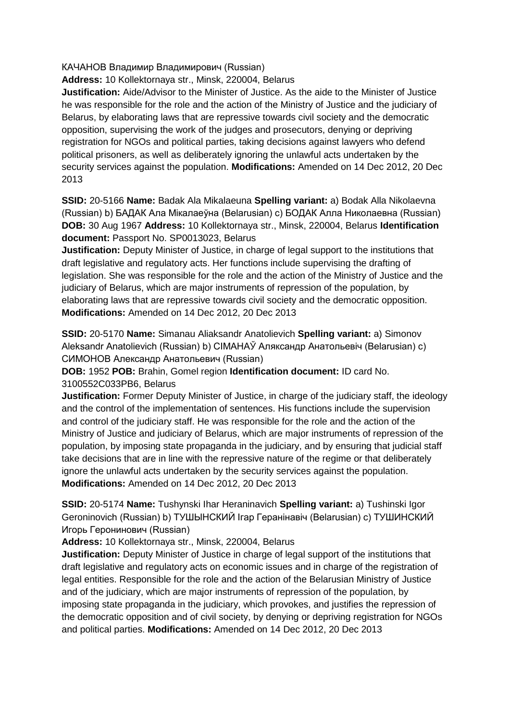#### КАЧАНОВ Владимир Владимирович (Russian)

**Address:** 10 Kollektornaya str., Minsk, 220004, Belarus

**Justification:** Aide/Advisor to the Minister of Justice. As the aide to the Minister of Justice he was responsible for the role and the action of the Ministry of Justice and the judiciary of Belarus, by elaborating laws that are repressive towards civil society and the democratic opposition, supervising the work of the judges and prosecutors, denying or depriving registration for NGOs and political parties, taking decisions against lawyers who defend political prisoners, as well as deliberately ignoring the unlawful acts undertaken by the security services against the population. **Modifications:** Amended on 14 Dec 2012, 20 Dec 2013

**SSID:** 20-5166 **Name:** Badak Ala Mikalaeuna **Spelling variant:** a) Bodak Alla Nikolaevna (Russian) b) БАДАК Ала Мікалаеўна (Belarusian) c) БОДАК Алла Николаевна (Russian) **DOB:** 30 Aug 1967 **Address:** 10 Kollektornaya str., Minsk, 220004, Belarus **Identification document:** Passport No. SP0013023, Belarus

**Justification:** Deputy Minister of Justice, in charge of legal support to the institutions that draft legislative and regulatory acts. Her functions include supervising the drafting of legislation. She was responsible for the role and the action of the Ministry of Justice and the judiciary of Belarus, which are major instruments of repression of the population, by elaborating laws that are repressive towards civil society and the democratic opposition. **Modifications:** Amended on 14 Dec 2012, 20 Dec 2013

**SSID:** 20-5170 **Name:** Simanau Aliaksandr Anatolievich **Spelling variant:** a) Simonov Aleksandr Anatolievich (Russian) b) CIMAHAЎ Аляксандр Анатольевіч (Belarusian) c) СИМОНОВ Александр Анатольевич (Russian)

**DOB:** 1952 **POB:** Brahin, Gomel region **Identification document:** ID card No. 3100552C033PB6, Belarus

**Justification:** Former Deputy Minister of Justice, in charge of the judiciary staff, the ideology and the control of the implementation of sentences. His functions include the supervision and control of the judiciary staff. He was responsible for the role and the action of the Ministry of Justice and judiciary of Belarus, which are major instruments of repression of the population, by imposing state propaganda in the judiciary, and by ensuring that judicial staff take decisions that are in line with the repressive nature of the regime or that deliberately ignore the unlawful acts undertaken by the security services against the population. **Modifications:** Amended on 14 Dec 2012, 20 Dec 2013

**SSID:** 20-5174 **Name:** Tushynski Ihar Heraninavich **Spelling variant:** a) Tushinski Igor Geroninovich (Russian) b) ТУШЫНСКИЙ Ігар Геранінавіч (Belarusian) c) ТУШИНСКИЙ Игорь Геронинович (Russian)

**Address:** 10 Kollektornaya str., Minsk, 220004, Belarus

**Justification:** Deputy Minister of Justice in charge of legal support of the institutions that draft legislative and regulatory acts on economic issues and in charge of the registration of legal entities. Responsible for the role and the action of the Belarusian Ministry of Justice and of the judiciary, which are major instruments of repression of the population, by imposing state propaganda in the judiciary, which provokes, and justifies the repression of the democratic opposition and of civil society, by denying or depriving registration for NGOs and political parties. **Modifications:** Amended on 14 Dec 2012, 20 Dec 2013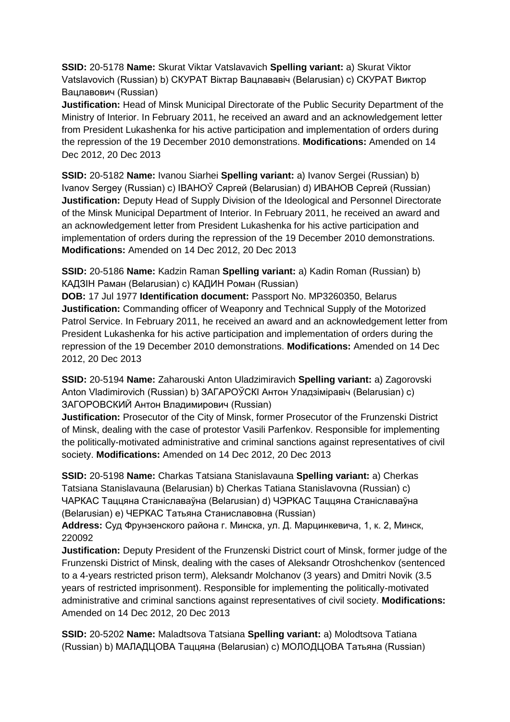**SSID:** 20-5178 **Name:** Skurat Viktar Vatslavavich **Spelling variant:** a) Skurat Viktor Vatslavovich (Russian) b) СКУРАТ Віктар Вацлавaвiч (Belarusian) c) СКУРАТ Виктор Вацлавович (Russian)

**Justification:** Head of Minsk Municipal Directorate of the Public Security Department of the Ministry of Interior. In February 2011, he received an award and an acknowledgement letter from President Lukashenka for his active participation and implementation of orders during the repression of the 19 December 2010 demonstrations. **Modifications:** Amended on 14 Dec 2012, 20 Dec 2013

**SSID:** 20-5182 **Name:** Ivanou Siarhei **Spelling variant:** a) Ivanov Sergei (Russian) b) Ivanov Sergey (Russian) c) IВАНОЎ Сяргей (Belarusian) d) ИВАНОВ Сергей (Russian) **Justification:** Deputy Head of Supply Division of the Ideological and Personnel Directorate of the Minsk Municipal Department of Interior. In February 2011, he received an award and an acknowledgement letter from President Lukashenka for his active participation and implementation of orders during the repression of the 19 December 2010 demonstrations. **Modifications:** Amended on 14 Dec 2012, 20 Dec 2013

**SSID:** 20-5186 **Name:** Kadzin Raman **Spelling variant:** a) Kadin Roman (Russian) b) КАДЗIН Раман (Belarusian) c) КАДИН Роман (Russian)

**DOB:** 17 Jul 1977 **Identification document:** Passport No. MP3260350, Belarus **Justification:** Commanding officer of Weaponry and Technical Supply of the Motorized Patrol Service. In February 2011, he received an award and an acknowledgement letter from President Lukashenka for his active participation and implementation of orders during the repression of the 19 December 2010 demonstrations. **Modifications:** Amended on 14 Dec 2012, 20 Dec 2013

**SSID:** 20-5194 **Name:** Zaharouski Anton Uladzimiravich **Spelling variant:** a) Zagorovski Anton Vladimirovich (Russian) b) ЗАГАРОЎСКI Антон Уладзiмiравiч (Belarusian) c) ЗАГОРОВСКИЙ Антон Владимирович (Russian)

**Justification:** Prosecutor of the City of Minsk, former Prosecutor of the Frunzenski District of Minsk, dealing with the case of protestor Vasili Parfenkov. Responsible for implementing the politically-motivated administrative and criminal sanctions against representatives of civil society. **Modifications:** Amended on 14 Dec 2012, 20 Dec 2013

**SSID:** 20-5198 **Name:** Charkas Tatsiana Stanislavauna **Spelling variant:** a) Cherkas Tatsiana Stanislavauna (Belarusian) b) Cherkas Tatiana Stanislavovna (Russian) c) ЧАРКАС Таццяна Станіславаўна (Belarusian) d) ЧЭРКАС Таццяна Станіславаўна (Belarusian) e) ЧЕРКАС Татьяна Станиславовна (Russian)

**Address:** Суд Фрунзенского района г. Минска, ул. Д. Марцинкевича, 1, к. 2, Минск, 220092

**Justification:** Deputy President of the Frunzenski District court of Minsk, former judge of the Frunzenski District of Minsk, dealing with the cases of Aleksandr Otroshchenkov (sentenced to a 4-years restricted prison term), Aleksandr Molchanov (3 years) and Dmitri Novik (3.5 years of restricted imprisonment). Responsible for implementing the politically-motivated administrative and criminal sanctions against representatives of civil society. **Modifications:**  Amended on 14 Dec 2012, 20 Dec 2013

**SSID:** 20-5202 **Name:** Maladtsova Tatsiana **Spelling variant:** a) Molodtsova Tatiana (Russian) b) МАЛАДЦОВА Таццяна (Belarusian) c) МОЛОДЦОВА Татьяна (Russian)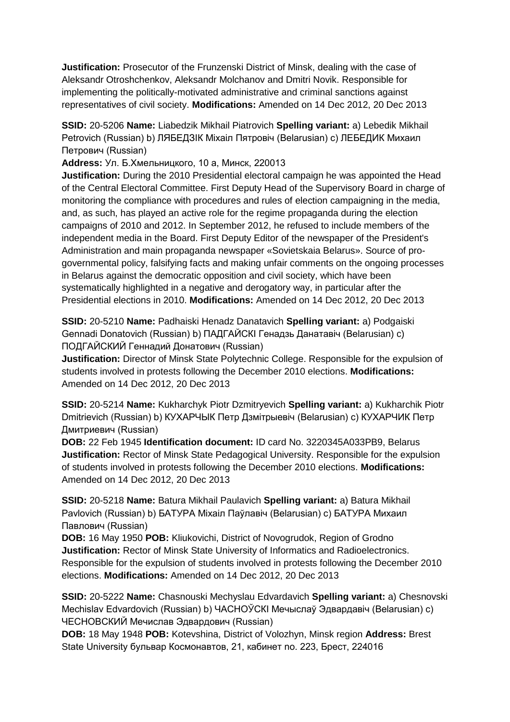**Justification:** Prosecutor of the Frunzenski District of Minsk, dealing with the case of Aleksandr Otroshchenkov, Aleksandr Molchanov and Dmitri Novik. Responsible for implementing the politically-motivated administrative and criminal sanctions against representatives of civil society. **Modifications:** Amended on 14 Dec 2012, 20 Dec 2013

**SSID:** 20-5206 **Name:** Liabedzik Mikhail Piatrovich **Spelling variant:** a) Lebedik Mikhail Petrovich (Russian) b) ЛЯБЕДЗIК Мiхаiл Пятровiч (Belarusian) c) ЛЕБЕДИК Михаил Петрович (Russian)

**Address:** Ул. Б.Хмельницкого, 10 а, Минск, 220013

**Justification:** During the 2010 Presidential electoral campaign he was appointed the Head of the Central Electoral Committee. First Deputy Head of the Supervisory Board in charge of monitoring the compliance with procedures and rules of election campaigning in the media, and, as such, has played an active role for the regime propaganda during the election campaigns of 2010 and 2012. In September 2012, he refused to include members of the independent media in the Board. First Deputy Editor of the newspaper of the President's Administration and main propaganda newspaper «Sovietskaia Belarus». Source of progovernmental policy, falsifying facts and making unfair comments on the ongoing processes in Belarus against the democratic opposition and civil society, which have been systematically highlighted in a negative and derogatory way, in particular after the Presidential elections in 2010. **Modifications:** Amended on 14 Dec 2012, 20 Dec 2013

**SSID:** 20-5210 **Name:** Padhaiski Henadz Danatavich **Spelling variant:** a) Podgaiski Gennadi Donatovich (Russian) b) ПАДГАЙСКI Генадзь Данатавіч (Belarusian) c) ПОДГАЙСКИЙ Геннадий Донатович (Russian)

**Justification:** Director of Minsk State Polytechnic College. Responsible for the expulsion of students involved in protests following the December 2010 elections. **Modifications:**  Amended on 14 Dec 2012, 20 Dec 2013

**SSID:** 20-5214 **Name:** Kukharchyk Piotr Dzmitryevich **Spelling variant:** a) Kukharchik Piotr Dmitrievich (Russian) b) КУХАРЧЫК Петр Дзмітрыевіч (Belarusian) c) КУХАРЧИК Петр Дмитриевич (Russian)

**DOB:** 22 Feb 1945 **Identification document:** ID card No. 3220345A033PB9, Belarus **Justification:** Rector of Minsk State Pedagogical University. Responsible for the expulsion of students involved in protests following the December 2010 elections. **Modifications:**  Amended on 14 Dec 2012, 20 Dec 2013

**SSID:** 20-5218 **Name:** Batura Mikhail Paulavich **Spelling variant:** a) Batura Mikhail Pavlovich (Russian) b) БАТУРА Міхаіл Паўлавіч (Belarusian) c) БАТУРА Михаил Павлович (Russian)

**DOB:** 16 May 1950 **POB:** Kliukovichi, District of Novogrudok, Region of Grodno **Justification:** Rector of Minsk State University of Informatics and Radioelectronics. Responsible for the expulsion of students involved in protests following the December 2010 elections. **Modifications:** Amended on 14 Dec 2012, 20 Dec 2013

**SSID:** 20-5222 **Name:** Chasnouski Mechyslau Edvardavich **Spelling variant:** a) Chesnovski Mechislav Edvardovich (Russian) b) ЧАСНОЎСКI Мечыслаў Эдвардавіч (Belarusian) c) ЧЕСНОВСКИЙ Мечислав Эдвардович (Russian)

**DOB:** 18 May 1948 **POB:** Kotevshina, District of Volozhyn, Minsk region **Address:** Brest State University бульвар Космонавтов, 21, кабинет no. 223, Брест, 224016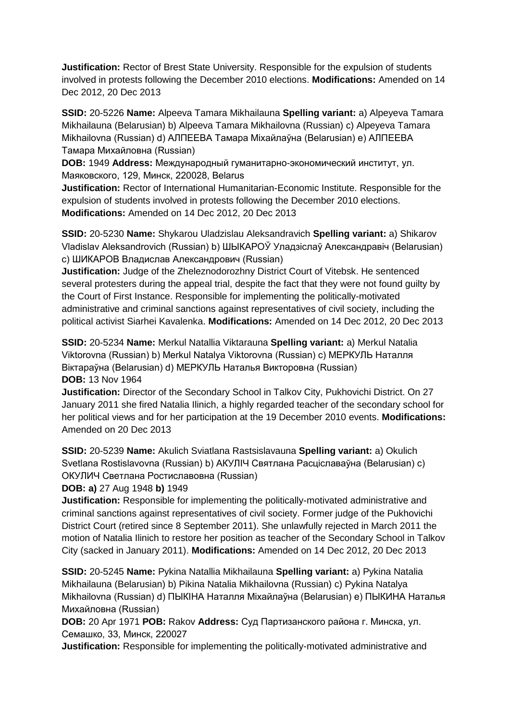**Justification:** Rector of Brest State University. Responsible for the expulsion of students involved in protests following the December 2010 elections. **Modifications:** Amended on 14 Dec 2012, 20 Dec 2013

**SSID:** 20-5226 **Name:** Alpeeva Tamara Mikhailauna **Spelling variant:** a) Alpeyeva Tamara Mikhailauna (Belarusian) b) Alpeeva Tamara Mikhailovna (Russian) c) Alpeyeva Tamara Mikhailovna (Russian) d) АЛПЕЕВА Тамара Міхайлаўна (Belarusian) e) АЛПЕЕВА Тамара Михайловна (Russian)

**DOB:** 1949 **Address:** Международный гуманитарно-экономический институт, ул. Маяковского, 129, Минск, 220028, Belarus

**Justification:** Rector of International Humanitarian-Economic Institute. Responsible for the expulsion of students involved in protests following the December 2010 elections. **Modifications:** Amended on 14 Dec 2012, 20 Dec 2013

**SSID:** 20-5230 **Name:** Shykarou Uladzislau Aleksandravich **Spelling variant:** a) Shikarov Vladislav Aleksandrovich (Russian) b) ШЫКАРОЎ Уладзіслаў Александравiч (Belarusian) c) ШИКАРОВ Владислав Александрович (Russian)

**Justification:** Judge of the Zheleznodorozhny District Court of Vitebsk. He sentenced several protesters during the appeal trial, despite the fact that they were not found guilty by the Court of First Instance. Responsible for implementing the politically-motivated administrative and criminal sanctions against representatives of civil society, including the political activist Siarhei Kavalenka. **Modifications:** Amended on 14 Dec 2012, 20 Dec 2013

**SSID:** 20-5234 **Name:** Merkul Natallia Viktarauna **Spelling variant:** a) Merkul Natalia Viktorovna (Russian) b) Merkul Natalya Viktorovna (Russian) c) МЕРКУЛЬ Наталля Віктараўна (Belarusian) d) МЕРКУЛЬ Наталья Викторовна (Russian) **DOB:** 13 Nov 1964

**Justification:** Director of the Secondary School in Talkov City, Pukhovichi District. On 27 January 2011 she fired Natalia Ilinich, a highly regarded teacher of the secondary school for her political views and for her participation at the 19 December 2010 events. **Modifications:**  Amended on 20 Dec 2013

**SSID:** 20-5239 **Name:** Akulich Sviatlana Rastsislavauna **Spelling variant:** a) Okulich Svetlana Rostislavovna (Russian) b) АКУЛIЧ Святлана Расціславаўна (Belarusian) c) ОКУЛИЧ Светлана Ростиславовна (Russian)

**DOB: a)** 27 Aug 1948 **b)** 1949

**Justification:** Responsible for implementing the politically-motivated administrative and criminal sanctions against representatives of civil society. Former judge of the Pukhovichi District Court (retired since 8 September 2011). She unlawfully rejected in March 2011 the motion of Natalia Ilinich to restore her position as teacher of the Secondary School in Talkov City (sacked in January 2011). **Modifications:** Amended on 14 Dec 2012, 20 Dec 2013

**SSID:** 20-5245 **Name:** Pykina Natallia Mikhailauna **Spelling variant:** a) Pykina Natalia Mikhailauna (Belarusian) b) Pikina Natalia Mikhailovna (Russian) c) Pykina Natalya Mikhailovna (Russian) d) ПЫКIНА Наталля Міхайлаўна (Belarusian) e) ПЫКИНА Наталья Михайловна (Russian)

**DOB:** 20 Apr 1971 **POB:** Rakov **Address:** Суд Партизанского района г. Минска, ул. Семашко, 33, Минск, 220027

**Justification:** Responsible for implementing the politically-motivated administrative and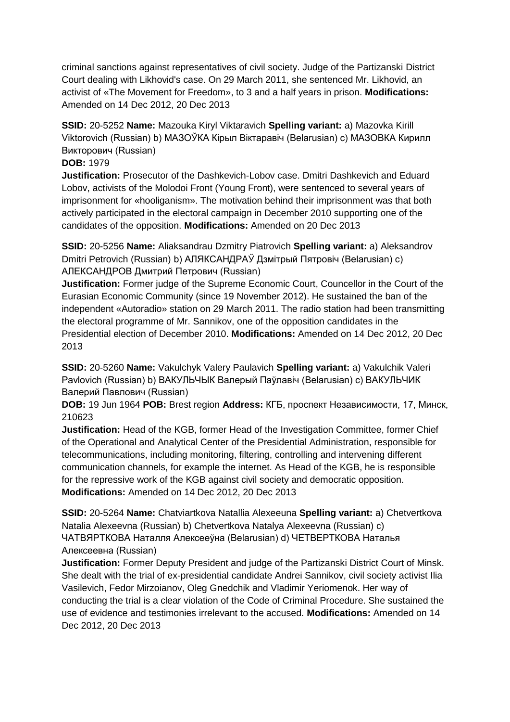criminal sanctions against representatives of civil society. Judge of the Partizanski District Court dealing with Likhovid's case. On 29 March 2011, she sentenced Mr. Likhovid, an activist of «The Movement for Freedom», to 3 and a half years in prison. **Modifications:**  Amended on 14 Dec 2012, 20 Dec 2013

**SSID:** 20-5252 **Name:** Mazouka Kiryl Viktaravich **Spelling variant:** a) Mazovka Kirill Viktorovich (Russian) b) МАЗОЎКА Кiрыл Вiктаравiч (Belarusian) c) МАЗОВКА Кирилл Викторович (Russian)

### **DOB:** 1979

**Justification:** Prosecutor of the Dashkevich-Lobov case. Dmitri Dashkevich and Eduard Lobov, activists of the Molodoi Front (Young Front), were sentenced to several years of imprisonment for «hooliganism». The motivation behind their imprisonment was that both actively participated in the electoral campaign in December 2010 supporting one of the candidates of the opposition. **Modifications:** Amended on 20 Dec 2013

**SSID:** 20-5256 **Name:** Aliaksandrau Dzmitry Piatrovich **Spelling variant:** a) Aleksandrov Dmitri Petrovich (Russian) b) АЛЯКСАНДРAЎ Дзмітрый Пятровіч (Belarusian) c) АЛЕКСАНДРОВ Дмитрий Петрович (Russian)

**Justification:** Former judge of the Supreme Economic Court, Councellor in the Court of the Eurasian Economic Community (since 19 November 2012). He sustained the ban of the independent «Autoradio» station on 29 March 2011. The radio station had been transmitting the electoral programme of Mr. Sannikov, one of the opposition candidates in the Presidential election of December 2010. **Modifications:** Amended on 14 Dec 2012, 20 Dec 2013

**SSID:** 20-5260 **Name:** Vakulchyk Valery Paulavich **Spelling variant:** a) Vakulchik Valeri Pavlovich (Russian) b) ВАКУЛЬЧЫК Валерый Паўлавiч (Belarusian) c) ВАКУЛЬЧИК Валерий Павлович (Russian)

**DOB:** 19 Jun 1964 **POB:** Brest region **Address:** КГБ, проспект Независимости, 17, Минск, 210623

**Justification:** Head of the KGB, former Head of the Investigation Committee, former Chief of the Operational and Analytical Center of the Presidential Administration, responsible for telecommunications, including monitoring, filtering, controlling and intervening different communication channels, for example the internet. As Head of the KGB, he is responsible for the repressive work of the KGB against civil society and democratic opposition. **Modifications:** Amended on 14 Dec 2012, 20 Dec 2013

**SSID:** 20-5264 **Name:** Chatviartkova Natallia Alexeeuna **Spelling variant:** a) Chetvertkova Natalia Alexeevna (Russian) b) Chetvertkova Natalya Alexeevna (Russian) c) ЧАТВЯРТКОВА Наталля Алексееўнa (Belarusian) d) ЧЕТВЕРТКОВА Наталья Алексеевнa (Russian)

**Justification:** Former Deputy President and judge of the Partizanski District Court of Minsk. She dealt with the trial of ex-presidential candidate Andrei Sannikov, civil society activist Ilia Vasilevich, Fedor Mirzoianov, Oleg Gnedchik and Vladimir Yeriomenok. Her way of conducting the trial is a clear violation of the Code of Criminal Procedure. She sustained the use of evidence and testimonies irrelevant to the accused. **Modifications:** Amended on 14 Dec 2012, 20 Dec 2013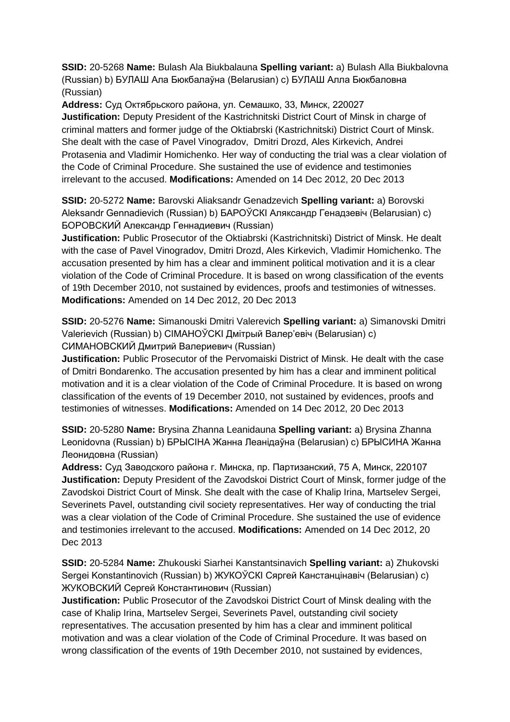**SSID:** 20-5268 **Name:** Bulash Ala Biukbalauna **Spelling variant:** a) Bulash Alla Biukbalovna (Russian) b) БУЛАШ Ала Бюкбалаўнa (Belarusian) c) БУЛАШ Алла Бюкбаловнa (Russian)

**Address:** Суд Октябрьского района, ул. Семашко, 33, Минск, 220027 **Justification:** Deputy President of the Kastrichnitski District Court of Minsk in charge of criminal matters and former judge of the Oktiabrski (Kastrichnitski) District Court of Minsk. She dealt with the case of Pavel Vinogradov, Dmitri Drozd, Ales Kirkevich, Andrei Protasenia and Vladimir Homichenko. Her way of conducting the trial was a clear violation of the Code of Criminal Procedure. She sustained the use of evidence and testimonies irrelevant to the accused. **Modifications:** Amended on 14 Dec 2012, 20 Dec 2013

**SSID:** 20-5272 **Name:** Barovski Aliaksandr Genadzevich **Spelling variant:** a) Borovski Aleksandr Gennadievich (Russian) b) БАРОЎСКI Аляксандр Генадзевіч (Belarusian) c) БОРОВСКИЙ Александр Геннадиевич (Russian)

**Justification:** Public Prosecutor of the Oktiabrski (Kastrichnitski) District of Minsk. He dealt with the case of Pavel Vinogradov, Dmitri Drozd, Ales Kirkevich, Vladimir Homichenko. The accusation presented by him has a clear and imminent political motivation and it is a clear violation of the Code of Criminal Procedure. It is based on wrong classification of the events of 19th December 2010, not sustained by evidences, proofs and testimonies of witnesses. **Modifications:** Amended on 14 Dec 2012, 20 Dec 2013

**SSID:** 20-5276 **Name:** Simanouski Dmitri Valerevich **Spelling variant:** a) Simanovski Dmitri Valerievich (Russian) b) CIMAHOЎCKI Дмітрый Валер'евіч (Belarusian) c) СИМАНОВСКИЙ Дмитрий Валериевич (Russian)

**Justification:** Public Prosecutor of the Pervomaiski District of Minsk. He dealt with the case of Dmitri Bondarenko. The accusation presented by him has a clear and imminent political motivation and it is a clear violation of the Code of Criminal Procedure. It is based on wrong classification of the events of 19 December 2010, not sustained by evidences, proofs and testimonies of witnesses. **Modifications:** Amended on 14 Dec 2012, 20 Dec 2013

**SSID:** 20-5280 **Name:** Brysina Zhanna Leanidauna **Spelling variant:** a) Brysina Zhanna Leonidovna (Russian) b) БPЫCIHA Жанна Леанiдаўна (Belarusian) c) БРЫCИНА Жанна Леонидовнa (Russian)

**Address:** Суд Заводского района г. Минска, пр. Партизанский, 75 А, Минск, 220107 **Justification:** Deputy President of the Zavodskoi District Court of Minsk, former judge of the Zavodskoi District Court of Minsk. She dealt with the case of Khalip Irina, Martselev Sergei, Severinets Pavel, outstanding civil society representatives. Her way of conducting the trial was a clear violation of the Code of Criminal Procedure. She sustained the use of evidence and testimonies irrelevant to the accused. **Modifications:** Amended on 14 Dec 2012, 20 Dec 2013

**SSID:** 20-5284 **Name:** Zhukouski Siarhei Kanstantsinavich **Spelling variant:** a) Zhukovski Sergei Konstantinovich (Russian) b) ЖУКОЎСКI Сяргей Канстанцінавіч (Belarusian) c) ЖУКОВСКИЙ Сергей Константинович (Russian)

**Justification:** Public Prosecutor of the Zavodskoi District Court of Minsk dealing with the case of Khalip Irina, Martselev Sergei, Severinets Pavel, outstanding civil society representatives. The accusation presented by him has a clear and imminent political motivation and was a clear violation of the Code of Criminal Procedure. It was based on wrong classification of the events of 19th December 2010, not sustained by evidences,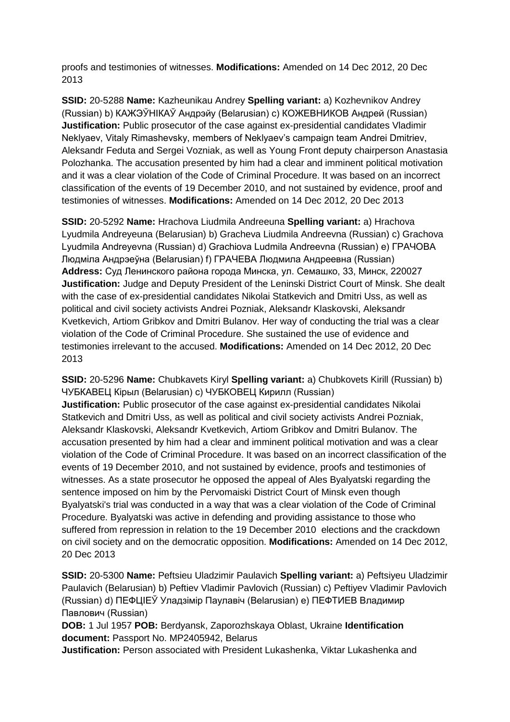proofs and testimonies of witnesses. **Modifications:** Amended on 14 Dec 2012, 20 Dec 2013

**SSID:** 20-5288 **Name:** Kazheunikau Andrey **Spelling variant:** a) Kozhevnikov Andrey (Russian) b) КАЖЭЎНIКАЎ Андрэйу (Belarusian) c) КОЖЕВНИКОВ Андрей (Russian) **Justification:** Public prosecutor of the case against ex-presidential candidates Vladimir Neklyaev, Vitaly Rimashevsky, members of Neklyaev's campaign team Andrei Dmitriev, Aleksandr Feduta and Sergei Vozniak, as well as Young Front deputy chairperson Anastasia Polozhanka. The accusation presented by him had a clear and imminent political motivation and it was a clear violation of the Code of Criminal Procedure. It was based on an incorrect classification of the events of 19 December 2010, and not sustained by evidence, proof and testimonies of witnesses. **Modifications:** Amended on 14 Dec 2012, 20 Dec 2013

**SSID:** 20-5292 **Name:** Hrachova Liudmila Andreeuna **Spelling variant:** a) Hrachova Lyudmila Andreyeuna (Belarusian) b) Gracheva Liudmila Andreevna (Russian) c) Grachova Lyudmila Andreyevna (Russian) d) Grachiova Ludmila Andreevna (Russian) e) ГРАЧОВА Людміла Андрэеўна (Belarusian) f) ГРАЧЕВА Людмила Андреевна (Russian) **Address:** Суд Ленинского района города Минска, ул. Семашко, 33, Минск, 220027 **Justification:** Judge and Deputy President of the Leninski District Court of Minsk. She dealt with the case of ex-presidential candidates Nikolai Statkevich and Dmitri Uss, as well as political and civil society activists Andrei Pozniak, Aleksandr Klaskovski, Aleksandr Kvetkevich, Artiom Gribkov and Dmitri Bulanov. Her way of conducting the trial was a clear violation of the Code of Criminal Procedure. She sustained the use of evidence and testimonies irrelevant to the accused. **Modifications:** Amended on 14 Dec 2012, 20 Dec 2013

**SSID:** 20-5296 **Name:** Chubkavets Kiryl **Spelling variant:** a) Chubkovets Kirill (Russian) b) ЧУБКАВЕЦ Кірыл (Belarusian) c) ЧУБКОВЕЦ Кирилл (Russian) **Justification:** Public prosecutor of the case against ex-presidential candidates Nikolai Statkevich and Dmitri Uss, as well as political and civil society activists Andrei Pozniak, Aleksandr Klaskovski, Aleksandr Kvetkevich, Artiom Gribkov and Dmitri Bulanov. The accusation presented by him had a clear and imminent political motivation and was a clear violation of the Code of Criminal Procedure. It was based on an incorrect classification of the events of 19 December 2010, and not sustained by evidence, proofs and testimonies of witnesses. As a state prosecutor he opposed the appeal of Ales Byalyatski regarding the sentence imposed on him by the Pervomaiski District Court of Minsk even though Byalyatski's trial was conducted in a way that was a clear violation of the Code of Criminal Procedure. Byalyatski was active in defending and providing assistance to those who suffered from repression in relation to the 19 December 2010 elections and the crackdown on civil society and on the democratic opposition. **Modifications:** Amended on 14 Dec 2012, 20 Dec 2013

**SSID:** 20-5300 **Name:** Peftsieu Uladzimir Paulavich **Spelling variant:** a) Peftsiyeu Uladzimir Paulavich (Belarusian) b) Peftiev Vladimir Pavlovich (Russian) c) Peftiyev Vladimir Pavlovich (Russian) d) ПЕФЦIЕЎ Уладзімір Паулавiч (Belarusian) e) ПЕФТИЕВ Владимир Павлович (Russian)

**DOB:** 1 Jul 1957 **POB:** Berdyansk, Zaporozhskaya Oblast, Ukraine **Identification document:** Passport No. MP2405942, Belarus

**Justification:** Person associated with President Lukashenka, Viktar Lukashenka and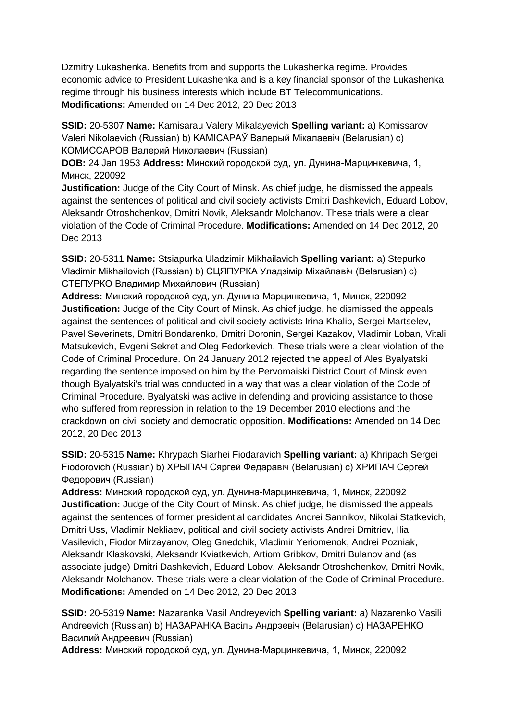Dzmitry Lukashenka. Benefits from and supports the Lukashenka regime. Provides economic advice to President Lukashenka and is a key financial sponsor of the Lukashenka regime through his business interests which include BT Telecommunications. **Modifications:** Amended on 14 Dec 2012, 20 Dec 2013

**SSID:** 20-5307 **Name:** Kamisarau Valery Mikalayevich **Spelling variant:** a) Komissarov Valeri Nikolaevich (Russian) b) KAMICAPAЎ Валерый Мікалаевіч (Belarusian) c) КОМИССАРОВ Валерий Николаевич (Russian)

**DOB:** 24 Jan 1953 **Address:** Минский городской суд, ул. Дунина-Марцинкевича, 1, Минск, 220092

**Justification:** Judge of the City Court of Minsk. As chief judge, he dismissed the appeals against the sentences of political and civil society activists Dmitri Dashkevich, Eduard Lobov, Aleksandr Otroshchenkov, Dmitri Novik, Aleksandr Molchanov. These trials were a clear violation of the Code of Criminal Procedure. **Modifications:** Amended on 14 Dec 2012, 20 Dec 2013

**SSID:** 20-5311 **Name:** Stsiapurka Uladzimir Mikhailavich **Spelling variant:** a) Stepurko Vladimir Mikhailovich (Russian) b) СЦЯПУРКА Уладзімір Міхайлавіч (Belarusian) c) СТЕПУРКО Владимир Михайлович (Russian)

**Address:** Минский городской суд, ул. Дунина-Марцинкевича, 1, Минск, 220092 **Justification:** Judge of the City Court of Minsk. As chief judge, he dismissed the appeals against the sentences of political and civil society activists Irina Khalip, Sergei Martselev, Pavel Severinets, Dmitri Bondarenko, Dmitri Doronin, Sergei Kazakov, Vladimir Loban, Vitali Matsukevich, Evgeni Sekret and Oleg Fedorkevich. These trials were a clear violation of the Code of Criminal Procedure. On 24 January 2012 rejected the appeal of Ales Byalyatski regarding the sentence imposed on him by the Pervomaiski District Court of Minsk even though Byalyatski's trial was conducted in a way that was a clear violation of the Code of Criminal Procedure. Byalyatski was active in defending and providing assistance to those who suffered from repression in relation to the 19 December 2010 elections and the crackdown on civil society and democratic opposition. **Modifications:** Amended on 14 Dec 2012, 20 Dec 2013

**SSID:** 20-5315 **Name:** Khrypach Siarhei Fiodaravich **Spelling variant:** a) Khripach Sergei Fiodorovich (Russian) b) ХРЫПАЧ Сяргей Федаравiч (Belarusian) c) ХРИПАЧ Сергей Федорович (Russian)

**Address:** Минский городской суд, ул. Дунина-Марцинкевича, 1, Минск, 220092 **Justification:** Judge of the City Court of Minsk. As chief judge, he dismissed the appeals against the sentences of former presidential candidates Andrei Sannikov, Nikolai Statkevich, Dmitri Uss, Vladimir Nekliaev, political and civil society activists Andrei Dmitriev, Ilia Vasilevich, Fiodor Mirzayanov, Oleg Gnedchik, Vladimir Yeriomenok, Andrei Pozniak, Aleksandr Klaskovski, Aleksandr Kviatkevich, Artiom Gribkov, Dmitri Bulanov and (as associate judge) Dmitri Dashkevich, Eduard Lobov, Aleksandr Otroshchenkov, Dmitri Novik, Aleksandr Molchanov. These trials were a clear violation of the Code of Criminal Procedure. **Modifications:** Amended on 14 Dec 2012, 20 Dec 2013

**SSID:** 20-5319 **Name:** Nazaranka Vasil Andreyevich **Spelling variant:** a) Nazarenko Vasili Andreevich (Russian) b) НАЗАРАНКА Васіль Андрэевіч (Belarusian) c) НАЗАРЕНКО Василий Андреевич (Russian)

**Address:** Минский городской суд, ул. Дунина-Марцинкевича, 1, Минск, 220092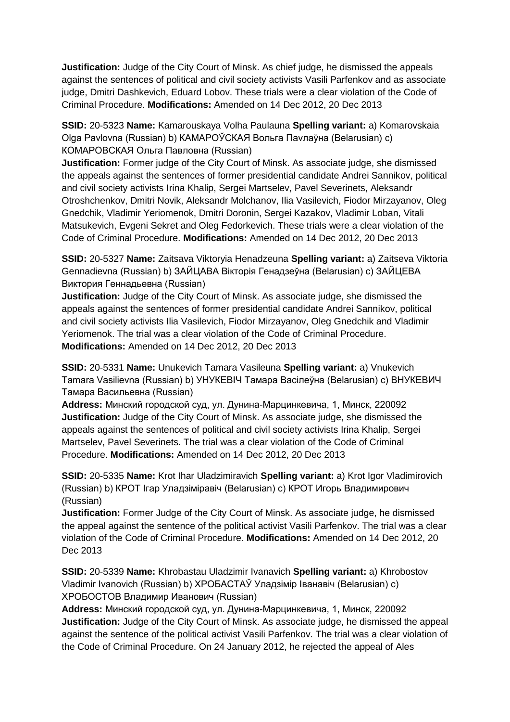**Justification:** Judge of the City Court of Minsk. As chief judge, he dismissed the appeals against the sentences of political and civil society activists Vasili Parfenkov and as associate judge, Dmitri Dashkevich, Eduard Lobov. These trials were a clear violation of the Code of Criminal Procedure. **Modifications:** Amended on 14 Dec 2012, 20 Dec 2013

**SSID:** 20-5323 **Name:** Kamarouskaya Volha Paulauna **Spelling variant:** a) Komarovskaia Olga Pavlovna (Russian) b) КАМАРОЎСКАЯ Вольга Паvлаўна (Belarusian) c) КОМАРОВСКАЯ Ольга Павловна (Russian)

**Justification:** Former judge of the City Court of Minsk. As associate judge, she dismissed the appeals against the sentences of former presidential candidate Andrei Sannikov, political and civil society activists Irina Khalip, Sergei Martselev, Pavel Severinets, Aleksandr Otroshchenkov, Dmitri Novik, Aleksandr Molchanov, Ilia Vasilevich, Fiodor Mirzayanov, Oleg Gnedchik, Vladimir Yeriomenok, Dmitri Doronin, Sergei Kazakov, Vladimir Loban, Vitali Matsukevich, Evgeni Sekret and Oleg Fedorkevich. These trials were a clear violation of the Code of Criminal Procedure. **Modifications:** Amended on 14 Dec 2012, 20 Dec 2013

**SSID:** 20-5327 **Name:** Zaitsava Viktoryia Henadzeuna **Spelling variant:** a) Zaitseva Viktoria Gennadievna (Russian) b) ЗАЙЦАВА Вiкторiя Генадзеўна (Belarusian) c) ЗАЙЦЕВА Виктория Геннадьевна (Russian)

**Justification:** Judge of the City Court of Minsk. As associate judge, she dismissed the appeals against the sentences of former presidential candidate Andrei Sannikov, political and civil society activists Ilia Vasilevich, Fiodor Mirzayanov, Oleg Gnedchik and Vladimir Yeriomenok. The trial was a clear violation of the Code of Criminal Procedure. **Modifications:** Amended on 14 Dec 2012, 20 Dec 2013

**SSID:** 20-5331 **Name:** Unukevich Tamara Vasileuna **Spelling variant:** a) Vnukevich Tamara Vasilievna (Russian) b) УНУКЕВIЧ Тамара Васілеўна (Belarusian) c) ВНУКЕВИЧ Тамара Васильевна (Russian)

**Address:** Минский городской суд, ул. Дунина-Марцинкевича, 1, Минск, 220092 **Justification:** Judge of the City Court of Minsk. As associate judge, she dismissed the appeals against the sentences of political and civil society activists Irina Khalip, Sergei Martselev, Pavel Severinets. The trial was a clear violation of the Code of Criminal Procedure. **Modifications:** Amended on 14 Dec 2012, 20 Dec 2013

**SSID:** 20-5335 **Name:** Krot Ihar Uladzimiravich **Spelling variant:** a) Krot Igor Vladimirovich (Russian) b) КРОТ Ігар Уладзіміравіч (Belarusian) c) КРОТ Игорь Владимирович (Russian)

**Justification:** Former Judge of the City Court of Minsk. As associate judge, he dismissed the appeal against the sentence of the political activist Vasili Parfenkov. The trial was a clear violation of the Code of Criminal Procedure. **Modifications:** Amended on 14 Dec 2012, 20 Dec 2013

**SSID:** 20-5339 **Name:** Khrobastau Uladzimir Ivanavich **Spelling variant:** a) Khrobostov Vladimir Ivanovich (Russian) b) ХРОБАСТАЎ Уладзімір Іванавіч (Belarusian) c) ХРОБОСТОВ Владимир Иванович (Russian)

**Address:** Минский городской суд, ул. Дунина-Марцинкевича, 1, Минск, 220092 **Justification:** Judge of the City Court of Minsk. As associate judge, he dismissed the appeal against the sentence of the political activist Vasili Parfenkov. The trial was a clear violation of the Code of Criminal Procedure. On 24 January 2012, he rejected the appeal of Ales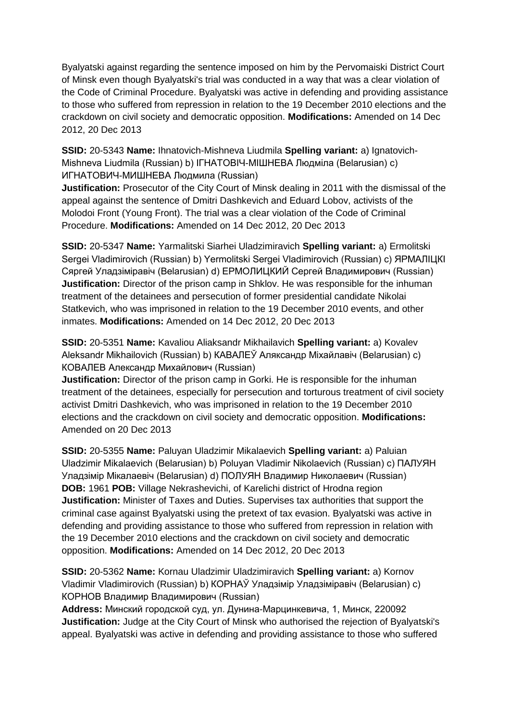Byalyatski against regarding the sentence imposed on him by the Pervomaiski District Court of Minsk even though Byalyatski's trial was conducted in a way that was a clear violation of the Code of Criminal Procedure. Byalyatski was active in defending and providing assistance to those who suffered from repression in relation to the 19 December 2010 elections and the crackdown on civil society and democratic opposition. **Modifications:** Amended on 14 Dec 2012, 20 Dec 2013

**SSID:** 20-5343 **Name:** Ihnatovich-Mishneva Liudmila **Spelling variant:** a) Ignatovich-Mishneva Liudmila (Russian) b) IГНАТОВIЧ-МIШНЕВА Людміла (Belarusian) c) ИГНАТОВИЧ-МИШНЕВА Людмила (Russian)

**Justification:** Prosecutor of the City Court of Minsk dealing in 2011 with the dismissal of the appeal against the sentence of Dmitri Dashkevich and Eduard Lobov, activists of the Molodoi Front (Young Front). The trial was a clear violation of the Code of Criminal Procedure. **Modifications:** Amended on 14 Dec 2012, 20 Dec 2013

**SSID:** 20-5347 **Name:** Yarmalitski Siarhei Uladzimiravich **Spelling variant:** a) Ermolitski Sergei Vladimirovich (Russian) b) Yermolitski Sergei Vladimirovich (Russian) c) ЯРМАЛIЦКI Сяргей Уладзіміравіч (Belarusian) d) ЕРМОЛИЦКИЙ Сергей Владимирович (Russian) **Justification:** Director of the prison camp in Shklov. He was responsible for the inhuman treatment of the detainees and persecution of former presidential candidate Nikolai Statkevich, who was imprisoned in relation to the 19 December 2010 events, and other inmates. **Modifications:** Amended on 14 Dec 2012, 20 Dec 2013

**SSID:** 20-5351 **Name:** Kavaliou Aliaksandr Mikhailavich **Spelling variant:** a) Kovalev Aleksandr Mikhailovich (Russian) b) КАВАЛЕЎ Аляксандр Міхайлавіч (Belarusian) c) КОВАЛЕВ Александр Михайлович (Russian)

**Justification:** Director of the prison camp in Gorki. He is responsible for the inhuman treatment of the detainees, especially for persecution and torturous treatment of civil society activist Dmitri Dashkevich, who was imprisoned in relation to the 19 December 2010 elections and the crackdown on civil society and democratic opposition. **Modifications:**  Amended on 20 Dec 2013

**SSID:** 20-5355 **Name:** Paluyan Uladzimir Mikalaevich **Spelling variant:** a) Paluian Uladzimir Mikalaevich (Belarusian) b) Poluyan Vladimir Nikolaevich (Russian) c) ПАЛУЯН Уладзімір Мікалаевіч (Belarusian) d) ПОЛУЯН Владимир Николаевич (Russian) **DOB:** 1961 **POB:** Village Nekrashevichi, of Karelichi district of Hrodna region **Justification:** Minister of Taxes and Duties. Supervises tax authorities that support the criminal case against Byalyatski using the pretext of tax evasion. Byalyatski was active in defending and providing assistance to those who suffered from repression in relation with the 19 December 2010 elections and the crackdown on civil society and democratic opposition. **Modifications:** Amended on 14 Dec 2012, 20 Dec 2013

**SSID:** 20-5362 **Name:** Kornau Uladzimir Uladzimiravich **Spelling variant:** a) Kornov Vladimir Vladimirovich (Russian) b) КОРНАЎ Уладзімір Уладзіміравіч (Belarusian) c) КОРНОВ Владимир Владимирович (Russian)

**Address:** Минский городской суд, ул. Дунина-Марцинкевича, 1, Минск, 220092 **Justification:** Judge at the City Court of Minsk who authorised the rejection of Byalyatski's appeal. Byalyatski was active in defending and providing assistance to those who suffered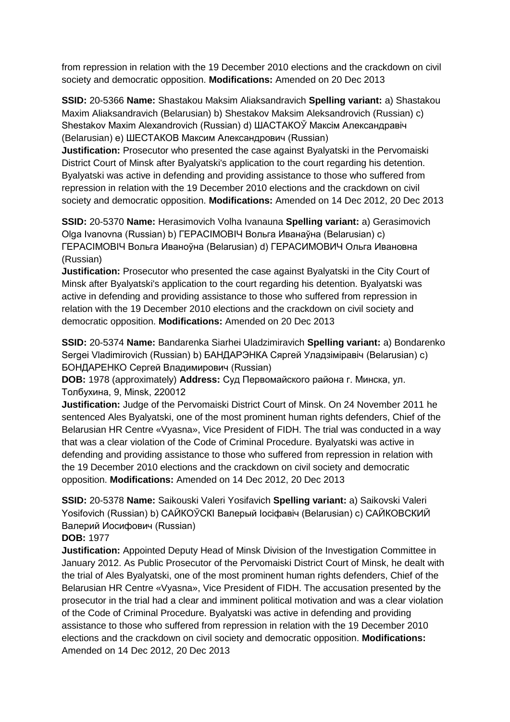from repression in relation with the 19 December 2010 elections and the crackdown on civil society and democratic opposition. **Modifications:** Amended on 20 Dec 2013

**SSID:** 20-5366 **Name:** Shastakou Maksim Aliaksandravich **Spelling variant:** a) Shastakou Maxim Aliaksandravich (Belarusian) b) Shestakov Maksim Aleksandrovich (Russian) c) Shestakov Maxim Alexandrovich (Russian) d) ШАСТАКОЎ Максім Александравіч (Belarusian) e) ШЕСТАКОВ Максим Александрович (Russian)

**Justification:** Prosecutor who presented the case against Byalyatski in the Pervomaiski District Court of Minsk after Byalyatski's application to the court regarding his detention. Byalyatski was active in defending and providing assistance to those who suffered from repression in relation with the 19 December 2010 elections and the crackdown on civil society and democratic opposition. **Modifications:** Amended on 14 Dec 2012, 20 Dec 2013

**SSID:** 20-5370 **Name:** Herasimovich Volha Ivanauna **Spelling variant:** a) Gerasimovich Olga Ivanovna (Russian) b) ГЕРАСIМОВIЧ Вольга Иванаўна (Belarusian) c) ГЕРАСIМОВIЧ Вольга Иваноўна (Belarusian) d) ГЕРАСИМОВИЧ Ольга Ивановна (Russian)

**Justification:** Prosecutor who presented the case against Byalyatski in the City Court of Minsk after Byalyatski's application to the court regarding his detention. Byalyatski was active in defending and providing assistance to those who suffered from repression in relation with the 19 December 2010 elections and the crackdown on civil society and democratic opposition. **Modifications:** Amended on 20 Dec 2013

**SSID:** 20-5374 **Name:** Bandarenka Siarhei Uladzimiravich **Spelling variant:** a) Bondarenko Sergei Vladimirovich (Russian) b) БАНДАРЭНКА Сяргей Уладзіміравіч (Belarusian) c) БОНДАРЕНКО Сергей Владимирович (Russian)

**DOB:** 1978 (approximately) **Address:** Суд Первомайского района г. Минска, ул. Толбухина, 9, Minsk, 220012

**Justification:** Judge of the Pervomaiski District Court of Minsk. On 24 November 2011 he sentenced Ales Byalyatski, one of the most prominent human rights defenders, Chief of the Belarusian HR Centre «Vyasna», Vice President of FIDH. The trial was conducted in a way that was a clear violation of the Code of Criminal Procedure. Byalyatski was active in defending and providing assistance to those who suffered from repression in relation with the 19 December 2010 elections and the crackdown on civil society and democratic opposition. **Modifications:** Amended on 14 Dec 2012, 20 Dec 2013

**SSID:** 20-5378 **Name:** Saikouski Valeri Yosifavich **Spelling variant:** a) Saikovski Valeri Yosifovich (Russian) b) САЙКОЎСКI Валерый Іосіфавіч (Belarusian) c) САЙКОВСКИЙ Валерий Иосифович (Russian)

### **DOB:** 1977

**Justification:** Appointed Deputy Head of Minsk Division of the Investigation Committee in January 2012. As Public Prosecutor of the Pervomaiski District Court of Minsk, he dealt with the trial of Ales Byalyatski, one of the most prominent human rights defenders, Chief of the Belarusian HR Centre «Vyasna», Vice President of FIDH. The accusation presented by the prosecutor in the trial had a clear and imminent political motivation and was a clear violation of the Code of Criminal Procedure. Byalyatski was active in defending and providing assistance to those who suffered from repression in relation with the 19 December 2010 elections and the crackdown on civil society and democratic opposition. **Modifications:**  Amended on 14 Dec 2012, 20 Dec 2013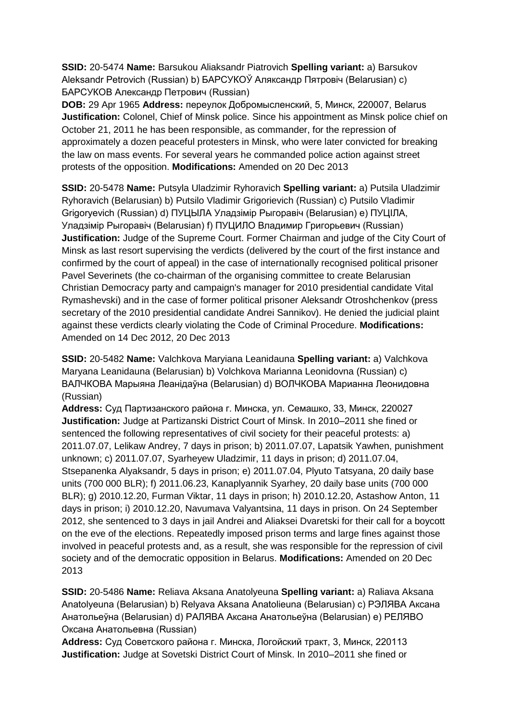**SSID:** 20-5474 **Name:** Barsukou Aliaksandr Piatrovich **Spelling variant:** a) Barsukov Aleksandr Petrovich (Russian) b) БАРСУКОЎ Аляксандр Пятровіч (Belarusian) c) БАРСУКОВ Александр Петрович (Russian)

**DOB:** 29 Apr 1965 **Address:** переулок Добромысленский, 5, Минск, 220007, Belarus **Justification:** Colonel, Chief of Minsk police. Since his appointment as Minsk police chief on October 21, 2011 he has been responsible, as commander, for the repression of approximately a dozen peaceful protesters in Minsk, who were later convicted for breaking the law on mass events. For several years he commanded police action against street protests of the opposition. **Modifications:** Amended on 20 Dec 2013

**SSID:** 20-5478 **Name:** Putsyla Uladzimir Ryhoravich **Spelling variant:** a) Putsila Uladzimir Ryhoravich (Belarusian) b) Putsilo Vladimir Grigorievich (Russian) c) Putsilo Vladimir Grigoryevich (Russian) d) ПУЦЫЛА Уладзімір Рыгоравіч (Belarusian) e) ПУЦIЛА, Уладзімір Рыгоравіч (Belarusian) f) ПУЦИЛО Владимир Григорьевич (Russian) **Justification:** Judge of the Supreme Court. Former Chairman and judge of the City Court of Minsk as last resort supervising the verdicts (delivered by the court of the first instance and confirmed by the court of appeal) in the case of internationally recognised political prisoner Pavel Severinets (the co-chairman of the organising committee to create Belarusian Christian Democracy party and campaign's manager for 2010 presidential candidate Vital Rymashevski) and in the case of former political prisoner Aleksandr Otroshchenkov (press secretary of the 2010 presidential candidate Andrei Sannikov). He denied the judicial plaint against these verdicts clearly violating the Code of Criminal Procedure. **Modifications:**  Amended on 14 Dec 2012, 20 Dec 2013

**SSID:** 20-5482 **Name:** Valchkova Maryiana Leanidauna **Spelling variant:** a) Valchkova Maryana Leanidauna (Belarusian) b) Volchkova Marianna Leonidovna (Russian) c) ВАЛЧКОВА Марыяна Леанідаўна (Belarusian) d) ВОЛЧКОВА Марианна Леонидовна (Russian)

**Address:** Суд Партизанского района г. Минска, ул. Семашко, 33, Минск, 220027 **Justification:** Judge at Partizanski District Court of Minsk. In 2010–2011 she fined or sentenced the following representatives of civil society for their peaceful protests: a) 2011.07.07, Lelikaw Andrey, 7 days in prison; b) 2011.07.07, Lapatsik Yawhen, punishment unknown; c) 2011.07.07, Syarheyew Uladzimir, 11 days in prison; d) 2011.07.04, Stsepanenka Alyaksandr, 5 days in prison; e) 2011.07.04, Plyuto Tatsyana, 20 daily base units (700 000 BLR); f) 2011.06.23, Kanaplyannik Syarhey, 20 daily base units (700 000 BLR); g) 2010.12.20, Furman Viktar, 11 days in prison; h) 2010.12.20, Astashow Anton, 11 days in prison; i) 2010.12.20, Navumava Valyantsina, 11 days in prison. On 24 September 2012, she sentenced to 3 days in jail Andrei and Aliaksei Dvaretski for their call for a boycott on the eve of the elections. Repeatedly imposed prison terms and large fines against those involved in peaceful protests and, as a result, she was responsible for the repression of civil society and of the democratic opposition in Belarus. **Modifications:** Amended on 20 Dec 2013

**SSID:** 20-5486 **Name:** Reliava Aksana Anatolyeuna **Spelling variant:** a) Raliava Aksana Anatolyeuna (Belarusian) b) Relyava Aksana Anatolieuna (Belarusian) c) РЭЛЯВА Аксана Анатольеўна (Belarusian) d) РAЛЯВА Аксана Анатольеўна (Belarusian) e) РЕЛЯВО Оксана Анатольевна (Russian)

**Address:** Суд Советского района г. Минска, Логойский тракт, 3, Минск, 220113 **Justification:** Judge at Sovetski District Court of Minsk. In 2010–2011 she fined or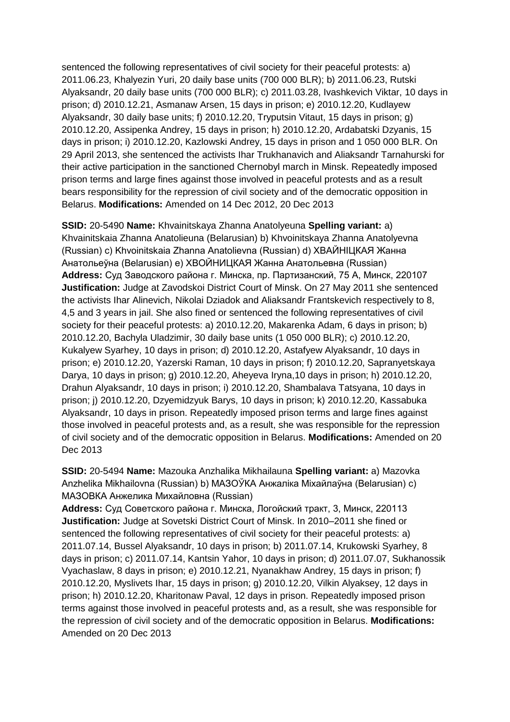sentenced the following representatives of civil society for their peaceful protests: a) 2011.06.23, Khalyezin Yuri, 20 daily base units (700 000 BLR); b) 2011.06.23, Rutski Alyaksandr, 20 daily base units (700 000 BLR); c) 2011.03.28, Ivashkevich Viktar, 10 days in prison; d) 2010.12.21, Asmanaw Arsen, 15 days in prison; e) 2010.12.20, Kudlayew Alyaksandr, 30 daily base units; f) 2010.12.20, Tryputsin Vitaut, 15 days in prison; g) 2010.12.20, Assipenka Andrey, 15 days in prison; h) 2010.12.20, Ardabatski Dzyanis, 15 days in prison; i) 2010.12.20, Kazlowski Andrey, 15 days in prison and 1 050 000 BLR. On 29 April 2013, she sentenced the activists Ihar Trukhanavich and Aliaksandr Tarnahurski for their active participation in the sanctioned Chernobyl march in Minsk. Repeatedly imposed prison terms and large fines against those involved in peaceful protests and as a result bears responsibility for the repression of civil society and of the democratic opposition in Belarus. **Modifications:** Amended on 14 Dec 2012, 20 Dec 2013

**SSID:** 20-5490 **Name:** Khvainitskaya Zhanna Anatolyeuna **Spelling variant:** a) Khvainitskaia Zhanna Anatolieuna (Belarusian) b) Khvoinitskaya Zhanna Anatolyevna (Russian) c) Khvoinitskaia Zhanna Anatolievna (Russian) d) ХВАЙНIЦКАЯ Жанна Анатольеўна (Belarusian) e) ХВОЙНИЦКАЯ Жанна Анатольевна (Russian) **Address:** Суд Заводского района г. Минска, пр. Партизанский, 75 А, Минск, 220107 **Justification:** Judge at Zavodskoi District Court of Minsk. On 27 May 2011 she sentenced the activists Ihar Alinevich, Nikolai Dziadok and Aliaksandr Frantskevich respectively to 8, 4,5 and 3 years in jail. She also fined or sentenced the following representatives of civil society for their peaceful protests: a) 2010.12.20, Makarenka Adam, 6 days in prison; b) 2010.12.20, Bachyla Uladzimir, 30 daily base units (1 050 000 BLR); c) 2010.12.20, Kukalyew Syarhey, 10 days in prison; d) 2010.12.20, Astafyew Alyaksandr, 10 days in prison; e) 2010.12.20, Yazerski Raman, 10 days in prison; f) 2010.12.20, Sapranyetskaya Darya, 10 days in prison; g) 2010.12.20, Aheyeva Iryna,10 days in prison; h) 2010.12.20, Drahun Alyaksandr, 10 days in prison; i) 2010.12.20, Shambalava Tatsyana, 10 days in prison; j) 2010.12.20, Dzyemidzyuk Barys, 10 days in prison; k) 2010.12.20, Kassabuka Alyaksandr, 10 days in prison. Repeatedly imposed prison terms and large fines against those involved in peaceful protests and, as a result, she was responsible for the repression of civil society and of the democratic opposition in Belarus. **Modifications:** Amended on 20 Dec 2013

**SSID:** 20-5494 **Name:** Mazouka Anzhalika Mikhailauna **Spelling variant:** a) Mazovka Anzhelika Mikhailovna (Russian) b) МАЗОЎКА Анжаліка Міхайлаўна (Belarusian) c) МАЗОВКA Анжелика Михайловна (Russian)

**Address:** Суд Советского района г. Минска, Логойский тракт, 3, Минск, 220113 **Justification:** Judge at Sovetski District Court of Minsk. In 2010–2011 she fined or sentenced the following representatives of civil society for their peaceful protests: a) 2011.07.14, Bussel Alyaksandr, 10 days in prison; b) 2011.07.14, Krukowski Syarhey, 8 days in prison; c) 2011.07.14, Kantsin Yahor, 10 days in prison; d) 2011.07.07, Sukhanossik Vyachaslaw, 8 days in prison; e) 2010.12.21, Nyanakhaw Andrey, 15 days in prison; f) 2010.12.20, Myslivets Ihar, 15 days in prison; g) 2010.12.20, Vilkin Alyaksey, 12 days in prison; h) 2010.12.20, Kharitonaw Paval, 12 days in prison. Repeatedly imposed prison terms against those involved in peaceful protests and, as a result, she was responsible for the repression of civil society and of the democratic opposition in Belarus. **Modifications:**  Amended on 20 Dec 2013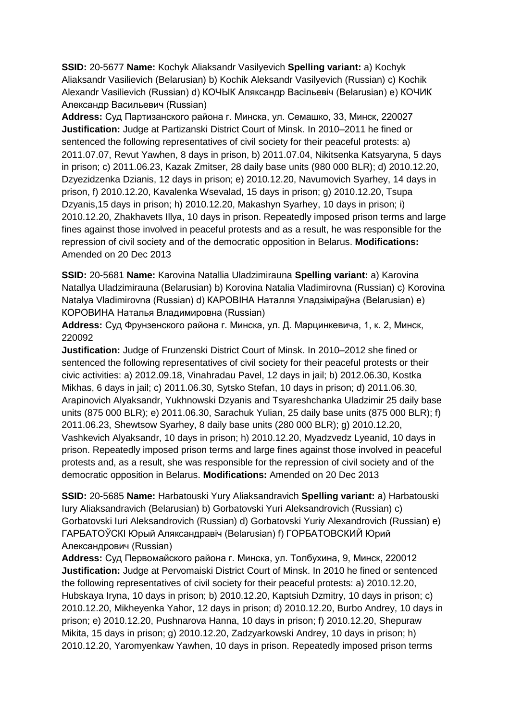**SSID:** 20-5677 **Name:** Kochyk Aliaksandr Vasilyevich **Spelling variant:** a) Kochyk Aliaksandr Vasilievich (Belarusian) b) Kochik Aleksandr Vasilyevich (Russian) c) Kochik Alexandr Vasilievich (Russian) d) КОЧЫК Аляксандр Васільевіч (Belarusian) e) КОЧИК Александр Васильевич (Russian)

**Address:** Суд Партизанского района г. Минска, ул. Семашко, 33, Минск, 220027 **Justification:** Judge at Partizanski District Court of Minsk. In 2010–2011 he fined or sentenced the following representatives of civil society for their peaceful protests: a) 2011.07.07, Revut Yawhen, 8 days in prison, b) 2011.07.04, Nikitsenka Katsyaryna, 5 days in prison; c) 2011.06.23, Kazak Zmitser, 28 daily base units (980 000 BLR); d) 2010.12.20, Dzyezidzenka Dzianis, 12 days in prison; e) 2010.12.20, Navumovich Syarhey, 14 days in prison, f) 2010.12.20, Kavalenka Wsevalad, 15 days in prison; g) 2010.12.20, Tsupa Dzyanis,15 days in prison; h) 2010.12.20, Makashyn Syarhey, 10 days in prison; i) 2010.12.20, Zhakhavets Illya, 10 days in prison. Repeatedly imposed prison terms and large fines against those involved in peaceful protests and as a result, he was responsible for the repression of civil society and of the democratic opposition in Belarus. **Modifications:**  Amended on 20 Dec 2013

**SSID:** 20-5681 **Name:** Karovina Natallia Uladzimirauna **Spelling variant:** a) Karovina Natallya Uladzimirauna (Belarusian) b) Korovina Natalia Vladimirovna (Russian) c) Korovina Natalya Vladimirovna (Russian) d) КАРОВIНА Наталля Уладзіміраўна (Belarusian) e) КОРОВИНА Наталья Владимировна (Russian)

**Address:** Суд Фрунзенского района г. Минска, ул. Д. Марцинкевича, 1, к. 2, Минск, 220092

**Justification:** Judge of Frunzenski District Court of Minsk. In 2010–2012 she fined or sentenced the following representatives of civil society for their peaceful protests or their civic activities: a) 2012.09.18, Vinahradau Pavel, 12 days in jail; b) 2012.06.30, Kostka Mikhas, 6 days in jail; c) 2011.06.30, Sytsko Stefan, 10 days in prison; d) 2011.06.30, Arapinovich Alyaksandr, Yukhnowski Dzyanis and Tsyareshchanka Uladzimir 25 daily base units (875 000 BLR); e) 2011.06.30, Sarachuk Yulian, 25 daily base units (875 000 BLR); f) 2011.06.23, Shewtsow Syarhey, 8 daily base units (280 000 BLR); g) 2010.12.20, Vashkevich Alyaksandr, 10 days in prison; h) 2010.12.20, Myadzvedz Lyeanid, 10 days in prison. Repeatedly imposed prison terms and large fines against those involved in peaceful protests and, as a result, she was responsible for the repression of civil society and of the democratic opposition in Belarus. **Modifications:** Amended on 20 Dec 2013

**SSID:** 20-5685 **Name:** Harbatouski Yury Aliaksandravich **Spelling variant:** a) Harbatouski Iury Aliaksandravich (Belarusian) b) Gorbatovski Yuri Aleksandrovich (Russian) c) Gorbatovski Iuri Aleksandrovich (Russian) d) Gorbatovski Yuriy Alexandrovich (Russian) e) ГАРБАТОЎСКI Юрый Аляксандравіч (Belarusian) f) ГОРБАТОВСКИЙ Юрий Александрович (Russian)

**Address:** Суд Первомайского района г. Минска, ул. Толбухина, 9, Минск, 220012 **Justification:** Judge at Pervomaiski District Court of Minsk. In 2010 he fined or sentenced the following representatives of civil society for their peaceful protests: a) 2010.12.20, Hubskaya Iryna, 10 days in prison; b) 2010.12.20, Kaptsiuh Dzmitry, 10 days in prison; c) 2010.12.20, Mikheyenka Yahor, 12 days in prison; d) 2010.12.20, Burbo Andrey, 10 days in prison; e) 2010.12.20, Pushnarova Hanna, 10 days in prison; f) 2010.12.20, Shepuraw Mikita, 15 days in prison; g) 2010.12.20, Zadzyarkowski Andrey, 10 days in prison; h) 2010.12.20, Yaromyenkaw Yawhen, 10 days in prison. Repeatedly imposed prison terms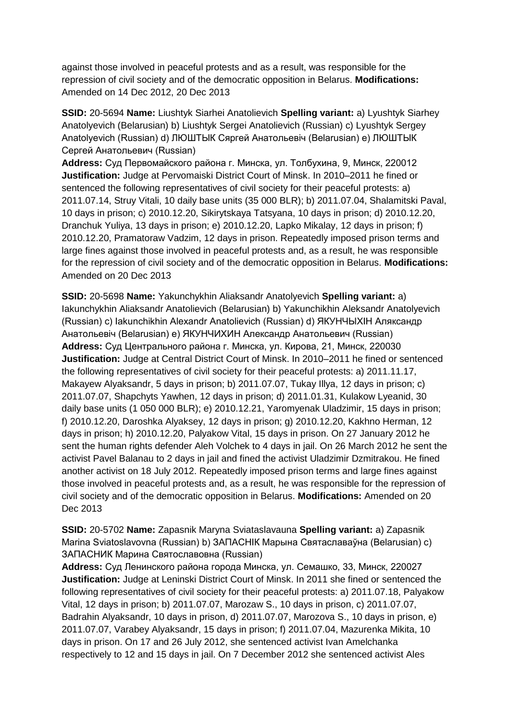against those involved in peaceful protests and as a result, was responsible for the repression of civil society and of the democratic opposition in Belarus. **Modifications:**  Amended on 14 Dec 2012, 20 Dec 2013

**SSID:** 20-5694 **Name:** Liushtyk Siarhei Anatolievich **Spelling variant:** a) Lyushtyk Siarhey Anatolyevich (Belarusian) b) Liushtyk Sergei Anatolievich (Russian) c) Lyushtyk Sergey Anatolyevich (Russian) d) ЛЮШТЫК Сяргей Анатольевіч (Belarusian) e) ЛЮШТЫК Сергей Анатольевич (Russian)

**Address:** Суд Первомайского района г. Минска, ул. Толбухина, 9, Минск, 220012 **Justification:** Judge at Pervomaiski District Court of Minsk. In 2010–2011 he fined or sentenced the following representatives of civil society for their peaceful protests: a) 2011.07.14, Struy Vitali, 10 daily base units (35 000 BLR); b) 2011.07.04, Shalamitski Paval, 10 days in prison; c) 2010.12.20, Sikirytskaya Tatsyana, 10 days in prison; d) 2010.12.20, Dranchuk Yuliya, 13 days in prison; e) 2010.12.20, Lapko Mikalay, 12 days in prison; f) 2010.12.20, Pramatoraw Vadzim, 12 days in prison. Repeatedly imposed prison terms and large fines against those involved in peaceful protests and, as a result, he was responsible for the repression of civil society and of the democratic opposition in Belarus. **Modifications:**  Amended on 20 Dec 2013

**SSID:** 20-5698 **Name:** Yakunchykhin Aliaksandr Anatolyevich **Spelling variant:** a) Iakunchykhin Aliaksandr Anatolievich (Belarusian) b) Yakunchikhin Aleksandr Anatolyevich (Russian) c) Iakunchikhin Alexandr Anatolievich (Russian) d) ЯКУНЧЫХIН Аляксандр Анатольевіч (Belarusian) e) ЯКУНЧИХИН Александр Анатольевич (Russian) **Address:** Суд Центрального района г. Минска, ул. Кирова, 21, Минск, 220030 **Justification:** Judge at Central District Court of Minsk. In 2010–2011 he fined or sentenced the following representatives of civil society for their peaceful protests: a) 2011.11.17, Makayew Alyaksandr, 5 days in prison; b) 2011.07.07, Tukay Illya, 12 days in prison; c) 2011.07.07, Shapchyts Yawhen, 12 days in prison; d) 2011.01.31, Kulakow Lyeanid, 30 daily base units (1 050 000 BLR); e) 2010.12.21, Yaromyenak Uladzimir, 15 days in prison; f) 2010.12.20, Daroshka Alyaksey, 12 days in prison; g) 2010.12.20, Kakhno Herman, 12 days in prison; h) 2010.12.20, Palyakow Vital, 15 days in prison. On 27 January 2012 he sent the human rights defender Aleh Volchek to 4 days in jail. On 26 March 2012 he sent the activist Pavel Balanau to 2 days in jail and fined the activist Uladzimir Dzmitrakou. He fined another activist on 18 July 2012. Repeatedly imposed prison terms and large fines against those involved in peaceful protests and, as a result, he was responsible for the repression of civil society and of the democratic opposition in Belarus. **Modifications:** Amended on 20 Dec 2013

**SSID:** 20-5702 **Name:** Zapasnik Maryna Sviataslavauna **Spelling variant:** a) Zapasnik Marina Sviatoslavovna (Russian) b) ЗАПАСНIК Марына Святаславаўна (Belarusian) c) ЗАПАСНИК Марина Святославовна (Russian)

**Address:** Суд Ленинского района города Минска, ул. Семашко, 33, Минск, 220027 **Justification:** Judge at Leninski District Court of Minsk. In 2011 she fined or sentenced the following representatives of civil society for their peaceful protests: a) 2011.07.18, Palyakow Vital, 12 days in prison; b) 2011.07.07, Marozaw S., 10 days in prison, c) 2011.07.07, Badrahin Alyaksandr, 10 days in prison, d) 2011.07.07, Marozova S., 10 days in prison, e) 2011.07.07, Varabey Alyaksandr, 15 days in prison; f) 2011.07.04, Mazurenka Mikita, 10 days in prison. On 17 and 26 July 2012, she sentenced activist Ivan Amelchanka respectively to 12 and 15 days in jail. On 7 December 2012 she sentenced activist Ales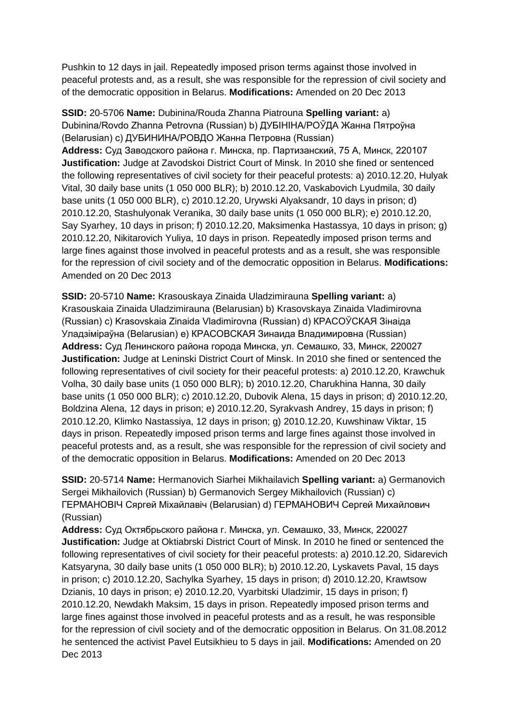Pushkin to 12 days in jail. Repeatedly imposed prison terms against those involved in peaceful protests and, as a result, she was responsible for the repression of civil society and of the democratic opposition in Belarus. **Modifications:** Amended on 20 Dec 2013

**SSID:** 20-5706 **Name:** Dubinina/Rouda Zhanna Piatrouna **Spelling variant:** a) Dubinina/Rovdo Zhanna Petrovna (Russian) b) ДУБIНIНА/РОЎДА Жанна Пятроўна (Belarusian) c) ДУБИНИНА/РОВДО Жанна Петровна (Russian) **Address:** Суд Заводского района г. Минска, пр. Партизанский, 75 А, Минск, 220107 **Justification:** Judge at Zavodskoi District Court of Minsk. In 2010 she fined or sentenced the following representatives of civil society for their peaceful protests: a) 2010.12.20, Hulyak Vital, 30 daily base units (1 050 000 BLR); b) 2010.12.20, Vaskabovich Lyudmila, 30 daily base units (1 050 000 BLR), c) 2010.12.20, Urywski Alyaksandr, 10 days in prison; d) 2010.12.20, Stashulyonak Veranika, 30 daily base units (1 050 000 BLR); e) 2010.12.20, Say Syarhey, 10 days in prison; f) 2010.12.20, Maksimenka Hastassya, 10 days in prison; g) 2010.12.20, Nikitarovich Yuliya, 10 days in prison. Repeatedly imposed prison terms and large fines against those involved in peaceful protests and as a result, she was responsible for the repression of civil society and of the democratic opposition in Belarus. **Modifications:**  Amended on 20 Dec 2013

**SSID:** 20-5710 **Name:** Krasouskaya Zinaida Uladzimirauna **Spelling variant:** a) Krasouskaia Zinaida Uladzimirauna (Belarusian) b) Krasovskaya Zinaida Vladimirovna (Russian) c) Krasovskaia Zinaida Vladimirovna (Russian) d) КРАСОЎСКАЯ Зінаіда Уладзіміраўна (Belarusian) e) КРАСОВСКАЯ Зинаида Владимировна (Russian) **Address:** Суд Ленинского района города Минска, ул. Семашко, 33, Минск, 220027 **Justification:** Judge at Leninski District Court of Minsk. In 2010 she fined or sentenced the following representatives of civil society for their peaceful protests: a) 2010.12.20, Krawchuk Volha, 30 daily base units (1 050 000 BLR); b) 2010.12.20, Charukhina Hanna, 30 daily base units (1 050 000 BLR); c) 2010.12.20, Dubovik Alena, 15 days in prison; d) 2010.12.20, Boldzina Alena, 12 days in prison; e) 2010.12.20, Syrakvash Andrey, 15 days in prison; f) 2010.12.20, Klimko Nastassiya, 12 days in prison; g) 2010.12.20, Kuwshinaw Viktar, 15 days in prison. Repeatedly imposed prison terms and large fines against those involved in peaceful protests and, as a result, she was responsible for the repression of civil society and of the democratic opposition in Belarus. **Modifications:** Amended on 20 Dec 2013

**SSID:** 20-5714 **Name:** Hermanovich Siarhei Mikhailavich **Spelling variant:** a) Germanovich Sergei Mikhailovich (Russian) b) Germanovich Sergey Mikhailovich (Russian) c) ГЕРМАНОВIЧ Сяргей Міхайлавіч (Belarusian) d) ГЕРМАНОВИЧ Сергей Михайлович (Russian)

**Address:** Суд Октябрьского района г. Минска, ул. Семашко, 33, Минск, 220027 **Justification:** Judge at Oktiabrski District Court of Minsk. In 2010 he fined or sentenced the following representatives of civil society for their peaceful protests: a) 2010.12.20, Sidarevich Katsyaryna, 30 daily base units (1 050 000 BLR); b) 2010.12.20, Lyskavets Paval, 15 days in prison; c) 2010.12.20, Sachylka Syarhey, 15 days in prison; d) 2010.12.20, Krawtsow Dzianis, 10 days in prison; e) 2010.12.20, Vyarbitski Uladzimir, 15 days in prison; f) 2010.12.20, Newdakh Maksim, 15 days in prison. Repeatedly imposed prison terms and large fines against those involved in peaceful protests and as a result, he was responsible for the repression of civil society and of the democratic opposition in Belarus. On 31.08.2012 he sentenced the activist Pavel Eutsikhieu to 5 days in jail. **Modifications:** Amended on 20 Dec 2013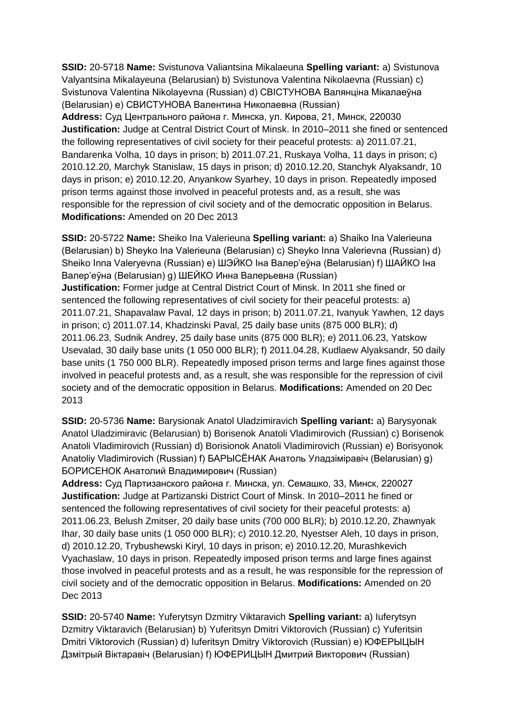**SSID:** 20-5718 **Name:** Svistunova Valiantsina Mikalaeuna **Spelling variant:** a) Svistunova Valyantsina Mikalayeuna (Belarusian) b) Svistunova Valentina Nikolaevna (Russian) c) Svistunova Valentina Nikolayevna (Russian) d) СВIСТУНОВА Валянціна Мікалаеўна (Belarusian) e) СВИСТУНОВА Валентина Николаевна (Russian)

**Address:** Суд Центрального района г. Минска, ул. Кирова, 21, Минск, 220030 **Justification:** Judge at Central District Court of Minsk. In 2010–2011 she fined or sentenced the following representatives of civil society for their peaceful protests: a) 2011.07.21, Bandarenka Volha, 10 days in prison; b) 2011.07.21, Ruskaya Volha, 11 days in prison; c) 2010.12.20, Marchyk Stanislaw, 15 days in prison; d) 2010.12.20, Stanchyk Alyaksandr, 10 days in prison; e) 2010.12.20, Anyankow Syarhey, 10 days in prison. Repeatedly imposed prison terms against those involved in peaceful protests and, as a result, she was responsible for the repression of civil society and of the democratic opposition in Belarus. **Modifications:** Amended on 20 Dec 2013

**SSID:** 20-5722 **Name:** Sheiko Ina Valerieuna **Spelling variant:** a) Shaiko Іna Valerieuna (Belarusian) b) Sheyko Іna Valerieuna (Belarusian) c) Sheyko Inna Valerievna (Russian) d) Sheiko Inna Valeryevna (Russian) e) ШЭЙКО Iна Валер'еўна (Belarusian) f) ШAЙКО Iна Валер'еўна (Belarusian) g) ШЕЙКО Инна Валерьевна (Russian) **Justification:** Former judge at Central District Court of Minsk. In 2011 she fined or sentenced the following representatives of civil society for their peaceful protests: a) 2011.07.21, Shapavalaw Paval, 12 days in prison; b) 2011.07.21, Ivanyuk Yawhen, 12 days in prison; c) 2011.07.14, Khadzinski Paval, 25 daily base units (875 000 BLR); d) 2011.06.23, Sudnik Andrey, 25 daily base units (875 000 BLR); e) 2011.06.23, Yatskow Usevalad, 30 daily base units (1 050 000 BLR); f) 2011.04.28, Kudlaew Alyaksandr, 50 daily base units (1 750 000 BLR). Repeatedly imposed prison terms and large fines against those involved in peaceful protests and, as a result, she was responsible for the repression of civil society and of the democratic opposition in Belarus. **Modifications:** Amended on 20 Dec 2013

**SSID:** 20-5736 **Name:** Barysionak Anatol Uladzimiravich **Spelling variant:** a) Barysyonak Anatol Uladzimiravic (Belarusian) b) Borisenok Anatoli Vladimirovich (Russian) c) Borisenok Anatoli Vladimirovich (Russian) d) Borisionok Anatoli Vladimirovich (Russian) e) Borisyonok Anatoliy Vladimirovich (Russian) f) БАРЫСЁНАК Анатоль Уладзіміравіч (Belarusian) g) БОРИСЕНОК Анатолий Владимирович (Russian)

**Address:** Суд Партизанского района г. Минска, ул. Семашко, 33, Минск, 220027 **Justification:** Judge at Partizanski District Court of Minsk. In 2010–2011 he fined or sentenced the following representatives of civil society for their peaceful protests: a) 2011.06.23, Belush Zmitser, 20 daily base units (700 000 BLR); b) 2010.12.20, Zhawnyak Ihar, 30 daily base units (1 050 000 BLR); c) 2010.12.20, Nyestser Aleh, 10 days in prison, d) 2010.12.20, Trybushewski Kiryl, 10 days in prison; e) 2010.12.20, Murashkevich Vyachaslaw, 10 days in prison. Repeatedly imposed prison terms and large fines against those involved in peaceful protests and as a result, he was responsible for the repression of civil society and of the democratic opposition in Belarus. **Modifications:** Amended on 20 Dec 2013

**SSID:** 20-5740 **Name:** Yuferytsyn Dzmitry Viktaravich **Spelling variant:** a) Iuferytsyn Dzmitry Viktaravich (Belarusian) b) Yuferitsyn Dmitri Viktorovich (Russian) c) Yuferitsin Dmitri Viktorovich (Russian) d) Iuferitsyn Dmitry Viktorovich (Russian) e) ЮФЕРЫЦЫН Дзмітрый Віктаравіч (Belarusian) f) ЮФЕРИЦЫН Дмитрий Викторович (Russian)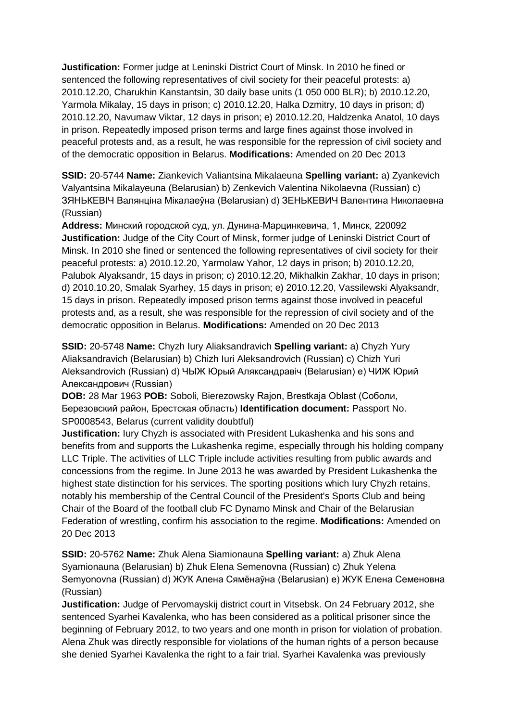**Justification:** Former judge at Leninski District Court of Minsk. In 2010 he fined or sentenced the following representatives of civil society for their peaceful protests: a) 2010.12.20, Charukhin Kanstantsin, 30 daily base units (1 050 000 BLR); b) 2010.12.20, Yarmola Mikalay, 15 days in prison; c) 2010.12.20, Halka Dzmitry, 10 days in prison; d) 2010.12.20, Navumaw Viktar, 12 days in prison; e) 2010.12.20, Haldzenka Anatol, 10 days in prison. Repeatedly imposed prison terms and large fines against those involved in peaceful protests and, as a result, he was responsible for the repression of civil society and of the democratic opposition in Belarus. **Modifications:** Amended on 20 Dec 2013

**SSID:** 20-5744 **Name:** Ziankevich Valiantsina Mikalaeuna **Spelling variant:** a) Zyankevich Valyantsina Mikalayeuna (Belarusian) b) Zenkevich Valentina Nikolaevna (Russian) c) ЗЯНЬКЕВIЧ Валянціна Мікалаеўна (Belarusian) d) ЗЕНЬКЕВИЧ Валентина Николаевна (Russian)

**Address:** Минский городской суд, ул. Дунина-Марцинкевича, 1, Минск, 220092 **Justification:** Judge of the City Court of Minsk, former judge of Leninski District Court of Minsk. In 2010 she fined or sentenced the following representatives of civil society for their peaceful protests: a) 2010.12.20, Yarmolaw Yahor, 12 days in prison; b) 2010.12.20, Palubok Alyaksandr, 15 days in prison; c) 2010.12.20, Mikhalkin Zakhar, 10 days in prison; d) 2010.10.20, Smalak Syarhey, 15 days in prison; e) 2010.12.20, Vassilewski Alyaksandr, 15 days in prison. Repeatedly imposed prison terms against those involved in peaceful protests and, as a result, she was responsible for the repression of civil society and of the democratic opposition in Belarus. **Modifications:** Amended on 20 Dec 2013

**SSID:** 20-5748 **Name:** Chyzh Iury Aliaksandravich **Spelling variant:** a) Chyzh Yury Aliaksandravich (Belarusian) b) Chizh Iuri Aleksandrovich (Russian) c) Chizh Yuri Aleksandrovich (Russian) d) ЧЫЖ Юрый Аляксандравіч (Belarusian) e) ЧИЖ Юрий Александрович (Russian)

**DOB:** 28 Mar 1963 **POB:** Soboli, Bierezowsky Rajon, Brestkaja Oblast (Соболи, Березовский район, Брестская область) **Identification document:** Passport No. SP0008543, Belarus (current validity doubtful)

**Justification:** Iury Chyzh is associated with President Lukashenka and his sons and benefits from and supports the Lukashenka regime, especially through his holding company LLC Triple. The activities of LLC Triple include activities resulting from public awards and concessions from the regime. In June 2013 he was awarded by President Lukashenka the highest state distinction for his services. The sporting positions which Iury Chyzh retains, notably his membership of the Central Council of the President's Sports Club and being Chair of the Board of the football club FC Dynamo Minsk and Chair of the Belarusian Federation of wrestling, confirm his association to the regime. **Modifications:** Amended on 20 Dec 2013

**SSID:** 20-5762 **Name:** Zhuk Alena Siamionauna **Spelling variant:** a) Zhuk Alena Syamionauna (Belarusian) b) Zhuk Elena Semenovna (Russian) c) Zhuk Yelena Semyonovna (Russian) d) ЖУК Алена Сямёнаўна (Belarusian) e) ЖУК Елена Семеновна (Russian)

**Justification:** Judge of Pervomayskij district court in Vitsebsk. On 24 February 2012, she sentenced Syarhei Kavalenka, who has been considered as a political prisoner since the beginning of February 2012, to two years and one month in prison for violation of probation. Alena Zhuk was directly responsible for violations of the human rights of a person because she denied Syarhei Kavalenka the right to a fair trial. Syarhei Kavalenka was previously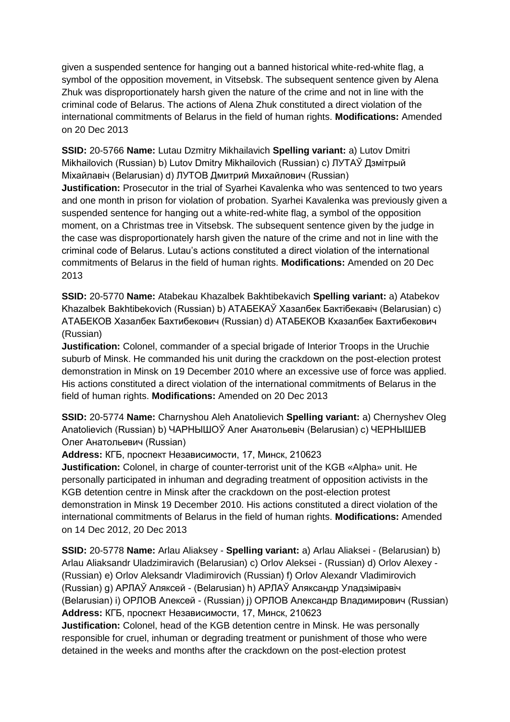given a suspended sentence for hanging out a banned historical white-red-white flag, a symbol of the opposition movement, in Vitsebsk. The subsequent sentence given by Alena Zhuk was disproportionately harsh given the nature of the crime and not in line with the criminal code of Belarus. The actions of Alena Zhuk constituted a direct violation of the international commitments of Belarus in the field of human rights. **Modifications:** Amended on 20 Dec 2013

**SSID:** 20-5766 **Name:** Lutau Dzmitry Mikhailavich **Spelling variant:** a) Lutov Dmitri Mikhailovich (Russian) b) Lutov Dmitry Mikhailovich (Russian) c) ЛУТАЎ Дзмітрый Міхайлавіч (Belarusian) d) ЛУТОВ Дмитрий Михайлович (Russian)

**Justification:** Prosecutor in the trial of Syarhei Kavalenka who was sentenced to two years and one month in prison for violation of probation. Syarhei Kavalenka was previously given a suspended sentence for hanging out a white-red-white flag, a symbol of the opposition moment, on a Christmas tree in Vitsebsk. The subsequent sentence given by the judge in the case was disproportionately harsh given the nature of the crime and not in line with the criminal code of Belarus. Lutau's actions constituted a direct violation of the international commitments of Belarus in the field of human rights. **Modifications:** Amended on 20 Dec 2013

**SSID:** 20-5770 **Name:** Atabekau Khazalbek Bakhtibekavich **Spelling variant:** a) Atabekov Khazalbek Bakhtibekovich (Russian) b) АТАБЕКАЎ Хазалбек Бактібекавіч (Belarusian) c) АТАБЕКОВ Хазалбек Бахтибекович (Russian) d) АТАБЕКОВ Кхазалбек Бахтибекович (Russian)

**Justification:** Colonel, commander of a special brigade of Interior Troops in the Uruchie suburb of Minsk. He commanded his unit during the crackdown on the post-election protest demonstration in Minsk on 19 December 2010 where an excessive use of force was applied. His actions constituted a direct violation of the international commitments of Belarus in the field of human rights. **Modifications:** Amended on 20 Dec 2013

**SSID:** 20-5774 **Name:** Charnyshou Aleh Anatolievich **Spelling variant:** a) Chernyshev Oleg Anatolievich (Russian) b) ЧАРНЫШОЎ Алег Анатольевiч (Belarusian) c) ЧЕРНЫШЕВ Олег Анатольевич (Russian)

**Address:** КГБ, проспект Независимости, 17, Минск, 210623

**Justification:** Colonel, in charge of counter-terrorist unit of the KGB «Alpha» unit. He personally participated in inhuman and degrading treatment of opposition activists in the KGB detention centre in Minsk after the crackdown on the post-election protest demonstration in Minsk 19 December 2010. His actions constituted a direct violation of the international commitments of Belarus in the field of human rights. **Modifications:** Amended on 14 Dec 2012, 20 Dec 2013

**SSID:** 20-5778 **Name:** Arlau Aliaksey - **Spelling variant:** a) Arlau Aliaksei - (Belarusian) b) Arlau Aliaksandr Uladzimiravich (Belarusian) c) Orlov Aleksei - (Russian) d) Orlov Alexey - (Russian) e) Orlov Aleksandr Vladimirovich (Russian) f) Orlov Alexandr Vladimirovich (Russian) g) APЛAЎ Аляксей - (Belarusian) h) APЛAЎ Аляксандр Уладзіміравіч (Belarusian) i) OPЛОВ Алексей - (Russian) j) OPЛОВ Александр Владимирович (Russian) **Address:** КГБ, проспект Независимости, 17, Минск, 210623

**Justification:** Colonel, head of the KGB detention centre in Minsk. He was personally responsible for cruel, inhuman or degrading treatment or punishment of those who were detained in the weeks and months after the crackdown on the post-election protest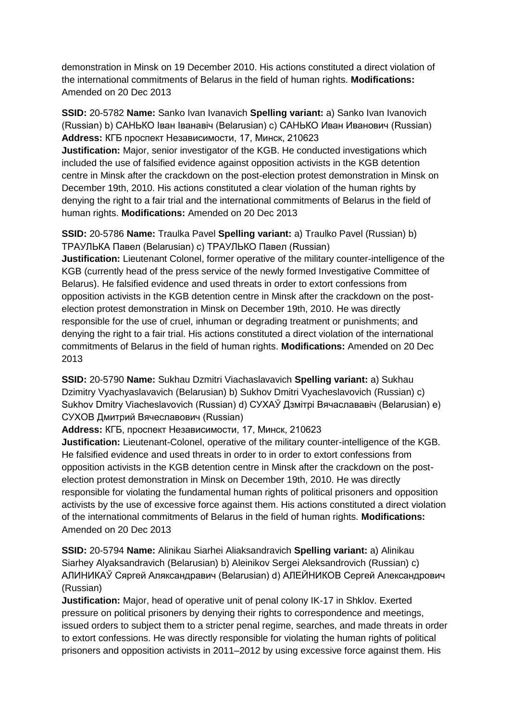demonstration in Minsk on 19 December 2010. His actions constituted a direct violation of the international commitments of Belarus in the field of human rights. **Modifications:**  Amended on 20 Dec 2013

**SSID:** 20-5782 **Name:** Sanko Ivan Ivanavich **Spelling variant:** a) Sanko Ivan Ivanovich (Russian) b) САНЬКО Іван Іванавіч (Belarusian) c) САНЬКО Иван Иванович (Russian) **Address:** КГБ проспект Независимости, 17, Минск, 210623

**Justification:** Major, senior investigator of the KGB. He conducted investigations which included the use of falsified evidence against opposition activists in the KGB detention centre in Minsk after the crackdown on the post-election protest demonstration in Minsk on December 19th, 2010. His actions constituted a clear violation of the human rights by denying the right to a fair trial and the international commitments of Belarus in the field of human rights. **Modifications:** Amended on 20 Dec 2013

**SSID:** 20-5786 **Name:** Traulka Pavel **Spelling variant:** a) Traulko Pavel (Russian) b) ТРАУЛЬКА Павел (Belarusian) c) ТРАУЛЬКО Павел (Russian)

**Justification:** Lieutenant Colonel, former operative of the military counter-intelligence of the KGB (currently head of the press service of the newly formed Investigative Committee of Belarus). He falsified evidence and used threats in order to extort confessions from opposition activists in the KGB detention centre in Minsk after the crackdown on the postelection protest demonstration in Minsk on December 19th, 2010. He was directly responsible for the use of cruel, inhuman or degrading treatment or punishments; and denying the right to a fair trial. His actions constituted a direct violation of the international commitments of Belarus in the field of human rights. **Modifications:** Amended on 20 Dec 2013

**SSID:** 20-5790 **Name:** Sukhau Dzmitri Viachaslavavich **Spelling variant:** a) Sukhau Dzimitry Vyachyaslavavich (Belarusian) b) Sukhov Dmitri Vyacheslavovich (Russian) c) Sukhov Dmitry Viacheslavovich (Russian) d) СУХАЎ Дзмітрі Вячаслававіч (Belarusian) e) СУХОВ Дмитрий Вячеславович (Russian)

**Address:** КГБ, проспект Независимости, 17, Минск, 210623

**Justification:** Lieutenant-Colonel, operative of the military counter-intelligence of the KGB. He falsified evidence and used threats in order to in order to extort confessions from opposition activists in the KGB detention centre in Minsk after the crackdown on the postelection protest demonstration in Minsk on December 19th, 2010. He was directly responsible for violating the fundamental human rights of political prisoners and opposition activists by the use of excessive force against them. His actions constituted a direct violation of the international commitments of Belarus in the field of human rights. **Modifications:**  Amended on 20 Dec 2013

**SSID:** 20-5794 **Name:** Alinikau Siarhei Aliaksandravich **Spelling variant:** a) Alinikau Siarhey Alyaksandravich (Belarusian) b) Aleinikov Sergei Aleksandrovich (Russian) c) АЛИНИКАЎ Сяргей Аляксандравич (Belarusian) d) АЛEЙНИКOВ Сергей Александрович (Russian)

**Justification:** Major, head of operative unit of penal colony IK-17 in Shklov. Exerted pressure on political prisoners by denying their rights to correspondence and meetings, issued orders to subject them to a stricter penal regime, searches, and made threats in order to extort confessions. He was directly responsible for violating the human rights of political prisoners and opposition activists in 2011–2012 by using excessive force against them. His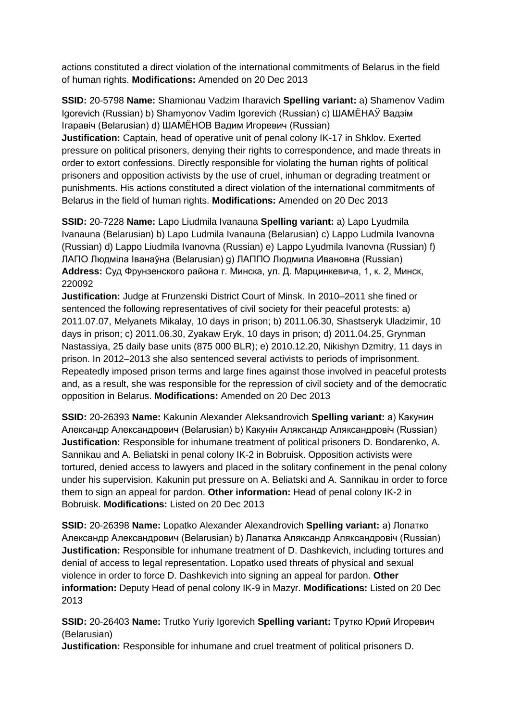actions constituted a direct violation of the international commitments of Belarus in the field of human rights. **Modifications:** Amended on 20 Dec 2013

**SSID:** 20-5798 **Name:** Shamionau Vadzim Iharavich **Spelling variant:** a) Shamenov Vadim Igorevich (Russian) b) Shamyonov Vadim Igorevich (Russian) c) ШАМЁНАЎ Вадзiм Ігаравіч (Belarusian) d) ШАМЁНОВ Вадим Игоревич (Russian)

**Justification:** Captain, head of operative unit of penal colony IK-17 in Shklov. Exerted pressure on political prisoners, denying their rights to correspondence, and made threats in order to extort confessions. Directly responsible for violating the human rights of political prisoners and opposition activists by the use of cruel, inhuman or degrading treatment or punishments. His actions constituted a direct violation of the international commitments of Belarus in the field of human rights. **Modifications:** Amended on 20 Dec 2013

**SSID:** 20-7228 **Name:** Lapo Liudmila Ivanauna **Spelling variant:** a) Lapo Lyudmila Ivanauna (Belarusian) b) Lapo Ludmila Ivanauna (Belarusian) c) Lappo Ludmila Ivanovna (Russian) d) Lappo Liudmila Ivanovna (Russian) e) Lappo Lyudmila Ivanovna (Russian) f) ЛАПО Людміла Іванаўна (Belarusian) g) ЛАППО Людмила Ивановна (Russian) **Address:** Суд Фрунзенского района г. Минска, ул. Д. Марцинкевича, 1, к. 2, Минск, 220092

**Justification:** Judge at Frunzenski District Court of Minsk. In 2010–2011 she fined or sentenced the following representatives of civil society for their peaceful protests: a) 2011.07.07, Melyanets Mikalay, 10 days in prison; b) 2011.06.30, Shastseryk Uladzimir, 10 days in prison; c) 2011.06.30, Zyakaw Eryk, 10 days in prison; d) 2011.04.25, Grynman Nastassiya, 25 daily base units (875 000 BLR); e) 2010.12.20, Nikishyn Dzmitry, 11 days in prison. In 2012–2013 she also sentenced several activists to periods of imprisonment. Repeatedly imposed prison terms and large fines against those involved in peaceful protests and, as a result, she was responsible for the repression of civil society and of the democratic opposition in Belarus. **Modifications:** Amended on 20 Dec 2013

**SSID:** 20-26393 **Name:** Kakunin Alexander Aleksandrovich **Spelling variant:** a) Какунин Александр Александрович (Belarusian) b) Какунiн Аляксандр Аляксандровiч (Russian) **Justification:** Responsible for inhumane treatment of political prisoners D. Bondarenko, A. Sannikau and A. Beliatski in penal colony IK-2 in Bobruisk. Opposition activists were tortured, denied access to lawyers and placed in the solitary confinement in the penal colony under his supervision. Kakunin put pressure on A. Beliatski and A. Sannikau in order to force them to sign an appeal for pardon. **Other information:** Head of penal colony IK-2 in Bobruisk. **Modifications:** Listed on 20 Dec 2013

**SSID:** 20-26398 **Name:** Lopatko Alexander Alexandrovich **Spelling variant:** a) Лопатко Александр Александрович (Belarusian) b) Лапатка Аляксандр Аляксандровiч (Russian) **Justification:** Responsible for inhumane treatment of D. Dashkevich, including tortures and denial of access to legal representation. Lopatko used threats of physical and sexual violence in order to force D. Dashkevich into signing an appeal for pardon. **Other information:** Deputy Head of penal colony IK-9 in Mazyr. **Modifications:** Listed on 20 Dec 2013

**SSID:** 20-26403 **Name:** Trutko Yuriy Igorevich **Spelling variant:** Трутко Юрий Игоревич (Belarusian)

**Justification:** Responsible for inhumane and cruel treatment of political prisoners D.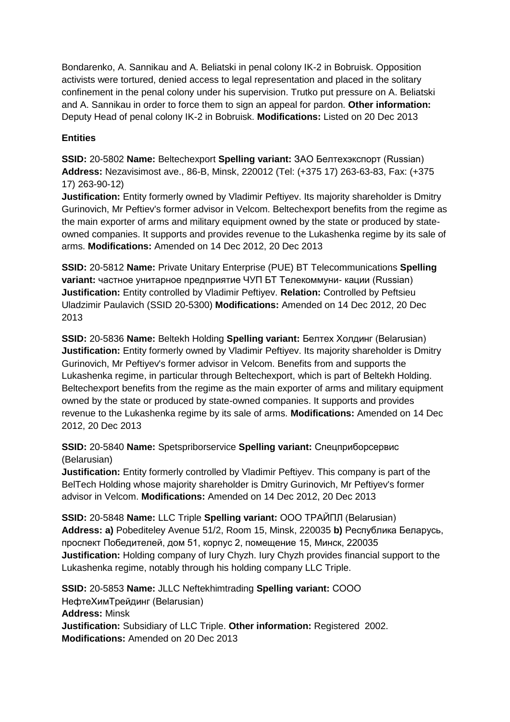Bondarenko, A. Sannikau and A. Beliatski in penal colony IK-2 in Bobruisk. Opposition activists were tortured, denied access to legal representation and placed in the solitary confinement in the penal colony under his supervision. Trutko put pressure on A. Beliatski and A. Sannikau in order to force them to sign an appeal for pardon. **Other information:** Deputy Head of penal colony IK-2 in Bobruisk. **Modifications:** Listed on 20 Dec 2013

## **Entities**

**SSID:** 20-5802 **Name:** Beltechexport **Spelling variant:** ЗАО Белтехэкспорт (Russian) **Address:** Nezavisimost ave., 86-B, Minsk, 220012 (Tel: (+375 17) 263-63-83, Fax: (+375 17) 263-90-12)

**Justification:** Entity formerly owned by Vladimir Peftiyev. Its majority shareholder is Dmitry Gurinovich, Mr Peftiev's former advisor in Velcom. Beltechexport benefits from the regime as the main exporter of arms and military equipment owned by the state or produced by stateowned companies. It supports and provides revenue to the Lukashenka regime by its sale of arms. **Modifications:** Amended on 14 Dec 2012, 20 Dec 2013

**SSID:** 20-5812 **Name:** Private Unitary Enterprise (PUE) BT Telecommunications **Spelling variant:** частное унитарное предприятие ЧУП БТ Телекоммуни- кации (Russian) **Justification:** Entity controlled by Vladimir Peftiyev. **Relation:** Controlled by Peftsieu Uladzimir Paulavich (SSID 20-5300) **Modifications:** Amended on 14 Dec 2012, 20 Dec 2013

**SSID:** 20-5836 **Name:** Beltekh Holding **Spelling variant:** Белтех Холдинг (Belarusian) **Justification:** Entity formerly owned by Vladimir Peftiyev. Its majority shareholder is Dmitry Gurinovich, Mr Peftiyev's former advisor in Velcom. Benefits from and supports the Lukashenka regime, in particular through Beltechexport, which is part of Beltekh Holding. Beltechexport benefits from the regime as the main exporter of arms and military equipment owned by the state or produced by state-owned companies. It supports and provides revenue to the Lukashenka regime by its sale of arms. **Modifications:** Amended on 14 Dec 2012, 20 Dec 2013

**SSID:** 20-5840 **Name:** Spetspriborservice **Spelling variant:** Спецприборсервис (Belarusian)

**Justification:** Entity formerly controlled by Vladimir Peftiyev. This company is part of the BelTech Holding whose majority shareholder is Dmitry Gurinovich, Mr Peftiyev's former advisor in Velcom. **Modifications:** Amended on 14 Dec 2012, 20 Dec 2013

**SSID:** 20-5848 **Name:** LLC Triple **Spelling variant:** ООО ТРАЙПЛ (Belarusian) **Address: a)** Pobediteley Avenue 51/2, Room 15, Minsk, 220035 **b)** Республика Беларусь, проспект Победителей, дом 51, корпус 2, помещение 15, Минск, 220035 **Justification:** Holding company of Iury Chyzh. Iury Chyzh provides financial support to the Lukashenka regime, notably through his holding company LLC Triple.

**SSID:** 20-5853 **Name:** JLLC Neftekhimtrading **Spelling variant:** СООО НефтеХимТрейдинг (Belarusian) **Address:** Minsk **Justification:** Subsidiary of LLC Triple. **Other information:** Registered 2002. **Modifications:** Amended on 20 Dec 2013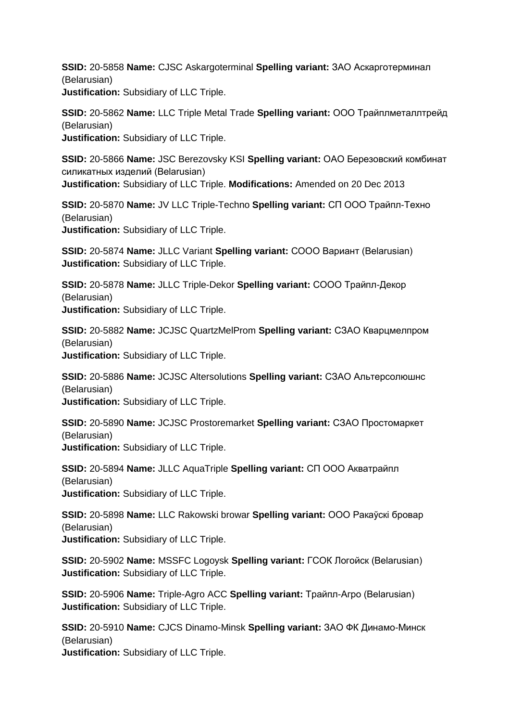**SSID:** 20-5858 **Name:** CJSC Askargoterminal **Spelling variant:** ЗАО Аскарготерминал (Belarusian) **Justification:** Subsidiary of LLC Triple.

**SSID:** 20-5862 **Name:** LLC Triple Metal Trade **Spelling variant:** ООО Трайплметаллтрейд (Belarusian) **Justification:** Subsidiary of LLC Triple.

**SSID:** 20-5866 **Name:** JSC Berezovsky KSI **Spelling variant:** ОАО Березовский комбинат силикатных изделий (Belarusian) **Justification:** Subsidiary of LLC Triple. **Modifications:** Amended on 20 Dec 2013

**SSID:** 20-5870 **Name:** JV LLC Triple-Techno **Spelling variant:** СП ООО Трайпл-Техно (Belarusian) **Justification:** Subsidiary of LLC Triple.

**SSID:** 20-5874 **Name:** JLLC Variant **Spelling variant:** СООО Вариант (Belarusian) **Justification:** Subsidiary of LLC Triple.

**SSID:** 20-5878 **Name:** JLLC Triple-Dekor **Spelling variant:** СООО Трайпл-Декор (Belarusian) **Justification:** Subsidiary of LLC Triple.

**SSID:** 20-5882 **Name:** JCJSC QuartzMelProm **Spelling variant:** СЗАО Кварцмелпром (Belarusian) **Justification:** Subsidiary of LLC Triple.

**SSID:** 20-5886 **Name:** JCJSC Altersolutions **Spelling variant:** СЗАО Альтерсолюшнс (Belarusian) **Justification:** Subsidiary of LLC Triple.

**SSID:** 20-5890 **Name:** JCJSC Prostoremarket **Spelling variant:** СЗАО Простомаркет (Belarusian) **Justification:** Subsidiary of LLC Triple.

**SSID:** 20-5894 **Name:** JLLC AquaTriple **Spelling variant:** СП ООО Акватрайпл (Belarusian) **Justification:** Subsidiary of LLC Triple.

**SSID:** 20-5898 **Name:** LLC Rakowski browar **Spelling variant:** ООО Ракаўскі бровар (Belarusian) **Justification:** Subsidiary of LLC Triple.

**SSID:** 20-5902 **Name:** MSSFC Logoysk **Spelling variant:** ГСОК Логойск (Belarusian) **Justification:** Subsidiary of LLC Triple.

**SSID:** 20-5906 **Name:** Triple-Agro ACC **Spelling variant:** Трайпл-Агро (Belarusian) **Justification:** Subsidiary of LLC Triple.

**SSID:** 20-5910 **Name:** CJCS Dinamo-Minsk **Spelling variant:** ЗАО ФК Динамо-Минск (Belarusian) **Justification:** Subsidiary of LLC Triple.